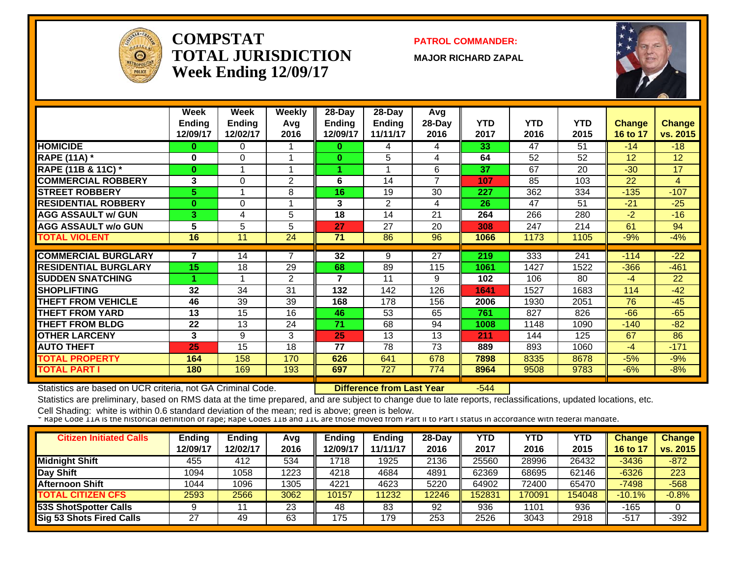

#### **COMPSTATTOTAL JURISDICTIONWeek Ending 12/09/17**

**PATROL COMMANDER:**

**MAJOR RICHARD ZAPAL**



|                             | Week<br><b>Ending</b><br>12/09/17 | Week<br><b>Ending</b><br>12/02/17 | <b>Weekly</b><br>Avg<br>2016 | 28-Day<br>Ending<br>12/09/17 | $28$ -Day<br><b>Ending</b><br>11/11/17 | Avg<br>28-Day<br>2016 | <b>YTD</b><br>2017 | <b>YTD</b><br>2016 | <b>YTD</b><br>2015 | <b>Change</b><br>16 to 17 | <b>Change</b><br>vs. 2015 |
|-----------------------------|-----------------------------------|-----------------------------------|------------------------------|------------------------------|----------------------------------------|-----------------------|--------------------|--------------------|--------------------|---------------------------|---------------------------|
| <b>HOMICIDE</b>             | 0                                 | 0                                 |                              | 0                            | 4                                      | 4                     | 33                 | 47                 | 51                 | $-14$                     | $-18$                     |
| <b>RAPE (11A) *</b>         | 0                                 | $\Omega$                          |                              | $\bf{0}$                     | 5                                      | 4                     | 64                 | 52                 | 52                 | 12                        | 12                        |
| RAPE (11B & 11C) *          | $\bf{0}$                          |                                   |                              | 4                            |                                        | 6                     | 37                 | 67                 | 20                 | $-30$                     | 17                        |
| <b>COMMERCIAL ROBBERY</b>   | 3                                 | $\Omega$                          | 2                            | 6                            | 14                                     | $\overline{7}$        | 107                | 85                 | 103                | 22                        | 4                         |
| <b>STREET ROBBERY</b>       | 5.                                |                                   | 8                            | 16                           | 19                                     | 30                    | 227                | 362                | 334                | $-135$                    | $-107$                    |
| <b>RESIDENTIAL ROBBERY</b>  | $\bf{0}$                          | $\Omega$                          |                              | 3                            | 2                                      | 4                     | 26                 | 47                 | 51                 | $-21$                     | $-25$                     |
| <b>AGG ASSAULT w/ GUN</b>   | 3                                 | 4                                 | 5                            | 18                           | 14                                     | 21                    | 264                | 266                | 280                | $-2$                      | $-16$                     |
| <b>AGG ASSAULT w/o GUN</b>  | 5                                 | 5                                 | 5                            | 27                           | 27                                     | 20                    | 308                | 247                | 214                | 61                        | 94                        |
| <b>TOTAL VIOLENT</b>        | 16                                | 11                                | 24                           | 71                           | 86                                     | 96                    | 1066               | 1173               | 1105               | $-9%$                     | $-4%$                     |
|                             |                                   |                                   |                              |                              |                                        |                       |                    |                    |                    |                           |                           |
| <b>COMMERCIAL BURGLARY</b>  | 7                                 | 14                                | 7                            | 32                           | 9                                      | 27                    | 219                | 333                | 241                | $-114$                    | $-22$                     |
| <b>RESIDENTIAL BURGLARY</b> | 15                                | 18                                | 29                           | 68                           | 89                                     | 115                   | 1061               | 1427               | 1522               | $-366$                    | $-461$                    |
| <b>SUDDEN SNATCHING</b>     |                                   |                                   | $\overline{2}$               | 7                            | 11                                     | 9                     | 102                | 106                | 80                 | $-4$                      | 22                        |
| <b>SHOPLIFTING</b>          | 32                                | 34                                | 31                           | 132                          | 142                                    | 126                   | 1641               | 1527               | 1683               | 114                       | $-42$                     |
| <b>THEFT FROM VEHICLE</b>   | 46                                | 39                                | 39                           | 168                          | 178                                    | 156                   | 2006               | 1930               | 2051               | 76                        | $-45$                     |
| <b>THEFT FROM YARD</b>      | 13                                | 15                                | 16                           | 46                           | 53                                     | 65                    | 761                | 827                | 826                | $-66$                     | $-65$                     |
| <b>THEFT FROM BLDG</b>      | 22                                | 13                                | 24                           | 71                           | 68                                     | 94                    | 1008               | 1148               | 1090               | $-140$                    | $-82$                     |
| <b>OTHER LARCENY</b>        | 3                                 | 9                                 | 3                            | 25                           | 13                                     | 13                    | 211                | 144                | 125                | 67                        | 86                        |
| <b>AUTO THEFT</b>           | 25                                | 15                                | 18                           | 77                           | 78                                     | 73                    | 889                | 893                | 1060               | -4                        | $-171$                    |
| <b>TOTAL PROPERTY</b>       | 164                               | 158                               | 170                          | 626                          | 641                                    | 678                   | 7898               | 8335               | 8678               | $-5%$                     | $-9%$                     |
| <b>TOTAL PART I</b>         | 180                               | 169                               | 193                          | 697                          | 727                                    | 774                   | 8964               | 9508               | 9783               | $-6%$                     | $-8%$                     |

Statistics are based on UCR criteria, not GA Criminal Code. **Difference from Last Year** -544

Statistics are preliminary, based on RMS data at the time prepared, and are subject to change due to late reports, reclassifications, updated locations, etc.

| <b>Citizen Initiated Calls</b>  | <b>Ending</b><br>12/09/17 | <b>Ending</b><br>12/02/17 | Avg<br>2016 | <b>Ending</b><br>2/09/17 | Ending<br>11/11/17 | $28-Day$<br>2016 | YTD<br>2017 | YTD<br>2016 | <b>YTD</b><br>2015 | Change<br>16 to 17 | <b>Change</b><br>vs. 2015 |
|---------------------------------|---------------------------|---------------------------|-------------|--------------------------|--------------------|------------------|-------------|-------------|--------------------|--------------------|---------------------------|
| <b>Midnight Shift</b>           | 455                       | 412                       | 534         | 1718                     | 1925               | 2136             | 25560       | 28996       | 26432              | $-3436$            | $-872$                    |
| Day Shift                       | 1094                      | 1058                      | 1223        | 4218                     | 4684               | 4891             | 62369       | 68695       | 62146              | $-6326$            | 223                       |
| Afternoon Shift                 | 1044                      | 1096                      | 1305        | 4221                     | 4623               | 5220             | 64902       | 72400       | 65470              | $-7498$            | $-568$                    |
| <b>TOTAL CITIZEN CFS</b>        | 2593                      | 2566                      | 3062        | 10157                    | 1232               | 12246            | 152831      | 170091      | 154048             | $-10.1%$           | $-0.8%$                   |
| <b>53S ShotSpotter Calls</b>    |                           |                           | 23          | 48                       | 83                 | 92               | 936         | 1101        | 936                | $-165$             |                           |
| <b>Sig 53 Shots Fired Calls</b> | 27                        | 49                        | 63          | 175                      | 179                | 253              | 2526        | 3043        | 2918               | $-517$             | $-392$                    |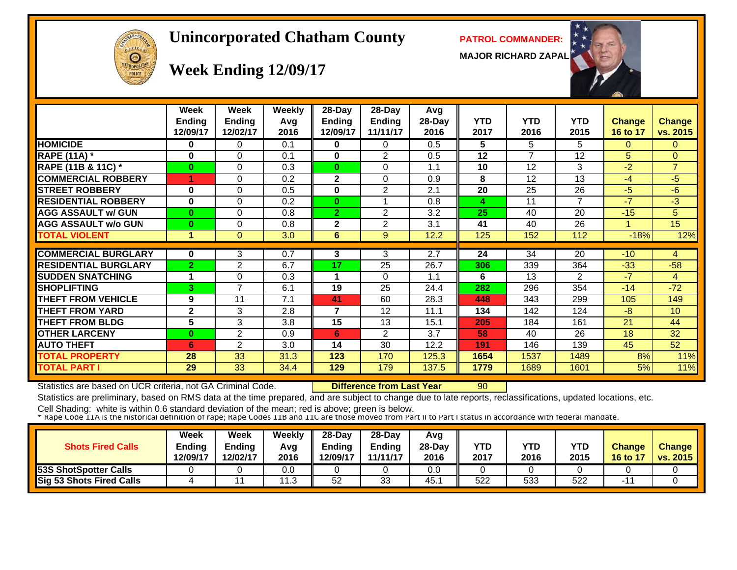# $cF1c$  $\Theta$

#### **Unincorporated Chatham County PATROL COMMANDER:**

**MAJOR RICHARD ZAPAL**



#### **Week Ending 12/09/17**

|                             | Week<br><b>Ending</b><br>12/09/17 | Week<br><b>Ending</b><br>12/02/17 | Weekly<br>Avg<br>2016 | $28$ -Day<br>Ending<br>12/09/17 | $28$ -Day<br><b>Ending</b><br>11/11/17 | Avg<br>28-Day<br>2016 | <b>YTD</b><br>2017 | <b>YTD</b><br>2016 | <b>YTD</b><br>2015 | <b>Change</b><br>16 to 17 | <b>Change</b><br>vs. 2015 |
|-----------------------------|-----------------------------------|-----------------------------------|-----------------------|---------------------------------|----------------------------------------|-----------------------|--------------------|--------------------|--------------------|---------------------------|---------------------------|
| <b>HOMICIDE</b>             | $\bf{0}$                          | 0                                 | 0.1                   | 0                               | $\Omega$                               | 0.5                   | 5                  | 5                  | 5                  | $\Omega$                  | $\Omega$                  |
| <b>RAPE (11A) *</b>         | 0                                 | 0                                 | 0.1                   | 0                               | 2                                      | 0.5                   | 12                 | $\overline{7}$     | 12                 | 5                         | $\mathbf{0}$              |
| RAPE (11B & 11C) *          | $\bf{0}$                          | $\Omega$                          | 0.3                   | $\bf{0}$                        | $\Omega$                               | 1.1                   | 10                 | 12                 | 3                  | $-2$                      | $\overline{7}$            |
| <b>COMMERCIAL ROBBERY</b>   |                                   | 0                                 | 0.2                   | 2                               | $\mathbf{0}$                           | 0.9                   | 8                  | 12                 | 13                 | $-4$                      | $-5$                      |
| <b>STREET ROBBERY</b>       | 0                                 | $\Omega$                          | 0.5                   | 0                               | $\overline{2}$                         | 2.1                   | 20                 | 25                 | 26                 | $-5$                      | $-6$                      |
| <b>RESIDENTIAL ROBBERY</b>  | $\bf{0}$                          | 0                                 | 0.2                   | $\mathbf{0}$                    |                                        | 0.8                   | 4                  | 11                 | $\overline{7}$     | $-7$                      | $-3$                      |
| <b>AGG ASSAULT w/ GUN</b>   | $\bf{0}$                          | 0                                 | 0.8                   | $\mathbf{2}$                    | $\overline{2}$                         | 3.2                   | 25                 | 40                 | 20                 | $-15$                     | 5 <sup>5</sup>            |
| <b>AGG ASSAULT w/o GUN</b>  | $\bf{0}$                          | 0                                 | 0.8                   | 2                               | $\overline{2}$                         | 3.1                   | 41                 | 40                 | 26                 |                           | 15                        |
| <b>TOTAL VIOLENT</b>        | 1                                 | 0                                 | 3.0                   | 6                               | 9                                      | 12.2                  | 125                | 152                | 112                | $-18%$                    | 12%                       |
|                             |                                   |                                   |                       |                                 |                                        |                       |                    |                    |                    |                           |                           |
| <b>COMMERCIAL BURGLARY</b>  | $\bf{0}$                          | 3                                 | 0.7                   | 3                               | 3                                      | 2.7                   | 24                 | 34                 | 20                 | $-10$                     | $\overline{4}$            |
| <b>RESIDENTIAL BURGLARY</b> | $\overline{2}$                    | $\overline{2}$                    | 6.7                   | 17                              | 25                                     | 26.7                  | 306                | 339                | 364                | $-33$                     | $-58$                     |
| <b>SUDDEN SNATCHING</b>     | 1                                 | 0                                 | 0.3                   | 1                               | $\Omega$                               | 1.1                   | 6                  | 13                 | $\mathfrak{p}$     | $-7$                      | $\overline{4}$            |
| <b>SHOPLIFTING</b>          | 3                                 | 7                                 | 6.1                   | 19                              | 25                                     | 24.4                  | 282                | 296                | 354                | $-14$                     | $-72$                     |
| THEFT FROM VEHICLE          | 9                                 | 11                                | 7.1                   | 41                              | 60                                     | 28.3                  | 448                | 343                | 299                | 105                       | 149                       |
| <b>THEFT FROM YARD</b>      | $\mathbf{2}$                      | 3                                 | 2.8                   | $\overline{\mathbf{z}}$         | 12                                     | 11.1                  | 134                | 142                | 124                | $-8$                      | 10                        |
| <b>THEFT FROM BLDG</b>      | 5                                 | 3                                 | 3.8                   | 15                              | 13                                     | 15.1                  | 205                | 184                | 161                | 21                        | 44                        |
| <b>OTHER LARCENY</b>        | 0                                 | $\overline{2}$                    | 0.9                   | 6                               | 2                                      | 3.7                   | 58                 | 40                 | 26                 | 18                        | 32                        |
| <b>AUTO THEFT</b>           | 6                                 | 2                                 | 3.0                   | 14                              | 30                                     | 12.2                  | 191                | 146                | 139                | 45                        | 52                        |
| <b>TOTAL PROPERTY</b>       | 28                                | 33                                | 31.3                  | 123                             | 170                                    | 125.3                 | 1654               | 1537               | 1489               | 8%                        | 11%                       |
| <b>TOTAL PART I</b>         | $\overline{29}$                   | 33                                | 34.4                  | 129                             | 179                                    | 137.5                 | 1779               | 1689               | 1601               | 5%                        | 11%                       |

Statistics are based on UCR criteria, not GA Criminal Code. **Difference from Last Year** 90

Statistics are preliminary, based on RMS data at the time prepared, and are subject to change due to late reports, reclassifications, updated locations, etc.

| <b>Shots Fired Calls</b>     | Week<br><b>Ending</b><br>12/09/17 | Week<br>Ending<br>12/02/17 | Weekly<br>Avg<br>2016 | $28 - Day$<br><b>Endina</b><br>12/09/17 | $28-Dav$<br><b>Ending</b><br>11/11/17 | Avg<br>$28-Day$<br>2016 | <b>YTD</b><br>2017 | <b>YTD</b><br>2016 | <b>YTD</b><br>2015 | <b>Change</b><br>16 to 17 | <b>Change</b><br>vs. 2015 |
|------------------------------|-----------------------------------|----------------------------|-----------------------|-----------------------------------------|---------------------------------------|-------------------------|--------------------|--------------------|--------------------|---------------------------|---------------------------|
| <b>53S ShotSpotter Calls</b> |                                   |                            | 0.0                   |                                         |                                       | 0.0                     |                    |                    |                    |                           |                           |
| Sig 53 Shots Fired Calls     |                                   |                            | 12<br>ں. ا            | 52                                      | 33                                    | 45.                     | 522                | 533                | 522                |                           |                           |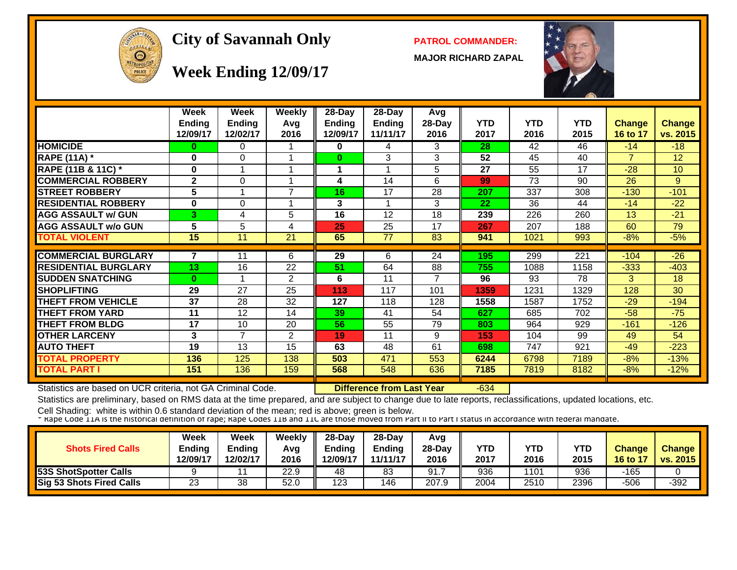

#### City of Savannah Only **PATROL COMMANDER:**

**MAJOR RICHARD ZAPAL**



#### **Week Ending 12/09/17**

|                             | Week          | Week          | <b>Weekly</b>  | $28-Day$ | 28-Day        | Avg    |            |            |            |                |               |
|-----------------------------|---------------|---------------|----------------|----------|---------------|--------|------------|------------|------------|----------------|---------------|
|                             | <b>Ending</b> | <b>Ending</b> | Avq            | Ending   | <b>Ending</b> | 28-Day | <b>YTD</b> | <b>YTD</b> | <b>YTD</b> | <b>Change</b>  | <b>Change</b> |
|                             | 12/09/17      | 12/02/17      | 2016           | 12/09/17 | 11/11/17      | 2016   | 2017       | 2016       | 2015       | 16 to 17       | vs. 2015      |
| <b>HOMICIDE</b>             | $\bf{0}$      | 0             |                | $\bf{0}$ | 4             | 3      | 28         | 42         | 46         | $-14$          | $-18$         |
| <b>RAPE (11A) *</b>         | $\bf{0}$      | $\Omega$      |                | $\bf{0}$ | 3             | 3      | 52         | 45         | 40         | $\overline{7}$ | 12            |
| RAPE (11B & 11C) *          | $\bf{0}$      |               |                |          |               | 5      | 27         | 55         | 17         | $-28$          | 10            |
| <b>COMMERCIAL ROBBERY</b>   | $\mathbf{2}$  | $\Omega$      |                | 4        | 14            | 6      | 99         | 73         | 90         | 26             | 9             |
| <b>STREET ROBBERY</b>       | 5             |               | 7              | 16       | 17            | 28     | 207        | 337        | 308        | $-130$         | $-101$        |
| <b>RESIDENTIAL ROBBERY</b>  | $\mathbf{0}$  | $\Omega$      |                | 3        |               | 3      | 22         | 36         | 44         | $-14$          | $-22$         |
| <b>AGG ASSAULT w/ GUN</b>   | 3.            | 4             | 5              | 16       | 12            | 18     | 239        | 226        | 260        | 13             | $-21$         |
| <b>AGG ASSAULT w/o GUN</b>  | 5             | 5             | 4              | 25       | 25            | 17     | 267        | 207        | 188        | 60             | 79            |
| <b>TOTAL VIOLENT</b>        | 15            | 11            | 21             | 65       | 77            | 83     | 941        | 1021       | 993        | $-8%$          | $-5%$         |
|                             |               |               |                |          |               |        |            |            |            |                |               |
| <b>COMMERCIAL BURGLARY</b>  |               | 11            | 6              | 29       | 6             | 24     | 195        | 299        | 221        | $-104$         | $-26$         |
| <b>RESIDENTIAL BURGLARY</b> | 13            | 16            | 22             | 51       | 64            | 88     | 755        | 1088       | 1158       | $-333$         | $-403$        |
| <b>SUDDEN SNATCHING</b>     | $\mathbf{0}$  |               | 2              | 6        | 11            | 7      | 96         | 93         | 78         | 3              | 18            |
| <b>SHOPLIFTING</b>          | 29            | 27            | 25             | 113      | 117           | 101    | 1359       | 1231       | 1329       | 128            | 30            |
| <b>THEFT FROM VEHICLE</b>   | 37            | 28            | 32             | 127      | 118           | 128    | 1558       | 1587       | 1752       | $-29$          | $-194$        |
| <b>THEFT FROM YARD</b>      | 11            | 12            | 14             | 39       | 41            | 54     | 627        | 685        | 702        | $-58$          | $-75$         |
| <b>THEFT FROM BLDG</b>      | 17            | 10            | 20             | 56       | 55            | 79     | 803        | 964        | 929        | $-161$         | $-126$        |
| <b>OTHER LARCENY</b>        | 3             | 7             | $\overline{2}$ | 19       | 11            | 9      | 153        | 104        | 99         | 49             | 54            |
| <b>AUTO THEFT</b>           | 19            | 13            | 15             | 63       | 48            | 61     | 698        | 747        | 921        | $-49$          | $-223$        |
| <b>TOTAL PROPERTY</b>       | 136           | 125           | 138            | 503      | 471           | 553    | 6244       | 6798       | 7189       | $-8%$          | $-13%$        |
| <b>TOTAL PART I</b>         | 151           | 136           | 159            | 568      | 548           | 636    | 7185       | 7819       | 8182       | $-8%$          | $-12%$        |

Statistics are based on UCR criteria, not GA Criminal Code. **Difference from Last Year** -634

Statistics are preliminary, based on RMS data at the time prepared, and are subject to change due to late reports, reclassifications, updated locations, etc.

| <b>Shots Fired Calls</b>     | Week<br>Ending<br>12/09/17 | Week<br>Ending<br>12/02/17 | Weekly<br>Avg<br>2016 | $28$ -Dav<br><b>Ending</b><br>12/09/17 | $28-Dav$<br>Endina<br>11/11/17 | Avg<br>$28-Dav$<br>2016 | YTD<br>2017 | <b>YTD</b><br>2016 | YTD<br>2015 | <b>Change</b><br>16 to 17 | <b>Change</b><br>vs. 2015 |
|------------------------------|----------------------------|----------------------------|-----------------------|----------------------------------------|--------------------------------|-------------------------|-------------|--------------------|-------------|---------------------------|---------------------------|
| <b>53S ShotSpotter Calls</b> |                            |                            | 22.9                  | 48                                     | 83                             | 91.                     | 936         | 1101               | 936         | -165                      |                           |
| Sig 53 Shots Fired Calls     | 23                         | 38                         | 52.0                  | 123                                    | 146                            | 207.9                   | 2004        | 2510               | 2396        | $-506$                    | $-392$                    |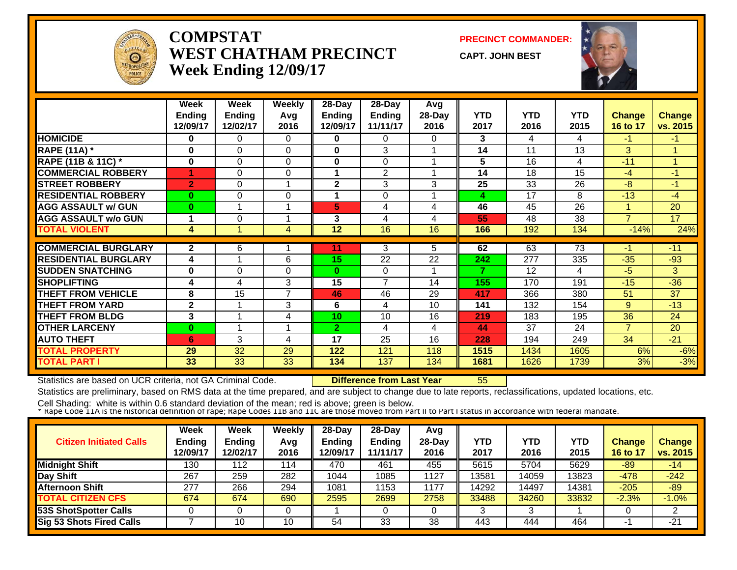

#### **COMPSTATWEST CHATHAM PRECINCTWeek Ending 12/09/17**

**PRECINCT COMMANDER:**

**CAPT. JOHN BEST**



|                             | Week           | Week     | <b>Weekly</b>  | 28-Day        | 28-Day         | Avg    |            |            |            |                |               |
|-----------------------------|----------------|----------|----------------|---------------|----------------|--------|------------|------------|------------|----------------|---------------|
|                             | <b>Ending</b>  | Ending   | Avg            | <b>Ending</b> | <b>Ending</b>  | 28-Day | <b>YTD</b> | <b>YTD</b> | <b>YTD</b> | <b>Change</b>  | <b>Change</b> |
|                             | 12/09/17       | 12/02/17 | 2016           | 12/09/17      | 11/11/17       | 2016   | 2017       | 2016       | 2015       | 16 to 17       | vs. 2015      |
| <b>HOMICIDE</b>             | $\bf{0}$       | 0        | $\Omega$       | 0             | $\Omega$       | 0      | 3          | 4          | 4          | $-1$           | $-1$          |
| <b>RAPE (11A) *</b>         | $\bf{0}$       | $\Omega$ | 0              | 0             | 3              |        | 14         | 11         | 13         | 3              |               |
| RAPE (11B & 11C) *          | $\bf{0}$       | $\Omega$ | $\Omega$       | 0             | $\Omega$       |        | 5          | 16         | 4          | $-11$          |               |
| <b>COMMERCIAL ROBBERY</b>   | 4              | 0        | 0              |               | 2              |        | 14         | 18         | 15         | $-4$           | $-1$          |
| <b>STREET ROBBERY</b>       | $\overline{2}$ | 0        |                | $\mathbf 2$   | 3              | 3      | 25         | 33         | 26         | $-8$           | $-1$          |
| <b>RESIDENTIAL ROBBERY</b>  | 0              | 0        | $\Omega$       |               | $\Omega$       |        | 4          | 17         | 8          | $-13$          | $-4$          |
| <b>AGG ASSAULT w/ GUN</b>   | $\bf{0}$       |          |                | 5             | 4              | 4      | 46         | 45         | 26         |                | 20            |
| <b>AGG ASSAULT w/o GUN</b>  | 1              | 0        |                | 3             | 4              | 4      | 55         | 48         | 38         | $\overline{7}$ | 17            |
| <b>TOTAL VIOLENT</b>        | 4              |          | 4              | 12            | 16             | 16     | 166        | 192        | 134        | $-14%$         | 24%           |
|                             |                |          |                |               |                |        |            |            |            |                |               |
| <b>COMMERCIAL BURGLARY</b>  | $\mathbf{2}$   | 6        |                | 11            | 3              | 5.     | 62         | 63         | 73         | -1             | $-11$         |
| <b>RESIDENTIAL BURGLARY</b> | 4              |          | 6              | 15            | 22             | 22     | 242        | 277        | 335        | $-35$          | -93           |
| <b>SUDDEN SNATCHING</b>     | 0              | $\Omega$ | $\Omega$       | $\bf{0}$      | $\Omega$       |        | 7          | 12         | 4          | $-5$           | 3             |
| <b>SHOPLIFTING</b>          | 4              | 4        | 3              | 15            | $\overline{7}$ | 14     | 155        | 170        | 191        | $-15$          | $-36$         |
| <b>THEFT FROM VEHICLE</b>   | 8              | 15       | $\overline{7}$ | 46            | 46             | 29     | 417        | 366        | 380        | 51             | 37            |
| <b>THEFT FROM YARD</b>      | $\mathbf{2}$   |          | 3              | 6             | 4              | 10     | 141        | 132        | 154        | 9              | $-13$         |
| <b>THEFT FROM BLDG</b>      | 3              |          | 4              | 10            | 10             | 16     | 219        | 183        | 195        | 36             | 24            |
| <b>OTHER LARCENY</b>        | $\bf{0}$       |          |                | $\mathbf{2}$  | 4              | 4      | 44         | 37         | 24         | $\overline{7}$ | 20            |
| <b>AUTO THEFT</b>           | 6              | 3        | 4              | 17            | 25             | 16     | 228        | 194        | 249        | 34             | $-21$         |
| <b>TOTAL PROPERTY</b>       | 29             | 32       | 29             | 122           | 121            | 118    | 1515       | 1434       | 1605       | 6%             | $-6%$         |
| <b>TOTAL PART</b>           | 33             | 33       | 33             | 134           | 137            | 134    | 1681       | 1626       | 1739       | 3%             | $-3%$         |

Statistics are based on UCR criteria, not GA Criminal Code. **Difference from Last Year** 55

Statistics are preliminary, based on RMS data at the time prepared, and are subject to change due to late reports, reclassifications, updated locations, etc.

| <b>Citizen Initiated Calls</b>  | Week<br>Ending<br>12/09/17 | Week<br><b>Ending</b><br>12/02/17 | Weekly<br>Avg<br>2016 | $28-Day$<br><b>Endina</b><br>12/09/17 | $28$ -Day<br><b>Ending</b><br>11/11/17 | Avg<br>$28-Day$<br>2016 | YTD<br>2017 | YTD<br>2016 | YTD<br>2015 | <b>Change</b><br>16 to 17 | <b>Change</b><br>vs. 2015 |
|---------------------------------|----------------------------|-----------------------------------|-----------------------|---------------------------------------|----------------------------------------|-------------------------|-------------|-------------|-------------|---------------------------|---------------------------|
| <b>Midnight Shift</b>           | 130                        | 112                               | 114                   | 470                                   | 461                                    | 455                     | 5615        | 5704        | 5629        | -89                       | $-14$                     |
| Day Shift                       | 267                        | 259                               | 282                   | 1044                                  | 1085                                   | 1127                    | 13581       | 14059       | 13823       | $-478$                    | $-242$                    |
| <b>Afternoon Shift</b>          | 277                        | 266                               | 294                   | 1081                                  | 153                                    | 1177                    | 14292       | 14497       | 14381       | $-205$                    | $-89$                     |
| <b>TOTAL CITIZEN CFS</b>        | 674                        | 674                               | 690                   | 2595                                  | 2699                                   | 2758                    | 33488       | 34260       | 33832       | $-2.3%$                   | $-1.0%$                   |
| 53S ShotSpotter Calls           |                            |                                   |                       |                                       |                                        |                         |             | 3           |             |                           | າ                         |
| <b>Sig 53 Shots Fired Calls</b> |                            | 10                                | 10                    | 54                                    | 33                                     | 38                      | 443         | 444         | 464         |                           | $-21$                     |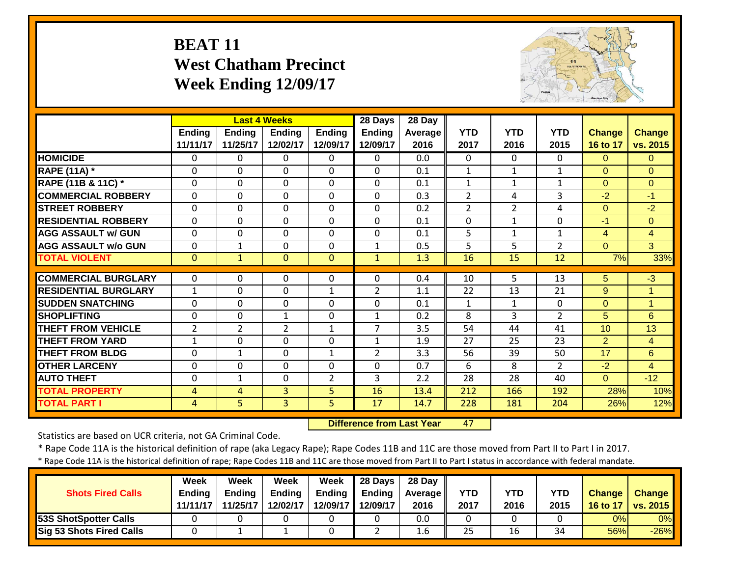#### **BEAT 11 West Chatham PrecinctWeek Ending 12/09/17**



|                             |                |                | <b>Last 4 Weeks</b> |                | 28 Days        | $28$ Day |                |                |                |                |                    |
|-----------------------------|----------------|----------------|---------------------|----------------|----------------|----------|----------------|----------------|----------------|----------------|--------------------|
|                             | <b>Ending</b>  | Ending         | <b>Ending</b>       | <b>Ending</b>  | <b>Ending</b>  | Average  | <b>YTD</b>     | <b>YTD</b>     | <b>YTD</b>     | <b>Change</b>  | <b>Change</b>      |
|                             | 11/11/17       | 11/25/17       | 12/02/17            | 12/09/17       | 12/09/17       | 2016     | 2017           | 2016           | 2015           | 16 to 17       | vs. 2015           |
| <b>HOMICIDE</b>             | $\Omega$       | 0              | $\Omega$            | $\Omega$       | 0              | 0.0      | 0              | $\Omega$       | $\Omega$       | $\Omega$       | $\Omega$           |
| <b>RAPE (11A) *</b>         | $\Omega$       | $\Omega$       | $\Omega$            | $\Omega$       | $\Omega$       | 0.1      | $\mathbf{1}$   | $\mathbf{1}$   | $\mathbf{1}$   | $\Omega$       | $\Omega$           |
| RAPE (11B & 11C) *          | $\Omega$       | 0              | $\Omega$            | $\Omega$       | $\Omega$       | 0.1      | $\mathbf{1}$   | $\mathbf{1}$   | $\mathbf{1}$   | $\Omega$       | $\Omega$           |
| <b>COMMERCIAL ROBBERY</b>   | $\Omega$       | 0              | $\Omega$            | $\Omega$       | $\mathbf 0$    | 0.3      | $\overline{2}$ | 4              | 3              | $-2$           | $-1$               |
| <b>STREET ROBBERY</b>       | $\Omega$       | 0              | $\Omega$            | $\Omega$       | $\Omega$       | 0.2      | 2              | $\overline{2}$ | 4              | $\Omega$       | $-2$               |
| <b>RESIDENTIAL ROBBERY</b>  | $\mathbf{0}$   | $\Omega$       | $\Omega$            | $\Omega$       | $\mathbf 0$    | 0.1      | $\Omega$       | $\mathbf{1}$   | $\mathbf{0}$   | $-1$           | $\Omega$           |
| <b>AGG ASSAULT w/ GUN</b>   | $\mathbf 0$    | $\mathbf 0$    | $\mathbf 0$         | $\mathbf 0$    | $\mathbf 0$    | 0.1      | 5              | $\mathbf{1}$   | $\mathbf{1}$   | $\overline{4}$ | $\overline{4}$     |
| <b>AGG ASSAULT w/o GUN</b>  | $\mathbf 0$    | $\mathbf{1}$   | $\mathbf 0$         | $\mathbf 0$    | $\mathbf{1}$   | 0.5      | 5              | 5              | $\overline{2}$ | $\overline{0}$ | 3                  |
| <b>TOTAL VIOLENT</b>        | $\overline{0}$ | $\mathbf{1}$   | $\Omega$            | $\mathbf{0}$   | $\mathbf{1}$   | 1.3      | 16             | 15             | 12             | 7%             | 33%                |
|                             |                |                |                     |                |                |          |                |                |                |                |                    |
| <b>COMMERCIAL BURGLARY</b>  | $\Omega$       | $\Omega$       | $\Omega$            | $\Omega$       | $\Omega$       | 0.4      | 10             | $\overline{5}$ | 13             | 5              | $\overline{\cdot}$ |
| <b>RESIDENTIAL BURGLARY</b> | $\mathbf{1}$   | 0              | $\mathbf 0$         | $\mathbf{1}$   | $\overline{2}$ | 1.1      | 22             | 13             | 21             | 9              | $\overline{1}$     |
| <b>SUDDEN SNATCHING</b>     | $\mathbf 0$    | $\mathbf 0$    | $\mathbf 0$         | $\mathbf 0$    | 0              | 0.1      | $\mathbf{1}$   | $\mathbf{1}$   | 0              | $\overline{0}$ | $\overline{1}$     |
| <b>SHOPLIFTING</b>          | $\mathbf 0$    | 0              | $\mathbf{1}$        | $\mathbf 0$    | 1              | 0.2      | 8              | 3              | $\overline{2}$ | 5              | 6                  |
| <b>THEFT FROM VEHICLE</b>   | $\overline{2}$ | $\overline{2}$ | $\overline{2}$      | $\mathbf{1}$   | $\overline{7}$ | 3.5      | 54             | 44             | 41             | 10             | 13                 |
| <b>THEFT FROM YARD</b>      | $\mathbf{1}$   | 0              | $\Omega$            | $\Omega$       | $\mathbf{1}$   | 1.9      | 27             | 25             | 23             | $\overline{2}$ | $\overline{4}$     |
| <b>THEFT FROM BLDG</b>      | $\mathbf 0$    | $\mathbf{1}$   | $\mathbf 0$         | $\mathbf{1}$   | $\overline{2}$ | 3.3      | 56             | 39             | 50             | 17             | 6                  |
| <b>OTHER LARCENY</b>        | $\mathbf 0$    | 0              | $\mathbf 0$         | $\mathbf 0$    | $\mathbf 0$    | 0.7      | 6              | 8              | $\overline{2}$ | $-2$           | $\overline{4}$     |
| <b>AUTO THEFT</b>           | $\mathbf 0$    | 1              | $\Omega$            | $\overline{2}$ | 3              | 2.2      | 28             | 28             | 40             | $\Omega$       | $-12$              |
| <b>TOTAL PROPERTY</b>       | 4              | 4              | 3                   | 5.             | 16             | 13.4     | 212            | 166            | 192            | 28%            | 10%                |
| <b>TOTAL PART I</b>         | $\overline{4}$ | 5.             | $\overline{3}$      | 5              | 17             | 14.7     | 228            | 181            | 204            | 26%            | 12%                |

 **Difference from Last Year**47

Statistics are based on UCR criteria, not GA Criminal Code.

\* Rape Code 11A is the historical definition of rape (aka Legacy Rape); Rape Codes 11B and 11C are those moved from Part II to Part I in 2017.

\* Rape Code 11A is the historical definition of rape; Rape Codes 11B and 11C are those moved from Part II to Part I status in accordance with federal mandate.

|                                 | Week          | Week          | <b>Week</b>   | Week                | $\parallel$ 28 Days | 28 Day     |            |            |            |        |                     |
|---------------------------------|---------------|---------------|---------------|---------------------|---------------------|------------|------------|------------|------------|--------|---------------------|
| <b>Shots Fired Calls</b>        | <b>Ending</b> | <b>Ending</b> | <b>Ending</b> | Endina              | Ending              | Average II | <b>YTD</b> | <b>YTD</b> | <b>YTD</b> | Change | <b>Change</b>       |
|                                 | 11/11/17      | 11/25/17      | 12/02/17      | 12/09/17   12/09/17 |                     | 2016       | 2017       | 2016       | 2015       |        | 16 to 17   vs. 2015 |
| <b>53S ShotSpotter Calls</b>    |               |               |               |                     |                     | 0.0        |            |            |            | 0%     | 0%                  |
| <b>Sig 53 Shots Fired Calls</b> |               |               |               |                     |                     | 1.6        | 25         | 16         | 34         | 56%    | $-26%$              |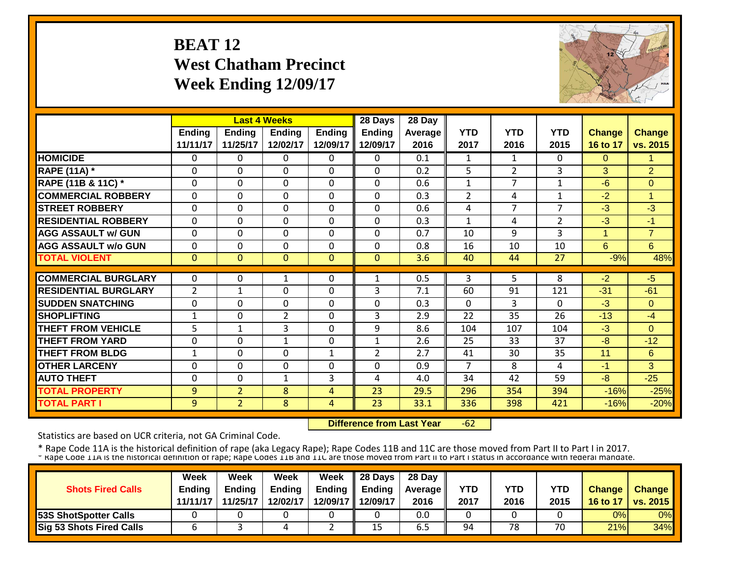# **BEAT 12 West Chatham Precinct Week Ending 12/09/17**



|                             |                |                | <b>Last 4 Weeks</b> |               | 28 Days        | 28 Day  |                |                |                |               |                |
|-----------------------------|----------------|----------------|---------------------|---------------|----------------|---------|----------------|----------------|----------------|---------------|----------------|
|                             | Ending         | <b>Ending</b>  | <b>Ending</b>       | <b>Ending</b> | <b>Ending</b>  | Average | <b>YTD</b>     | <b>YTD</b>     | <b>YTD</b>     | <b>Change</b> | <b>Change</b>  |
|                             | 11/11/17       | 11/25/17       | 12/02/17            | 12/09/17      | 12/09/17       | 2016    | 2017           | 2016           | 2015           | 16 to 17      | vs. 2015       |
| <b>HOMICIDE</b>             | $\Omega$       | 0              | 0                   | $\Omega$      | 0              | 0.1     | 1              | $\mathbf{1}$   | 0              | $\Omega$      | 1              |
| <b>RAPE (11A) *</b>         | $\Omega$       | $\Omega$       | 0                   | $\Omega$      | 0              | 0.2     | 5              | 2              | 3              | 3             | $\overline{2}$ |
| RAPE (11B & 11C) *          | $\mathbf 0$    | $\Omega$       | 0                   | 0             | $\Omega$       | 0.6     | $\mathbf{1}$   | 7              | 1              | $-6$          | $\Omega$       |
| <b>COMMERCIAL ROBBERY</b>   | $\Omega$       | $\Omega$       | $\Omega$            | $\Omega$      | $\Omega$       | 0.3     | $\overline{2}$ | 4              | 1              | $-2$          | 1              |
| <b>STREET ROBBERY</b>       | $\overline{0}$ | $\mathbf 0$    | $\Omega$            | $\mathbf 0$   | $\Omega$       | 0.6     | 4              | $\overline{7}$ | 7              | $-3$          | $-3$           |
| <b>RESIDENTIAL ROBBERY</b>  | $\mathbf 0$    | $\Omega$       | $\mathbf 0$         | 0             | $\Omega$       | 0.3     | $\mathbf{1}$   | 4              | $\overline{2}$ | $-3$          | $-1$           |
| <b>AGG ASSAULT w/ GUN</b>   | $\mathbf 0$    | $\Omega$       | $\Omega$            | $\Omega$      | $\Omega$       | 0.7     | 10             | 9              | 3              | 1             | $\overline{7}$ |
| <b>AGG ASSAULT w/o GUN</b>  | $\mathbf 0$    | 0              | $\mathbf 0$         | 0             | 0              | 0.8     | 16             | 10             | 10             | 6             | 6              |
| <b>TOTAL VIOLENT</b>        | $\mathbf{0}$   | $\Omega$       | $\Omega$            | $\Omega$      | $\Omega$       | 3.6     | 40             | 44             | 27             | $-9%$         | 48%            |
|                             |                |                |                     |               |                |         |                |                |                |               |                |
| <b>COMMERCIAL BURGLARY</b>  | $\Omega$       | 0              | 1                   | 0             | $\mathbf{1}$   | 0.5     | 3              | 5.             | 8              | $-2$          | $-5$           |
| <b>RESIDENTIAL BURGLARY</b> | $\overline{2}$ | $\mathbf{1}$   | $\Omega$            | 0             | 3              | 7.1     | 60             | 91             | 121            | $-31$         | $-61$          |
| <b>SUDDEN SNATCHING</b>     | 0              | $\Omega$       | $\Omega$            | 0             | 0              | 0.3     | $\Omega$       | 3              | 0              | $-3$          | $\Omega$       |
| <b>SHOPLIFTING</b>          | 1              | $\Omega$       | $\overline{2}$      | $\Omega$      | 3              | 2.9     | 22             | 35             | 26             | $-13$         | $-4$           |
| <b>THEFT FROM VEHICLE</b>   | 5              | 1              | 3                   | 0             | 9              | 8.6     | 104            | 107            | 104            | $-3$          | $\Omega$       |
| <b>THEFT FROM YARD</b>      | $\Omega$       | $\Omega$       | 1                   | $\Omega$      | $\mathbf{1}$   | 2.6     | 25             | 33             | 37             | $-8$          | $-12$          |
| <b>THEFT FROM BLDG</b>      | $\mathbf{1}$   | $\Omega$       | $\Omega$            | 1             | $\overline{2}$ | 2.7     | 41             | 30             | 35             | 11            | 6              |
| <b>OTHER LARCENY</b>        | $\Omega$       | $\Omega$       | $\Omega$            | 0             | 0              | 0.9     | $\overline{7}$ | 8              | 4              | $-1$          | 3              |
| <b>AUTO THEFT</b>           | $\Omega$       | $\Omega$       | 1                   | 3             | 4              | 4.0     | 34             | 42             | 59             | $-8$          | $-25$          |
| <b>TOTAL PROPERTY</b>       | 9              | $\overline{2}$ | 8                   | 4             | 23             | 29.5    | 296            | 354            | 394            | $-16%$        | $-25%$         |
| <b>TOTAL PART I</b>         | 9              | 2 <sup>1</sup> | 8                   | 4             | 23             | 33.1    | 336            | 398            | 421            | $-16%$        | $-20%$         |

 **Difference from Last Year** $-62$ 

Statistics are based on UCR criteria, not GA Criminal Code.

|                                 | <b>Week</b>   | Week          | Week          | <b>Week</b>        | $\parallel$ 28 Days | 28 Day            |            |      |            |               |                 |
|---------------------------------|---------------|---------------|---------------|--------------------|---------------------|-------------------|------------|------|------------|---------------|-----------------|
| <b>Shots Fired Calls</b>        | <b>Ending</b> | <b>Ending</b> | <b>Ending</b> | Ending $\parallel$ | <b>Ending</b>       | <b>Average II</b> | <b>YTD</b> | YTD  | <b>YTD</b> | <b>Change</b> | Change          |
|                                 | 11/11/17      | 11/25/17      | 12/02/17      |                    | 12/09/17   12/09/17 | 2016              | 2017       | 2016 | 2015       | 16 to 17      | <b>vs. 2015</b> |
| <b>53S ShotSpotter Calls</b>    |               |               |               |                    |                     | 0.0               |            |      |            | 0%            | 0%              |
| <b>Sig 53 Shots Fired Calls</b> |               |               |               |                    | 15                  | 6.5               | 94         | 78   | 70         | 21%           | 34%             |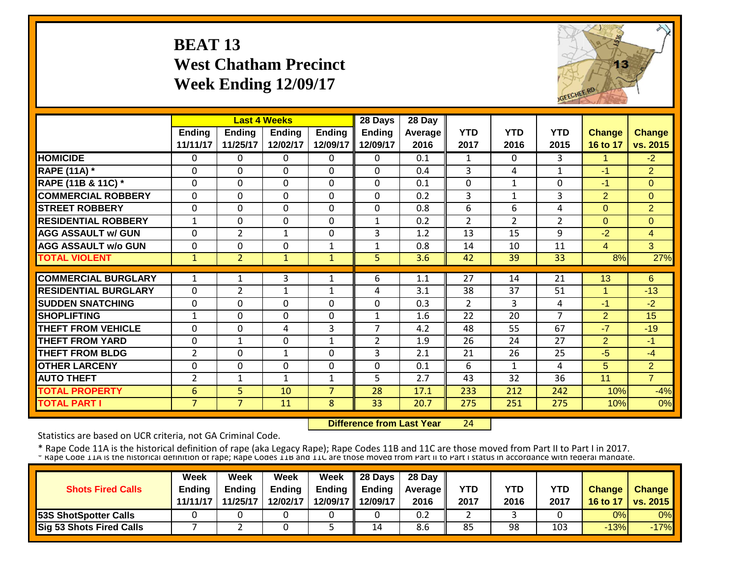#### **BEAT 13 West Chatham Precinct Week Ending 12/09/17**



|                               |                    |                           | <b>Last 4 Weeks</b> |                           | 28 Days                   | 28 Day          |                    |                    |                    |                           |                           |
|-------------------------------|--------------------|---------------------------|---------------------|---------------------------|---------------------------|-----------------|--------------------|--------------------|--------------------|---------------------------|---------------------------|
|                               | Ending<br>11/11/17 | <b>Ending</b><br>11/25/17 | Ending<br>12/02/17  | <b>Ending</b><br>12/09/17 | <b>Ending</b><br>12/09/17 | Average<br>2016 | <b>YTD</b><br>2017 | <b>YTD</b><br>2016 | <b>YTD</b><br>2015 | <b>Change</b><br>16 to 17 | <b>Change</b><br>vs. 2015 |
| <b>HOMICIDE</b>               | $\Omega$           | 0                         | $\Omega$            | $\Omega$                  | $\Omega$                  | 0.1             | $\mathbf{1}$       | $\Omega$           | 3                  | 1                         | $-2$                      |
| <b>RAPE (11A)</b> *           | $\Omega$           | 0                         | $\Omega$            | $\Omega$                  | $\Omega$                  | 0.4             | 3                  | 4                  | 1                  | $-1$                      | 2                         |
| <b>RAPE (11B &amp; 11C)</b> * | $\mathbf{0}$       | 0                         | $\Omega$            | $\Omega$                  | 0                         | 0.1             | $\overline{0}$     | $\mathbf{1}$       | 0                  | $-1$                      | $\Omega$                  |
| <b>COMMERCIAL ROBBERY</b>     | $\mathbf{0}$       | 0                         | $\Omega$            | $\Omega$                  | $\Omega$                  | 0.2             | 3                  | $\mathbf{1}$       | 3                  | $\overline{2}$            | $\Omega$                  |
| <b>STREET ROBBERY</b>         | $\mathbf{0}$       | 0                         | $\mathbf 0$         | $\mathbf 0$               | $\mathbf 0$               | 0.8             | 6                  | 6                  | 4                  | $\Omega$                  | $\overline{2}$            |
| <b>RESIDENTIAL ROBBERY</b>    | $\mathbf{1}$       | 0                         | $\Omega$            | $\Omega$                  | $\mathbf{1}$              | 0.2             | 2                  | $\overline{2}$     | $\overline{2}$     | $\Omega$                  | $\Omega$                  |
| <b>AGG ASSAULT w/ GUN</b>     | $\mathbf{0}$       | $\overline{2}$            | $\mathbf{1}$        | $\mathbf 0$               | 3                         | 1.2             | 13                 | 15                 | 9                  | $-2$                      | $\overline{4}$            |
| <b>AGG ASSAULT w/o GUN</b>    | $\Omega$           | 0                         | $\Omega$            | $\mathbf 1$               | 1                         | 0.8             | 14                 | 10                 | 11                 | $\overline{4}$            | $\overline{3}$            |
| <b>TOTAL VIOLENT</b>          | $\mathbf{1}$       | $\overline{2}$            | 1                   | 1                         | 5                         | 3.6             | 42                 | 39                 | 33                 | 8%                        | 27%                       |
| <b>COMMERCIAL BURGLARY</b>    |                    |                           |                     |                           |                           |                 |                    |                    |                    |                           |                           |
|                               | $\mathbf{1}$       | 1                         | 3                   | 1                         | 6                         | 1.1             | 27                 | 14                 | 21                 | 13                        | 6                         |
| <b>RESIDENTIAL BURGLARY</b>   | $\mathbf{0}$       | $\overline{2}$            | $\mathbf{1}$        | $\mathbf{1}$              | 4                         | 3.1             | 38                 | 37                 | 51                 | 1                         | $-13$                     |
| <b>ISUDDEN SNATCHING</b>      | $\Omega$           | 0                         | $\Omega$            | 0                         | $\Omega$                  | 0.3             | 2                  | 3                  | 4                  | $-1$                      | $-2$                      |
| <b>SHOPLIFTING</b>            | $\mathbf{1}$       | 0                         | $\Omega$            | $\Omega$                  | $\mathbf{1}$              | 1.6             | 22                 | 20                 | $\overline{7}$     | $\overline{2}$            | 15                        |
| THEFT FROM VEHICLE            | $\Omega$           | 0                         | 4                   | 3                         | $\overline{7}$            | 4.2             | 48                 | 55                 | 67                 | $-7$                      | $-19$                     |
| <b>THEFT FROM YARD</b>        | $\Omega$           | $\mathbf{1}$              | $\mathbf 0$         | 1                         | $\overline{2}$            | 1.9             | 26                 | 24                 | 27                 | $\overline{2}$            | $-1$                      |
| <b>THEFT FROM BLDG</b>        | $\overline{2}$     | 0                         | $\mathbf{1}$        | 0                         | 3                         | 2.1             | 21                 | 26                 | 25                 | $-5$                      | $-4$                      |
| <b>OTHER LARCENY</b>          | $\Omega$           | $\Omega$                  | $\Omega$            | 0                         | $\Omega$                  | 0.1             | 6                  | 1                  | 4                  | 5                         | 2                         |
| <b>AUTO THEFT</b>             | 2                  | $\mathbf{1}$              | 1                   | 1                         | 5                         | 2.7             | 43                 | 32                 | 36                 | 11                        | $\overline{7}$            |
| <b>TOTAL PROPERTY</b>         | 6                  | 5 <sup>1</sup>            | 10                  | $\overline{7}$            | 28                        | 17.1            | 233                | 212                | 242                | 10%                       | $-4%$                     |
| <b>TOTAL PART I</b>           | $\overline{7}$     | $\overline{7}$            | 11                  | 8                         | 33                        | 20.7            | 275                | 251                | 275                | 10%                       | 0%                        |

 **Difference from Last Year**24

Statistics are based on UCR criteria, not GA Criminal Code.

| <b>Shots Fired Calls</b>        | Week<br><b>Endina</b> | Week<br><b>Ending</b> | Week<br><b>Ending</b> | <b>Week</b> | $\parallel$ 28 Days<br>Ending $\parallel$ Ending | 28 Day<br><b>Average</b> II | YTD  | YTD  | YTD  | <b>Change</b> | <b>Change</b>   |
|---------------------------------|-----------------------|-----------------------|-----------------------|-------------|--------------------------------------------------|-----------------------------|------|------|------|---------------|-----------------|
|                                 | 11/11/17              | 11/25/17              | 12/02/17              |             | 12/09/17 12/09/17                                | 2016                        | 2017 | 2016 | 2017 | 16 to 17      | <b>vs. 2015</b> |
| <b>53S ShotSpotter Calls</b>    |                       |                       |                       |             |                                                  | 0.2                         |      |      |      | 0%            | 0%              |
| <b>Sig 53 Shots Fired Calls</b> |                       |                       |                       |             | 14                                               | 8.6                         | 85   | 98   | 103  | $-13%$        | $-17%$          |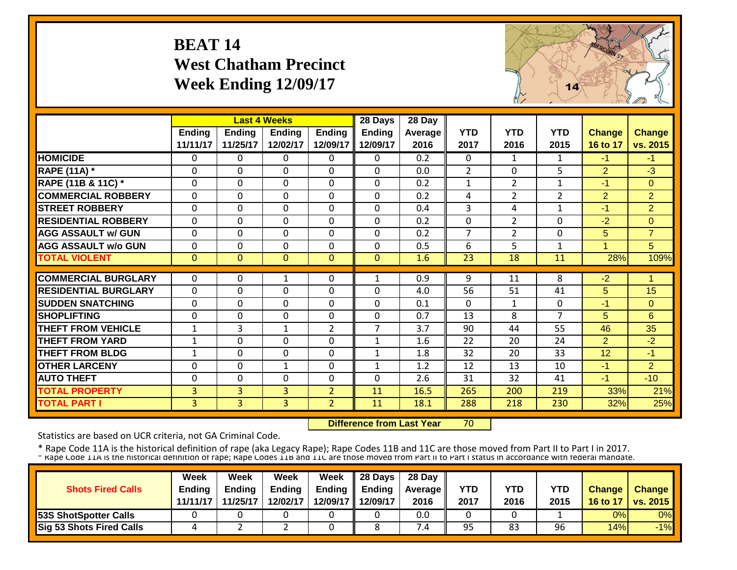#### **BEAT 14 West Chatham Precinct Week Ending 12/09/17**



|                             |                           |                           | <b>Last 4 Weeks</b>       |                           | 28 Days                   | 28 Day            |                    |                    |                    |                           |                           |
|-----------------------------|---------------------------|---------------------------|---------------------------|---------------------------|---------------------------|-------------------|--------------------|--------------------|--------------------|---------------------------|---------------------------|
|                             | <b>Ending</b><br>11/11/17 | <b>Ending</b><br>11/25/17 | <b>Endina</b><br>12/02/17 | <b>Ending</b><br>12/09/17 | <b>Ending</b><br>12/09/17 | Average I<br>2016 | <b>YTD</b><br>2017 | <b>YTD</b><br>2016 | <b>YTD</b><br>2015 | <b>Change</b><br>16 to 17 | <b>Change</b><br>vs. 2015 |
| <b>HOMICIDE</b>             | $\mathbf{0}$              | 0                         | $\Omega$                  | $\Omega$                  | $\Omega$                  | 0.2               | $\Omega$           | $\mathbf{1}$       | $\mathbf{1}$       | $-1$                      | $-1$                      |
| <b>RAPE (11A) *</b>         | $\mathbf{0}$              | 0                         | $\Omega$                  | $\Omega$                  | $\mathbf 0$               | 0.0               | $\overline{2}$     | $\Omega$           | 5                  | $\overline{2}$            | $-3$                      |
| RAPE (11B & 11C) *          | $\mathbf 0$               | 0                         | $\mathbf 0$               | $\mathbf 0$               | $\mathbf 0$               | 0.2               | $\mathbf{1}$       | $\overline{2}$     | $\mathbf{1}$       | $-1$                      | $\overline{0}$            |
| <b>COMMERCIAL ROBBERY</b>   | $\Omega$                  | $\Omega$                  | $\Omega$                  | $\Omega$                  | 0                         | 0.2               | 4                  | 2                  | $\overline{2}$     | 2                         | 2                         |
| <b>STREET ROBBERY</b>       | $\mathbf{0}$              | 0                         | $\Omega$                  | $\Omega$                  | 0                         | 0.4               | 3                  | 4                  | $\mathbf{1}$       | $-1$                      | $\overline{2}$            |
| <b>RESIDENTIAL ROBBERY</b>  | $\Omega$                  | $\Omega$                  | $\Omega$                  | $\Omega$                  | $\Omega$                  | 0.2               | $\mathbf 0$        | $\overline{2}$     | $\Omega$           | $-2$                      | $\Omega$                  |
| <b>AGG ASSAULT w/ GUN</b>   | $\Omega$                  | 0                         | $\Omega$                  | $\Omega$                  | 0                         | 0.2               | $\overline{7}$     | $\overline{2}$     | $\Omega$           | 5                         | $\overline{7}$            |
| <b>AGG ASSAULT w/o GUN</b>  | $\mathbf 0$               | 0                         | $\Omega$                  | $\Omega$                  | $\mathbf 0$               | 0.5               | 6                  | 5                  | $\mathbf{1}$       | $\blacktriangleleft$      | 5                         |
| <b>TOTAL VIOLENT</b>        | $\mathbf{0}$              | $\overline{0}$            | $\overline{0}$            | $\mathbf{0}$              | $\mathbf{0}$              | 1.6               | 23                 | 18                 | 11                 | 28%                       | 109%                      |
|                             |                           |                           |                           |                           |                           |                   |                    |                    |                    |                           |                           |
| <b>COMMERCIAL BURGLARY</b>  | $\Omega$                  | 0                         | $\mathbf{1}$              | $\Omega$                  | $\mathbf{1}$              | 0.9               | 9                  | 11                 | 8                  | $-2$                      | 4                         |
| <b>RESIDENTIAL BURGLARY</b> | $\mathbf{0}$              | 0                         | 0                         | 0                         | 0                         | 4.0               | 56                 | 51                 | 41                 | 5                         | 15                        |
| <b>SUDDEN SNATCHING</b>     | $\mathbf{0}$              | 0                         | 0                         | $\Omega$                  | $\Omega$                  | 0.1               | $\mathbf{0}$       | $\mathbf{1}$       | 0                  | $-1$                      | $\Omega$                  |
| <b>SHOPLIFTING</b>          | $\Omega$                  | 0                         | $\Omega$                  | 0                         | $\mathbf 0$               | 0.7               | 13                 | 8                  | $\overline{7}$     | 5                         | 6                         |
| <b>THEFT FROM VEHICLE</b>   | $\mathbf 1$               | 3                         | 1                         | $\overline{2}$            | $\overline{7}$            | 3.7               | 90                 | 44                 | 55                 | 46                        | 35                        |
| <b>THEFT FROM YARD</b>      | $\mathbf{1}$              | 0                         | $\Omega$                  | 0                         | $\mathbf{1}$              | 1.6               | 22                 | 20                 | 24                 | 2                         | $-2$                      |
| <b>THEFT FROM BLDG</b>      | $\mathbf{1}$              | 0                         | 0                         | 0                         | $\mathbf{1}$              | 1.8               | 32                 | 20                 | 33                 | 12                        | $-1$                      |
| <b>OTHER LARCENY</b>        | $\mathbf 0$               | 0                         | $\mathbf{1}$              | 0                         | 1                         | 1.2               | 12                 | 13                 | 10                 | -1                        | $\overline{2}$            |
| <b>AUTO THEFT</b>           | $\Omega$                  | 0                         | $\Omega$                  | $\Omega$                  | $\Omega$                  | 2.6               | 31                 | 32                 | 41                 | $-1$                      | $-10$                     |
| <b>TOTAL PROPERTY</b>       | $\overline{3}$            | $\overline{3}$            | 3                         | $\overline{2}$            | 11                        | 16.5              | 265                | 200                | 219                | 33%                       | 21%                       |
| <b>TOTAL PART I</b>         | $\overline{3}$            | $\overline{3}$            | $\overline{3}$            | $\overline{2}$            | 11                        | 18.1              | 288                | 218                | 230                | 32%                       | 25%                       |

 **Difference from Last Year**70

Statistics are based on UCR criteria, not GA Criminal Code.

|                                 | Week          | Week          | Week          | Week | $\parallel$ 28 Days       | 28 Day            |      |      |      |               |                 |
|---------------------------------|---------------|---------------|---------------|------|---------------------------|-------------------|------|------|------|---------------|-----------------|
| <b>Shots Fired Calls</b>        | <b>Endina</b> | <b>Ending</b> | <b>Ending</b> |      | Ending $\parallel$ Ending | <b>Average</b> II | YTD  | YTD  | YTD  | <b>Change</b> | <b>Change</b>   |
|                                 | 11/11/17      | 11/25/17      | 12/02/17      |      | 12/09/17 12/09/17         | 2016              | 2017 | 2016 | 2015 | 16 to 17      | <b>vs. 2015</b> |
| <b>53S ShotSpotter Calls</b>    |               |               |               |      |                           | 0.0               |      |      |      | 0%            | 0%              |
| <b>Sig 53 Shots Fired Calls</b> |               |               |               |      |                           | .4                | 95   | 83   | 96   | 14%           | $-1%$           |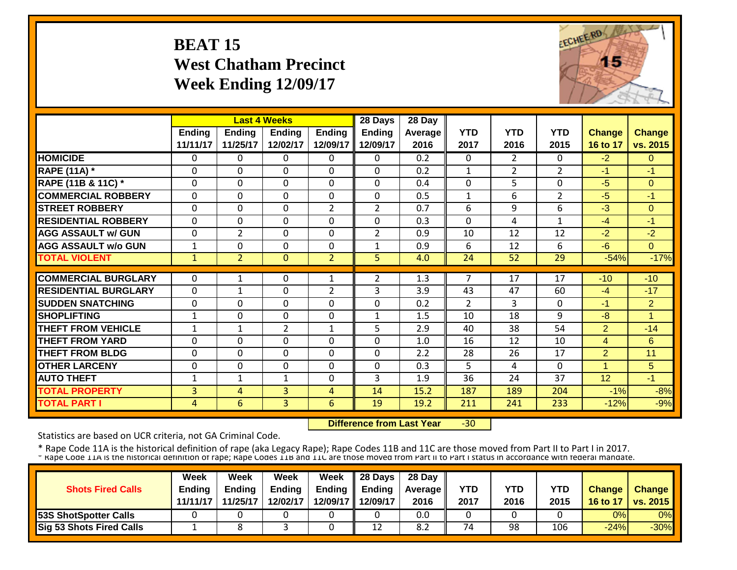#### **BEAT 15 West Chatham Precinct Week Ending 12/09/17**



|                             |              |                | <b>Last 4 Weeks</b> |                | 28 Days       | 28 Day           |                |                |                |                |                |
|-----------------------------|--------------|----------------|---------------------|----------------|---------------|------------------|----------------|----------------|----------------|----------------|----------------|
|                             | Ending       | <b>Ending</b>  | <b>Ending</b>       | <b>Ending</b>  | <b>Ending</b> | Average          | <b>YTD</b>     | <b>YTD</b>     | <b>YTD</b>     | <b>Change</b>  | <b>Change</b>  |
|                             | 11/11/17     | 11/25/17       | 12/02/17            | 12/09/17       | 12/09/17      | 2016             | 2017           | 2016           | 2015           | 16 to 17       | vs. 2015       |
| <b>HOMICIDE</b>             | $\mathbf{0}$ | 0              | $\Omega$            | $\Omega$       | 0             | $\overline{0.2}$ | $\Omega$       | $\overline{2}$ | $\Omega$       | $-2$           | $\Omega$       |
| <b>RAPE (11A) *</b>         | $\Omega$     | 0              | 0                   | $\mathbf 0$    | $\Omega$      | 0.2              | $\mathbf{1}$   | $\overline{2}$ | $\overline{2}$ | $-1$           | $-1$           |
| RAPE (11B & 11C) *          | $\mathbf{0}$ | 0              | 0                   | $\mathbf 0$    | $\Omega$      | 0.4              | $\Omega$       | 5              | $\mathbf{0}$   | $-5$           | $\Omega$       |
| <b>COMMERCIAL ROBBERY</b>   | $\Omega$     | 0              | 0                   | $\mathbf 0$    | $\Omega$      | 0.5              | $\mathbf{1}$   | 6              | $\overline{2}$ | $-5$           | $-1$           |
| <b>STREET ROBBERY</b>       | $\Omega$     | 0              | 0                   | $\overline{2}$ | 2             | 0.7              | 6              | 9              | 6              | $-3$           | $\Omega$       |
| <b>RESIDENTIAL ROBBERY</b>  | $\Omega$     | 0              | 0                   | 0              | $\Omega$      | 0.3              | $\Omega$       | 4              | 1              | $-4$           | -1             |
| <b>AGG ASSAULT w/ GUN</b>   | $\Omega$     | 2              | $\Omega$            | 0              | 2             | 0.9              | 10             | 12             | 12             | $-2$           | $-2$           |
| <b>AGG ASSAULT w/o GUN</b>  | $\mathbf{1}$ | 0              | $\Omega$            | 0              | 1             | 0.9              | 6              | 12             | 6              | $-6$           | $\Omega$       |
| <b>TOTAL VIOLENT</b>        | $\mathbf{1}$ | $\overline{2}$ | $\mathbf{0}$        | $\overline{2}$ | 5             | 4.0              | 24             | 52             | 29             | $-54%$         | $-17%$         |
|                             |              |                |                     |                |               |                  |                |                |                |                |                |
| <b>COMMERCIAL BURGLARY</b>  | $\Omega$     | 1              | $\Omega$            | 1              | 2             | 1.3              | 7              | 17             | 17             | $-10$          | $-10$          |
| <b>RESIDENTIAL BURGLARY</b> | $\mathbf{0}$ | 1              | $\mathbf 0$         | $\overline{2}$ | 3             | 3.9              | 43             | 47             | 60             | $-4$           | $-17$          |
| <b>SUDDEN SNATCHING</b>     | $\mathbf{0}$ | 0              | 0                   | 0              | $\Omega$      | 0.2              | $\overline{2}$ | 3              | $\Omega$       | -1             | $\overline{2}$ |
| <b>SHOPLIFTING</b>          | $\mathbf{1}$ | 0              | $\mathbf 0$         | 0              | 1             | 1.5              | 10             | 18             | 9              | $-8$           | 1              |
| <b>THEFT FROM VEHICLE</b>   | $\mathbf{1}$ | 1              | $\overline{2}$      | 1              | 5             | 2.9              | 40             | 38             | 54             | $\overline{2}$ | $-14$          |
| <b>THEFT FROM YARD</b>      | 0            | 0              | 0                   | $\mathbf 0$    | 0             | 1.0              | 16             | 12             | 10             | 4              | 6              |
| <b>THEFT FROM BLDG</b>      | 0            | 0              | 0                   | $\mathbf 0$    | $\mathbf 0$   | 2.2              | 28             | 26             | 17             | $\overline{2}$ | 11             |
| <b>OTHER LARCENY</b>        | $\Omega$     | 0              | $\Omega$            | $\Omega$       | $\Omega$      | 0.3              | 5              | 4              | $\Omega$       | 1              | 5              |
| <b>AUTO THEFT</b>           | 1            | 1              | $\mathbf{1}$        | $\Omega$       | 3             | 1.9              | 36             | 24             | 37             | 12             | $-1$           |
| <b>TOTAL PROPERTY</b>       | 3            | 4              | 3                   | $\overline{4}$ | 14            | 15.2             | 187            | 189            | 204            | $-1%$          | $-8%$          |
| <b>TOTAL PART I</b>         | 4            | 6              | 3                   | 6              | 19            | 19.2             | 211            | 241            | 233            | $-12%$         | $-9%$          |

 **Difference from Last Year** $-30$ 

Statistics are based on UCR criteria, not GA Criminal Code.

| <b>Shots Fired Calls</b>        | <b>Week</b><br><b>Endina</b><br>11/11/17 | Week<br><b>Ending</b><br>11/25/17 | Week<br><b>Ending</b><br>12/02/17 | Week | $\parallel$ 28 Days<br>Ending $\parallel$ Ending<br>12/09/17 12/09/17 | 28 Day<br><b>Average II</b><br>2016 | YTD<br>2017 | YTD<br>2016 | YTD<br>2015 | <b>Change</b><br>16 to 17 | <b>Change</b><br><b>vs. 2015</b> |
|---------------------------------|------------------------------------------|-----------------------------------|-----------------------------------|------|-----------------------------------------------------------------------|-------------------------------------|-------------|-------------|-------------|---------------------------|----------------------------------|
| <b>53S ShotSpotter Calls</b>    |                                          |                                   |                                   |      |                                                                       | 0.0                                 |             |             |             | 0%                        | 0%                               |
| <b>Sig 53 Shots Fired Calls</b> |                                          |                                   |                                   |      | 12                                                                    | 8.2                                 | 74          | 98          | 106         | $-24%$                    | $-30\%$                          |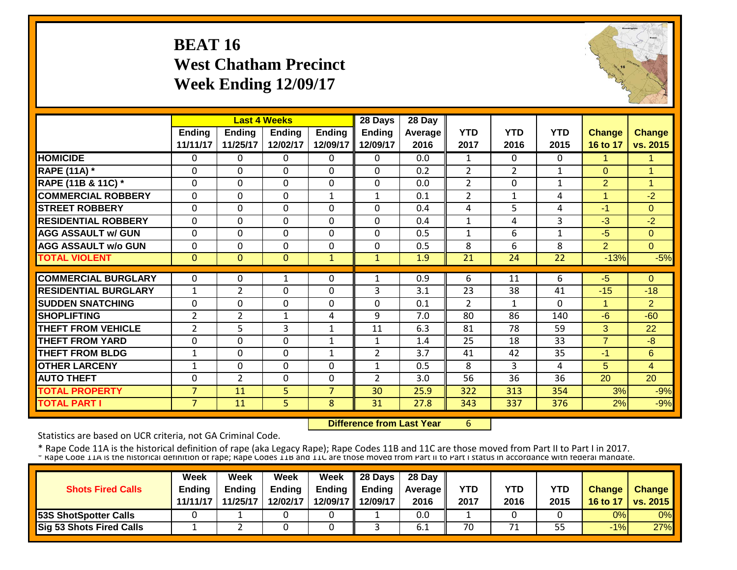#### **BEAT 16 West Chatham Precinct Week Ending 12/09/17**



|                             |                |                | <b>Last 4 Weeks</b> |                | 28 Days        | 28 Day     |                |                    |                    |                      |                |
|-----------------------------|----------------|----------------|---------------------|----------------|----------------|------------|----------------|--------------------|--------------------|----------------------|----------------|
|                             | <b>Ending</b>  | <b>Ending</b>  | <b>Ending</b>       | <b>Ending</b>  | <b>Ending</b>  | Average II | <b>YTD</b>     | <b>YTD</b><br>2016 | <b>YTD</b><br>2015 | <b>Change</b>        | <b>Change</b>  |
|                             | 11/11/17       | 11/25/17       | 12/02/17            | 12/09/17       | 12/09/17       | 2016       | 2017           |                    |                    | 16 to 17             | vs. 2015       |
| <b>HOMICIDE</b>             | $\Omega$       | 0              | $\Omega$            | 0              | $\Omega$       | 0.0        | $\mathbf{1}$   | $\Omega$           | 0                  | 1                    |                |
| <b>RAPE (11A) *</b>         | $\Omega$       | $\Omega$       | $\mathbf 0$         | $\Omega$       | $\Omega$       | 0.2        | $\overline{2}$ | $\overline{2}$     | $\mathbf{1}$       | $\Omega$             | -4             |
| RAPE (11B & 11C) *          | $\mathbf 0$    | 0              | $\mathbf 0$         | $\Omega$       | 0              | 0.0        | $\overline{2}$ | $\Omega$           | $\mathbf{1}$       | 2                    | $\overline{1}$ |
| <b>COMMERCIAL ROBBERY</b>   | $\Omega$       | 0              | $\mathbf 0$         | $\mathbf{1}$   | $\mathbf{1}$   | 0.1        | $\overline{2}$ | $\mathbf{1}$       | 4                  | $\blacktriangleleft$ | $-2$           |
| <b>STREET ROBBERY</b>       | $\mathbf 0$    | 0              | 0                   | 0              | $\Omega$       | 0.4        | 4              | 5                  | 4                  | $-1$                 | $\Omega$       |
| <b>RESIDENTIAL ROBBERY</b>  | $\Omega$       | 0              | $\Omega$            | 0              | 0              | 0.4        | $\mathbf{1}$   | 4                  | 3                  | $-3$                 | $-2$           |
| <b>AGG ASSAULT w/ GUN</b>   | $\mathbf 0$    | 0              | $\mathbf 0$         | $\Omega$       | 0              | 0.5        | $\mathbf{1}$   | 6                  | $\mathbf{1}$       | $-5$                 | $\overline{0}$ |
| <b>AGG ASSAULT w/o GUN</b>  | $\Omega$       | 0              | 0                   | $\Omega$       | 0              | 0.5        | 8              | 6                  | 8                  | $\overline{2}$       | $\Omega$       |
| <b>TOTAL VIOLENT</b>        | $\Omega$       | $\overline{0}$ | $\mathbf{0}$        | $\mathbf{1}$   | $\mathbf{1}$   | 1.9        | 21             | 24                 | 22                 | $-13%$               | $-5%$          |
|                             |                |                |                     |                |                |            |                |                    |                    |                      |                |
| <b>COMMERCIAL BURGLARY</b>  | $\Omega$       | 0              | 1                   | 0              | $\mathbf{1}$   | 0.9        | 6              | 11                 | 6                  | $-5$                 | $\Omega$       |
| <b>RESIDENTIAL BURGLARY</b> | $\mathbf{1}$   | 2              | $\mathbf 0$         | $\Omega$       | 3              | 3.1        | 23             | 38                 | 41                 | $-15$                | $-18$          |
| <b>SUDDEN SNATCHING</b>     | $\Omega$       | 0              | 0                   | $\Omega$       | $\Omega$       | 0.1        | $\overline{2}$ | $\mathbf{1}$       | $\Omega$           | 1                    | $\overline{2}$ |
| <b>SHOPLIFTING</b>          | $\overline{2}$ | $\overline{2}$ | $\mathbf{1}$        | 4              | 9              | 7.0        | 80             | 86                 | 140                | $-6$                 | $-60$          |
| <b>THEFT FROM VEHICLE</b>   | $\overline{2}$ | 5              | 3                   | 1              | 11             | 6.3        | 81             | 78                 | 59                 | 3                    | 22             |
| <b>THEFT FROM YARD</b>      | $\Omega$       | 0              | $\mathbf 0$         | 1              | $\mathbf{1}$   | 1.4        | 25             | 18                 | 33                 | $\overline{7}$       | -8             |
| <b>THEFT FROM BLDG</b>      | $\mathbf{1}$   | 0              | $\Omega$            | 1              | $\overline{2}$ | 3.7        | 41             | 42                 | 35                 | $-1$                 | 6              |
| <b>OTHER LARCENY</b>        | $\mathbf{1}$   | 0              | $\mathbf 0$         | $\Omega$       | $\mathbf{1}$   | 0.5        | 8              | 3                  | 4                  | 5                    | 4              |
| <b>AUTO THEFT</b>           | 0              | $\overline{2}$ | $\mathbf 0$         | $\Omega$       | $\overline{2}$ | 3.0        | 56             | 36                 | 36                 | 20                   | 20             |
| <b>TOTAL PROPERTY</b>       | $\overline{7}$ | 11             | 5                   | $\overline{7}$ | 30             | 25.9       | 322            | 313                | 354                | 3%                   | $-9%$          |
| <b>TOTAL PART I</b>         | $\overline{7}$ | 11             | $\overline{5}$      | 8              | 31             | 27.8       | 343            | 337                | 376                | 2%                   | $-9%$          |

 **Difference from Last Year**6

Statistics are based on UCR criteria, not GA Criminal Code.

| <b>Shots Fired Calls</b>        | Week<br><b>Endina</b><br>11/11/17 | Week<br><b>Ending</b><br>11/25/17 | Week<br><b>Ending</b><br>12/02/17 | Week | $\parallel$ 28 Days<br>Ending $\parallel$ Ending<br>12/09/17 12/09/17 | 28 Day<br><b>Average</b> II<br>2016 | YTD<br>2017 | YTD<br>2016 | YTD<br>2015 | <b>Change</b><br>16 to 17 | <b>Change</b><br><b>vs. 2015</b> |
|---------------------------------|-----------------------------------|-----------------------------------|-----------------------------------|------|-----------------------------------------------------------------------|-------------------------------------|-------------|-------------|-------------|---------------------------|----------------------------------|
| <b>53S ShotSpotter Calls</b>    |                                   |                                   |                                   |      |                                                                       | 0.0                                 |             |             |             | 0%                        | 0%                               |
| <b>Sig 53 Shots Fired Calls</b> |                                   |                                   |                                   |      |                                                                       | 0.1                                 | 70          |             | 55          | $-1%$                     | 27%                              |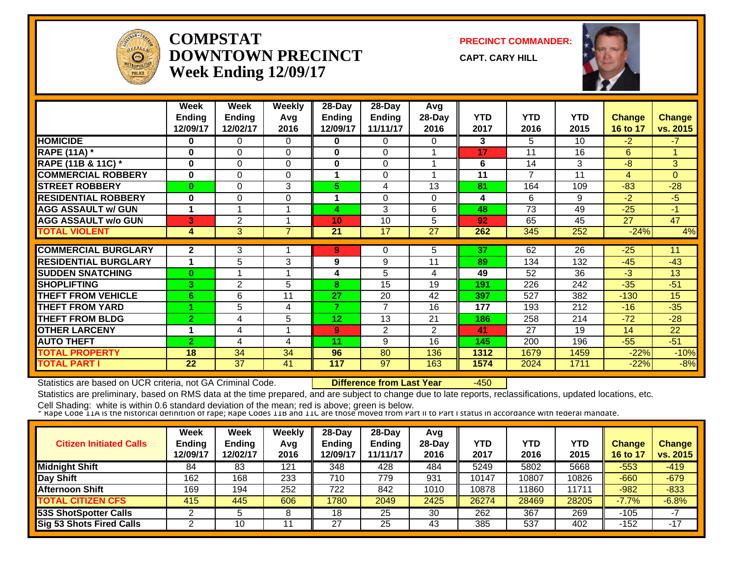

#### **COMPSTATDOWNTOWN PRECINCTWeek Ending 12/09/17**

**PRECINCT COMMANDER:**

**CAPT. CARY HILL**



|                             | Week<br><b>Ending</b><br>12/09/17 | Week<br><b>Ending</b><br>12/02/17 | <b>Weekly</b><br>Avg<br>2016 | 28-Day<br>Endina<br>12/09/17 | 28-Day<br><b>Ending</b><br>11/11/17 | Avg<br>28-Day<br>2016 | <b>YTD</b><br>2017 | <b>YTD</b><br>2016 | <b>YTD</b><br>2015 | <b>Change</b><br>16 to 17 | <b>Change</b><br>vs. 2015 |
|-----------------------------|-----------------------------------|-----------------------------------|------------------------------|------------------------------|-------------------------------------|-----------------------|--------------------|--------------------|--------------------|---------------------------|---------------------------|
| <b>HOMICIDE</b>             | 0                                 | 0                                 | $\Omega$                     | 0                            | $\Omega$                            | 0                     | 3                  | 5.                 | 10 <sup>1</sup>    | $-2$                      | $-7$                      |
| <b>RAPE (11A) *</b>         | 0                                 | 0                                 | $\Omega$                     | $\bf{0}$                     | $\Omega$                            |                       | 17                 | 11                 | 16                 | 6                         |                           |
| RAPE (11B & 11C) *          | $\bf{0}$                          | 0                                 | $\Omega$                     | $\bf{0}$                     | $\Omega$                            |                       | 6                  | 14                 | 3                  | $-8$                      | 3                         |
| <b>COMMERCIAL ROBBERY</b>   | $\bf{0}$                          | $\Omega$                          | $\Omega$                     |                              | $\Omega$                            |                       | 11                 | 7                  | 11                 | $\overline{4}$            | $\Omega$                  |
| <b>STREET ROBBERY</b>       | $\bf{0}$                          | 0                                 | 3                            | 5.                           | 4                                   | 13                    | 81                 | 164                | 109                | $-83$                     | $-28$                     |
| <b>RESIDENTIAL ROBBERY</b>  | 0                                 | 0                                 | $\mathbf 0$                  |                              | $\Omega$                            | $\Omega$              | 4                  | 6                  | 9                  | $-2$                      | $-5$                      |
| <b>AGG ASSAULT w/ GUN</b>   | 1                                 |                                   |                              | 4                            | 3                                   | 6                     | 48                 | 73                 | 49                 | $-25$                     | $-1$                      |
| <b>AGG ASSAULT w/o GUN</b>  | 3                                 | 2                                 |                              | 10                           | 10                                  | 5                     | 92                 | 65                 | 45                 | 27                        | 47                        |
| <b>TOTAL VIOLENT</b>        | 4                                 | 3                                 | 7                            | 21                           | 17                                  | 27                    | 262                | 345                | 252                | $-24%$                    | 4%                        |
| <b>COMMERCIAL BURGLARY</b>  | $\mathbf{2}$                      | 3                                 |                              | 9                            | 0                                   | 5                     | 37                 | 62                 | 26                 | $-25$                     | 11                        |
| <b>RESIDENTIAL BURGLARY</b> | 1                                 | 5                                 | 3                            | 9                            | 9                                   | 11                    | 89                 | 134                | 132                | $-45$                     | $-43$                     |
|                             |                                   |                                   |                              |                              |                                     |                       |                    |                    |                    |                           |                           |
| <b>SUDDEN SNATCHING</b>     | $\bf{0}$                          |                                   |                              | 4                            | 5                                   | 4                     | 49                 | 52                 | 36                 | $-3$                      | 13                        |
| <b>SHOPLIFTING</b>          | 3                                 | 2                                 | 5                            | 8                            | 15                                  | 19                    | 191                | 226                | 242                | $-35$                     | $-51$                     |
| <b>THEFT FROM VEHICLE</b>   | 6                                 | 6                                 | 11                           | 27                           | 20                                  | 42                    | 397                | 527                | 382                | $-130$                    | 15                        |
| <b>THEFT FROM YARD</b>      |                                   | 5                                 | 4                            | 7                            | $\overline{7}$                      | 16                    | 177                | 193                | 212                | $-16$                     | $-35$                     |
| <b>THEFT FROM BLDG</b>      | $\overline{2}$                    | 4                                 | 5                            | 12                           | 13                                  | 21                    | 186                | 258                | 214                | $-72$                     | $-28$                     |
| <b>OTHER LARCENY</b>        | 1                                 | 4                                 |                              | 9                            | 2                                   | $\overline{2}$        | 41                 | 27                 | 19                 | 14                        | 22                        |
| <b>AUTO THEFT</b>           | $\overline{2}$                    | 4                                 | 4                            | 11                           | 9                                   | 16                    | 145                | 200                | 196                | $-55$                     | $-51$                     |
| TOTAL PROPERTY              | 18                                | 34                                | 34                           | 96                           | 80                                  | 136                   | 1312               | 1679               | 1459               | $-22%$                    | $-10%$                    |
| <b>TOTAL PART I</b>         | 22                                | 37                                | 41                           | 117                          | 97                                  | 163                   | 1574               | 2024               | 1711               | $-22%$                    | $-8%$                     |

Statistics are based on UCR criteria, not GA Criminal Code. **Difference from Last Year** -450

Statistics are preliminary, based on RMS data at the time prepared, and are subject to change due to late reports, reclassifications, updated locations, etc.

| <b>Citizen Initiated Calls</b>  | Week<br><b>Ending</b><br>12/09/17 | <b>Week</b><br><b>Ending</b><br>12/02/17 | Weekly<br>Avg<br>2016 | 28-Day<br>Ending<br>2/09/17 | $28-Day$<br><b>Endina</b><br>11/11/17 | Avg<br>$28-Dav$<br>2016 | YTD<br>2017 | YTD<br>2016 | YTD<br>2015     | <b>Change</b><br>16 to 17 | <b>Change</b><br>vs. 2015 |
|---------------------------------|-----------------------------------|------------------------------------------|-----------------------|-----------------------------|---------------------------------------|-------------------------|-------------|-------------|-----------------|---------------------------|---------------------------|
| <b>Midnight Shift</b>           | 84                                | 83                                       | 121                   | 348                         | 428                                   | 484                     | 5249        | 5802        | 5668            | $-553$                    | $-419$                    |
| Day Shift                       | 162                               | 168                                      | 233                   | 710                         | 779                                   | 931                     | 10147       | 0807        | 10826           | $-660$                    | $-679$                    |
| <b>Afternoon Shift</b>          | 169                               | 194                                      | 252                   | 722                         | 842                                   | 1010                    | 10878       | 1860        | 1171 $^{\circ}$ | $-982$                    | $-833$                    |
| <b>TOTAL CITIZEN CFS</b>        | 415                               | 445                                      | 606                   | 1780                        | 2049                                  | 2425                    | 26274       | 28469       | 28205           | $-7.7%$                   | $-6.8%$                   |
| <b>53S ShotSpotter Calls</b>    |                                   |                                          |                       | 18                          | 25                                    | 30                      | 262         | 367         | 269             | -105                      | -7                        |
| <b>Sig 53 Shots Fired Calls</b> |                                   | 10                                       |                       | ົດ<br>ا ک                   | 25                                    | 43                      | 385         | 537         | 402             | -152                      | $-17$                     |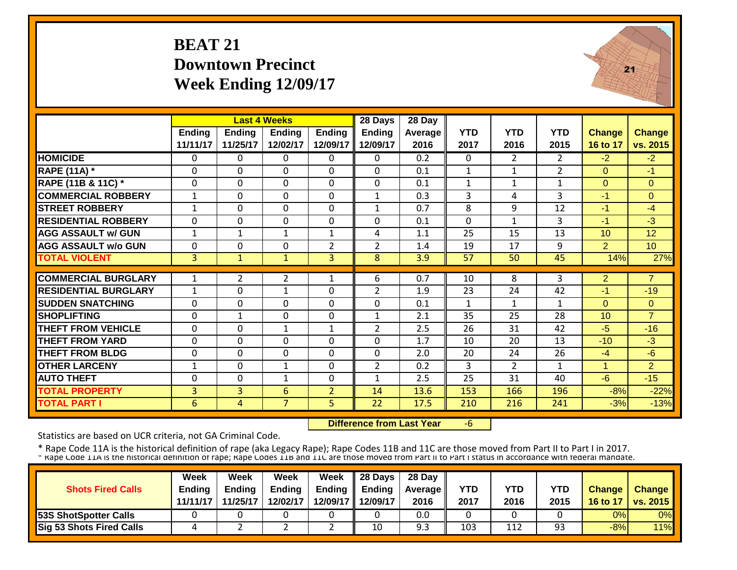## **BEAT 21Downtown Precinct Week Ending 12/09/17**



|                             |                | <b>Last 4 Weeks</b> |                |                | 28 Days        | 28 Day  |              |                |                |                |                 |
|-----------------------------|----------------|---------------------|----------------|----------------|----------------|---------|--------------|----------------|----------------|----------------|-----------------|
|                             | <b>Ending</b>  | <b>Ending</b>       | <b>Endina</b>  | <b>Ending</b>  | <b>Ending</b>  | Average | <b>YTD</b>   | <b>YTD</b>     | <b>YTD</b>     | <b>Change</b>  | <b>Change</b>   |
|                             | 11/11/17       | 11/25/17            | 12/02/17       | 12/09/17       | 12/09/17       | 2016    | 2017         | 2016           | 2015           | 16 to 17       | vs. 2015        |
| <b>HOMICIDE</b>             | 0              | $\Omega$            | $\mathbf{0}$   | $\mathbf{0}$   | $\Omega$       | 0.2     | 0            | $\overline{2}$ | $\overline{2}$ | $-2$           | $-2$            |
| RAPE (11A) *                | $\Omega$       | $\Omega$            | $\Omega$       | 0              | $\Omega$       | 0.1     | $\mathbf{1}$ | $\mathbf{1}$   | $\overline{2}$ | $\Omega$       | $-1$            |
| RAPE (11B & 11C) *          | $\mathbf 0$    | $\Omega$            | $\mathbf 0$    | 0              | $\Omega$       | 0.1     | $\mathbf{1}$ | $\mathbf{1}$   | $\mathbf{1}$   | $\Omega$       | $\Omega$        |
| <b>COMMERCIAL ROBBERY</b>   | $\mathbf{1}$   | $\Omega$            | $\Omega$       | $\Omega$       | $\mathbf{1}$   | 0.3     | 3            | 4              | 3              | $-1$           | $\Omega$        |
| <b>STREET ROBBERY</b>       | 1              | $\Omega$            | $\Omega$       | $\mathbf 0$    | 1              | 0.7     | 8            | $\mathbf{q}$   | 12             | $-1$           | $-4$            |
| <b>RESIDENTIAL ROBBERY</b>  | $\mathbf 0$    | $\Omega$            | $\Omega$       | $\mathbf 0$    | $\Omega$       | 0.1     | $\mathbf 0$  | $\mathbf{1}$   | 3              | $-1$           | $-3$            |
| <b>AGG ASSAULT w/ GUN</b>   | 1              | $\mathbf{1}$        | 1              | $\mathbf 1$    | 4              | 1.1     | 25           | 15             | 13             | 10             | 12              |
| <b>AGG ASSAULT w/o GUN</b>  | 0              | 0                   | $\mathbf 0$    | $\overline{2}$ | $\overline{2}$ | 1.4     | 19           | 17             | 9              | $\overline{2}$ | 10 <sup>°</sup> |
| <b>TOTAL VIOLENT</b>        | 3              | $\mathbf{1}$        | $\mathbf{1}$   | 3              | 8              | 3.9     | 57           | 50             | 45             | 14%            | 27%             |
|                             |                |                     |                |                |                |         |              |                |                |                |                 |
| <b>COMMERCIAL BURGLARY</b>  | 1              | $\overline{2}$      | $\overline{2}$ | 1              | 6              | 0.7     | 10           | 8              | 3              | $\overline{2}$ | $\overline{7}$  |
| <b>RESIDENTIAL BURGLARY</b> | 1              | 0                   | 1              | 0              | 2              | 1.9     | 23           | 24             | 42             | $-1$           | $-19$           |
| <b>SUDDEN SNATCHING</b>     | $\mathbf 0$    | $\Omega$            | $\Omega$       | 0              | $\Omega$       | 0.1     | $\mathbf{1}$ | $\mathbf{1}$   | 1              | $\Omega$       | $\Omega$        |
| <b>SHOPLIFTING</b>          | $\mathbf 0$    | $\mathbf{1}$        | $\mathbf 0$    | 0              | 1              | 2.1     | 35           | 25             | 28             | 10             | $\overline{7}$  |
| <b>THEFT FROM VEHICLE</b>   | $\mathbf 0$    | $\mathbf 0$         | 1              | 1              | $\overline{2}$ | 2.5     | 26           | 31             | 42             | $-5$           | $-16$           |
| <b>THEFT FROM YARD</b>      | $\mathbf 0$    | 0                   | $\mathbf 0$    | 0              | $\Omega$       | 1.7     | 10           | 20             | 13             | $-10$          | $-3$            |
| <b>THEFT FROM BLDG</b>      | $\mathbf 0$    | 0                   | $\mathbf 0$    | 0              | $\Omega$       | 2.0     | 20           | 24             | 26             | $-4$           | $-6$            |
| <b>OTHER LARCENY</b>        | $\mathbf{1}$   | $\Omega$            | $\mathbf{1}$   | $\Omega$       | $\overline{2}$ | 0.2     | 3            | $\overline{2}$ | 1              | 1              | 2               |
| <b>AUTO THEFT</b>           | $\Omega$       | $\Omega$            | $\mathbf{1}$   | $\Omega$       | 1              | 2.5     | 25           | 31             | 40             | $-6$           | $-15$           |
| <b>TOTAL PROPERTY</b>       | $\overline{3}$ | 3                   | 6              | $\overline{2}$ | 14             | 13.6    | 153          | 166            | 196            | $-8%$          | $-22%$          |
| <b>TOTAL PART I</b>         | 6              | 4                   | $\overline{7}$ | 5              | 22             | 17.5    | 210          | 216            | 241            | $-3%$          | $-13%$          |

 **Difference from Last Year**‐6

Statistics are based on UCR criteria, not GA Criminal Code.

| <b>Shots Fired Calls</b>        | Week<br><b>Endina</b><br>11/11/17 | Week<br><b>Ending</b><br>11/25/17 | Week<br><b>Ending</b><br>12/02/17 | Week | $\parallel$ 28 Days<br>Ending $\parallel$ Ending<br>12/09/17 12/09/17 | 28 Day<br><b>Average</b> II<br>2016 | YTD<br>2017 | YTD<br>2016 | YTD<br>2015 | <b>Change</b><br>16 to 17 | <b>Change</b><br><b>vs. 2015</b> |
|---------------------------------|-----------------------------------|-----------------------------------|-----------------------------------|------|-----------------------------------------------------------------------|-------------------------------------|-------------|-------------|-------------|---------------------------|----------------------------------|
| <b>53S ShotSpotter Calls</b>    |                                   |                                   |                                   |      |                                                                       | 0.0                                 |             |             |             | 0%                        | 0%                               |
| <b>Sig 53 Shots Fired Calls</b> |                                   |                                   |                                   | -    | 10                                                                    | 9.3                                 | 103         | 112         | 93          | $-8%$                     | 11%                              |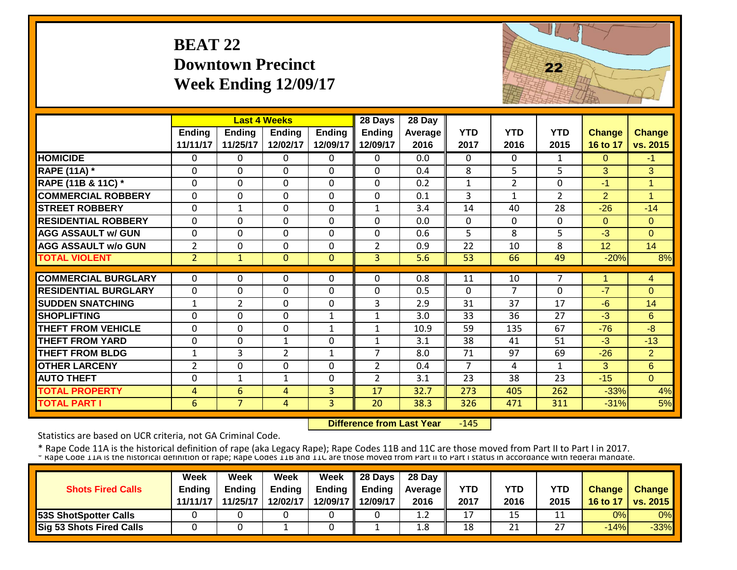#### **BEAT 22Downtown Precinct Week Ending 12/09/17**



|                                              |                           |                           | <b>Last 4 Weeks</b>       |                           | 28 Days                   | 28 Day            |                    |                    |                    |                           |                           |
|----------------------------------------------|---------------------------|---------------------------|---------------------------|---------------------------|---------------------------|-------------------|--------------------|--------------------|--------------------|---------------------------|---------------------------|
|                                              | <b>Ending</b><br>11/11/17 | <b>Ending</b><br>11/25/17 | <b>Ending</b><br>12/02/17 | <b>Ending</b><br>12/09/17 | <b>Ending</b><br>12/09/17 | Average  <br>2016 | <b>YTD</b><br>2017 | <b>YTD</b><br>2016 | <b>YTD</b><br>2015 | <b>Change</b><br>16 to 17 | <b>Change</b><br>vs. 2015 |
| <b>HOMICIDE</b>                              | $\mathbf{0}$              | $\Omega$                  | $\Omega$                  | $\Omega$                  | $\Omega$                  | 0.0               | $\Omega$           | 0                  | 1                  | $\Omega$                  | $-1$                      |
| <b>RAPE (11A) *</b>                          | $\Omega$                  | $\Omega$                  | $\Omega$                  | $\Omega$                  | $\Omega$                  | 0.4               | 8                  | 5                  | 5                  | 3                         | $\overline{3}$            |
| RAPE (11B & 11C) *                           | $\mathbf 0$               | 0                         | $\mathbf 0$               | $\mathbf 0$               | $\mathbf 0$               | 0.2               | $\mathbf{1}$       | $\overline{2}$     | $\mathbf{0}$       | $-1$                      | $\overline{1}$            |
| <b>COMMERCIAL ROBBERY</b>                    | $\Omega$                  | $\Omega$                  | $\mathbf 0$               | $\Omega$                  | $\mathbf 0$               | 0.1               | 3                  | $\mathbf{1}$       | $\overline{2}$     | $\overline{2}$            | $\overline{1}$            |
| <b>STREET ROBBERY</b>                        | $\Omega$                  | 1                         | $\Omega$                  | $\Omega$                  | $\mathbf{1}$              | 3.4               | 14                 | 40                 | $\overline{28}$    | $-26$                     | $-14$                     |
| <b>RESIDENTIAL ROBBERY</b>                   | $\Omega$                  | $\Omega$                  | $\Omega$                  | $\Omega$                  | $\Omega$                  | 0.0               | $\Omega$           | $\Omega$           | $\Omega$           | $\Omega$                  | $\Omega$                  |
| <b>AGG ASSAULT w/ GUN</b>                    | $\Omega$                  | $\Omega$                  | $\Omega$                  | $\Omega$                  | $\Omega$                  | 0.6               | 5                  | 8                  | 5                  | $-3$                      | $\Omega$                  |
| <b>AGG ASSAULT w/o GUN</b>                   | $\overline{2}$            | 0                         | $\Omega$                  | $\Omega$                  | 2                         | 0.9               | 22                 | 10                 | 8                  | 12                        | 14                        |
| <b>TOTAL VIOLENT</b>                         | $\overline{2}$            | $\mathbf{1}$              | $\mathbf{0}$              | $\mathbf{0}$              | $\overline{3}$            | 5.6               | 53                 | 66                 | 49                 | $-20%$                    | 8%                        |
| <b>COMMERCIAL BURGLARY</b>                   | $\mathbf{0}$              | 0                         | $\Omega$                  | $\Omega$                  | 0                         | 0.8               | 11                 | 10                 | 7                  | 4                         | 4                         |
| <b>RESIDENTIAL BURGLARY</b>                  |                           |                           | $\mathbf 0$               | $\Omega$                  | $\Omega$                  | 0.5               | $\Omega$           | 7                  | $\mathbf 0$        | $-7$                      | $\Omega$                  |
|                                              | 0                         | 0                         |                           |                           |                           |                   |                    | 37                 |                    |                           |                           |
| <b>SUDDEN SNATCHING</b>                      | $\mathbf{1}$              | $\overline{2}$            | $\Omega$                  | $\Omega$                  | 3                         | 2.9               | 31                 |                    | 17                 | $-6$                      | 14                        |
| <b>SHOPLIFTING</b>                           | $\Omega$                  | $\Omega$                  | $\Omega$                  | $\mathbf{1}$              | 1                         | 3.0               | 33                 | 36                 | 27                 | $-3$                      | 6                         |
| THEFT FROM VEHICLE<br><b>THEFT FROM YARD</b> | $\Omega$                  | $\Omega$                  | 0                         | $\mathbf 1$               | 1                         | 10.9              | 59                 | 135                | 67                 | $-76$                     | $-8$                      |
|                                              | $\Omega$                  | $\Omega$                  | $\mathbf{1}$              | $\Omega$                  | 1                         | 3.1               | 38                 | 41                 | 51                 | $-3$                      | $-13$                     |
| <b>THEFT FROM BLDG</b>                       | 1                         | 3                         | $\overline{2}$            | 1                         | 7                         | 8.0               | 71                 | 97                 | 69                 | $-26$                     | $\overline{2}$            |
| <b>OTHER LARCENY</b>                         | $\overline{2}$            | 0                         | 0                         | $\Omega$                  | $\overline{2}$            | 0.4               | $\overline{7}$     | 4                  | 1                  | 3                         | 6                         |
| <b>AUTO THEFT</b>                            | $\Omega$                  | $\mathbf{1}$              | $\mathbf{1}$              | $\Omega$                  | $\overline{2}$            | 3.1               | 23                 | 38                 | 23                 | $-15$                     | $\Omega$                  |
| <b>TOTAL PROPERTY</b>                        | 4                         | 6                         | 4                         | 3                         | 17                        | 32.7              | 273                | 405                | 262                | $-33%$                    | 4%                        |
| <b>TOTAL PART I</b>                          | 6                         | $\overline{7}$            | 4                         | 3 <sup>1</sup>            | 20                        | 38.3              | 326                | 471                | 311                | $-31%$                    | 5%                        |

 **Difference from Last Year** $-145$ 

Statistics are based on UCR criteria, not GA Criminal Code.

| <b>Shots Fired Calls</b>        | <b>Week</b><br><b>Ending</b><br>11/11/17 | Week<br><b>Ending</b><br>11/25/17 | Week<br><b>Ending</b><br>12/02/17 | Week | $\parallel$ 28 Days<br>Ending $\parallel$ Ending<br>12/09/17 12/09/17 | 28 Day<br><b>Average II</b><br>2016 | YTD<br>2017 | YTD<br>2016 | YTD<br>2015 | <b>Change</b><br>16 to 17 | <b>Change</b><br><b>vs. 2015</b> |
|---------------------------------|------------------------------------------|-----------------------------------|-----------------------------------|------|-----------------------------------------------------------------------|-------------------------------------|-------------|-------------|-------------|---------------------------|----------------------------------|
| <b>53S ShotSpotter Calls</b>    |                                          |                                   |                                   |      |                                                                       | 1.2                                 | 17          | 15          |             | 0%                        | 0%                               |
| <b>Sig 53 Shots Fired Calls</b> |                                          |                                   |                                   |      |                                                                       | 1.8                                 | 18          | 21          | דר          | $-14%$                    | $-33%$                           |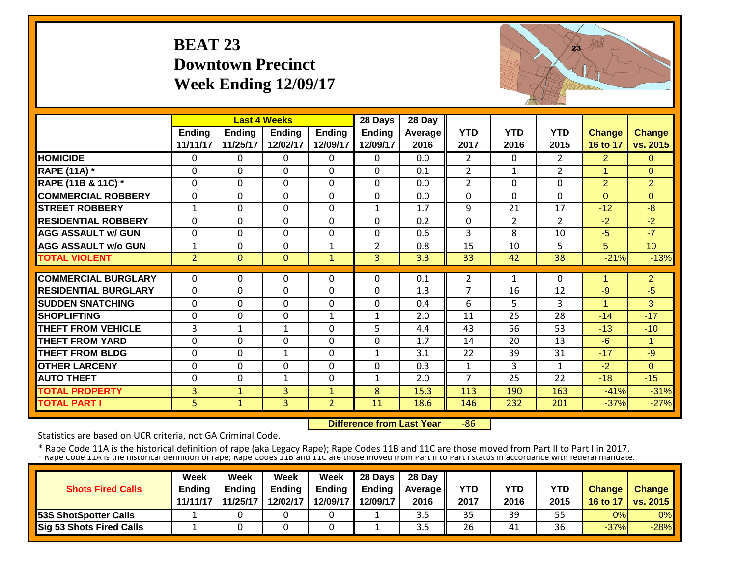#### **BEAT 23 Downtown Precinct Week Ending 12/09/17**



|                             |                           |                           | <b>Last 4 Weeks</b>       |                           | 28 Days                   | 28 Day             |                    |                    |                    |                           |                           |
|-----------------------------|---------------------------|---------------------------|---------------------------|---------------------------|---------------------------|--------------------|--------------------|--------------------|--------------------|---------------------------|---------------------------|
|                             | <b>Ending</b><br>11/11/17 | <b>Ending</b><br>11/25/17 | <b>Ending</b><br>12/02/17 | <b>Ending</b><br>12/09/17 | <b>Ending</b><br>12/09/17 | Average   <br>2016 | <b>YTD</b><br>2017 | <b>YTD</b><br>2016 | <b>YTD</b><br>2015 | <b>Change</b><br>16 to 17 | <b>Change</b><br>vs. 2015 |
| <b>HOMICIDE</b>             |                           |                           |                           |                           |                           |                    |                    |                    |                    |                           |                           |
|                             | $\Omega$                  | 0                         | $\Omega$                  | $\Omega$                  | $\Omega$                  | 0.0                | $\overline{2}$     | $\Omega$           | $\overline{2}$     | $\overline{2}$            | $\Omega$                  |
| <b>RAPE (11A) *</b>         | $\Omega$                  | 0                         | $\Omega$                  | $\Omega$                  | $\Omega$                  | 0.1                | $\overline{2}$     | 1                  | $\overline{2}$     | $\overline{1}$            | $\mathbf{0}$              |
| RAPE (11B & 11C) *          | $\Omega$                  | $\Omega$                  | $\Omega$                  | $\mathbf 0$               | $\mathbf 0$               | 0.0                | $\overline{2}$     | $\Omega$           | $\Omega$           | $\overline{2}$            | $\overline{2}$            |
| <b>COMMERCIAL ROBBERY</b>   | $\Omega$                  | $\Omega$                  | $\mathbf 0$               | $\Omega$                  | $\mathbf 0$               | 0.0                | $\Omega$           | $\Omega$           | $\Omega$           | $\Omega$                  | $\Omega$                  |
| <b>STREET ROBBERY</b>       | $\mathbf{1}$              | 0                         | $\mathbf 0$               | $\mathbf 0$               | 1                         | 1.7                | 9                  | 21                 | 17                 | $-12$                     | $-8$                      |
| <b>RESIDENTIAL ROBBERY</b>  | $\Omega$                  | 0                         | $\Omega$                  | $\Omega$                  | 0                         | 0.2                | $\Omega$           | $\overline{2}$     | $\overline{2}$     | $-2$                      | $-2$                      |
| <b>AGG ASSAULT w/ GUN</b>   | $\mathbf 0$               | 0                         | $\Omega$                  | $\Omega$                  | 0                         | 0.6                | 3                  | 8                  | 10                 | $-5$                      | $-7$                      |
| <b>AGG ASSAULT w/o GUN</b>  | 1                         | 0                         | $\Omega$                  | 1                         | $\overline{2}$            | 0.8                | 15                 | 10                 | 5                  | 5                         | 10 <sup>°</sup>           |
| <b>TOTAL VIOLENT</b>        | 2 <sup>2</sup>            | $\overline{0}$            | $\mathbf{0}$              | $\mathbf{1}$              | $\overline{3}$            | 3.3                | 33                 | 42                 | 38                 | $-21%$                    | $-13%$                    |
|                             |                           |                           |                           |                           |                           |                    |                    |                    |                    |                           |                           |
| <b>COMMERCIAL BURGLARY</b>  | $\Omega$                  | 0                         | $\Omega$                  | $\Omega$                  | $\Omega$                  | 0.1                | 2                  | 1                  | 0                  | 1                         | $\overline{2}$            |
| <b>RESIDENTIAL BURGLARY</b> | $\mathbf{0}$              | 0                         | $\Omega$                  | $\Omega$                  | $\Omega$                  | 1.3                | $\overline{7}$     | 16                 | 12                 | $-9$                      | $-5$                      |
| <b>SUDDEN SNATCHING</b>     | $\Omega$                  | 0                         | $\Omega$                  | $\Omega$                  | $\Omega$                  | 0.4                | 6                  | 5.                 | 3                  |                           | $\overline{3}$            |
| <b>SHOPLIFTING</b>          | $\Omega$                  | 0                         | $\Omega$                  | 1                         | $\mathbf{1}$              | 2.0                | 11                 | 25                 | 28                 | $-14$                     | $-17$                     |
| <b>THEFT FROM VEHICLE</b>   | 3                         | 1                         | 1                         | $\Omega$                  | 5                         | 4.4                | 43                 | 56                 | 53                 | $-13$                     | $-10$                     |
| <b>THEFT FROM YARD</b>      | $\Omega$                  | 0                         | $\Omega$                  | $\Omega$                  | $\mathbf 0$               | 1.7                | 14                 | 20                 | 13                 | $-6$                      | 1                         |
| <b>THEFT FROM BLDG</b>      | $\Omega$                  | 0                         | $\mathbf{1}$              | 0                         | $\mathbf{1}$              | 3.1                | 22                 | 39                 | 31                 | $-17$                     | $-9$                      |
| <b>OTHER LARCENY</b>        | $\Omega$                  | 0                         | $\Omega$                  | $\Omega$                  | 0                         | 0.3                | 1                  | 3                  | 1                  | $-2$                      | $\Omega$                  |
| <b>AUTO THEFT</b>           | $\mathbf 0$               | 0                         | $\mathbf{1}$              | $\Omega$                  | $\mathbf{1}$              | 2.0                | $\overline{7}$     | 25                 | 22                 | $-18$                     | $-15$                     |
| <b>TOTAL PROPERTY</b>       | 3 <sup>1</sup>            | $\mathbf{1}$              | 3                         | $\mathbf{1}$              | 8                         | 15.3               | 113                | 190                | 163                | $-41%$                    | $-31%$                    |
| <b>TOTAL PART I</b>         | 5 <sup>1</sup>            | $\mathbf{1}$              | 3                         | $\overline{2}$            | 11                        | 18.6               | 146                | 232                | 201                | $-37%$                    | $-27%$                    |

 **Difference from Last Year** $-86$ 

Statistics are based on UCR criteria, not GA Criminal Code.

| <b>Shots Fired Calls</b>        | Week<br><b>Endina</b><br>11/11/17 | Week<br><b>Ending</b><br>11/25/17 | Week<br><b>Ending</b><br>12/02/17 | Week | $\parallel$ 28 Days<br>Ending $\parallel$ Ending<br>12/09/17 12/09/17 | 28 Day<br><b>Average</b> II<br>2016 | YTD<br>2017 | YTD<br>2016 | YTD<br>2015 | <b>Change</b><br>16 to 17 | <b>Change</b><br><b>vs. 2015</b> |
|---------------------------------|-----------------------------------|-----------------------------------|-----------------------------------|------|-----------------------------------------------------------------------|-------------------------------------|-------------|-------------|-------------|---------------------------|----------------------------------|
| <b>53S ShotSpotter Calls</b>    |                                   |                                   |                                   |      |                                                                       | ں د                                 | 35          | 39          | 55          | 0%                        | 0%                               |
| <b>Sig 53 Shots Fired Calls</b> |                                   |                                   |                                   |      |                                                                       | ں د                                 | 26          | 41          | 36          | $-37%$                    | $-28%$                           |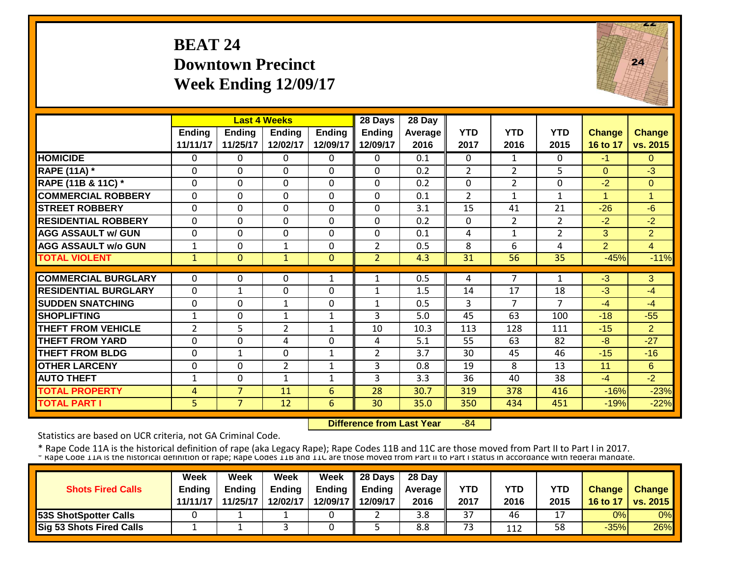## **BEAT 24Downtown Precinct Week Ending 12/09/17**



|                             |                |                | <b>Last 4 Weeks</b> |               | 28 Days        | 28 Day  |                |                |                |                |                |
|-----------------------------|----------------|----------------|---------------------|---------------|----------------|---------|----------------|----------------|----------------|----------------|----------------|
|                             | <b>Ending</b>  | <b>Ending</b>  | <b>Ending</b>       | <b>Ending</b> | <b>Ending</b>  | Average | <b>YTD</b>     | <b>YTD</b>     | <b>YTD</b>     | <b>Change</b>  | <b>Change</b>  |
|                             | 11/11/17       | 11/25/17       | 12/02/17            | 12/09/17      | 12/09/17       | 2016    | 2017           | 2016           | 2015           | 16 to 17       | vs. 2015       |
| <b>HOMICIDE</b>             | $\mathbf{0}$   | 0              | $\Omega$            | $\Omega$      | $\Omega$       | 0.1     | $\mathbf{0}$   | $\mathbf{1}$   | 0              | $-1$           | $\Omega$       |
| <b>RAPE (11A) *</b>         | $\Omega$       | 0              | $\Omega$            | $\Omega$      | $\Omega$       | 0.2     | $\overline{2}$ | $\overline{2}$ | 5              | $\Omega$       | $-3$           |
| RAPE (11B & 11C) *          | $\mathbf 0$    | $\Omega$       | $\Omega$            | $\Omega$      | $\mathbf 0$    | 0.2     | 0              | $\overline{2}$ | $\Omega$       | $-2$           | $\Omega$       |
| <b>COMMERCIAL ROBBERY</b>   | $\Omega$       | 0              | $\Omega$            | $\Omega$      | $\mathbf{0}$   | 0.1     | 2              | 1              | $\mathbf{1}$   | 1              | 1              |
| <b>STREET ROBBERY</b>       | $\mathbf 0$    | 0              | $\mathbf 0$         | $\mathbf 0$   | $\mathbf{0}$   | 3.1     | 15             | 41             | 21             | $-26$          | $-6$           |
| <b>RESIDENTIAL ROBBERY</b>  | $\Omega$       | 0              | $\Omega$            | 0             | $\mathbf 0$    | 0.2     | $\mathbf{0}$   | $\overline{2}$ | $\overline{2}$ | $-2$           | $-2$           |
| <b>AGG ASSAULT w/ GUN</b>   | $\Omega$       | 0              | 0                   | $\Omega$      | $\mathbf 0$    | 0.1     | 4              | 1              | $\overline{2}$ | 3              | $\overline{2}$ |
| <b>AGG ASSAULT w/o GUN</b>  | $\mathbf{1}$   | 0              | $\mathbf{1}$        | 0             | $\overline{2}$ | 0.5     | 8              | 6              | 4              | $\overline{2}$ | 4              |
| <b>TOTAL VIOLENT</b>        | $\mathbf{1}$   | 0              | $\mathbf{1}$        | $\mathbf{0}$  | $\overline{2}$ | 4.3     | 31             | 56             | 35             | $-45%$         | $-11%$         |
|                             |                |                |                     |               |                |         |                |                |                |                |                |
| <b>COMMERCIAL BURGLARY</b>  | $\mathbf{0}$   | 0              | $\Omega$            | 1             | 1              | 0.5     | 4              |                | 1              | $-3$           | 3              |
| <b>RESIDENTIAL BURGLARY</b> | $\Omega$       | 1              | 0                   | $\Omega$      | $\mathbf{1}$   | 1.5     | 14             | 17             | 18             | $-3$           | $-4$           |
| <b>SUDDEN SNATCHING</b>     | $\Omega$       | 0              | 1                   | 0             | 1              | 0.5     | 3              | 7              | $\overline{7}$ | $-4$           | $-4$           |
| <b>SHOPLIFTING</b>          | 1              | 0              | 1                   | 1             | 3              | 5.0     | 45             | 63             | 100            | $-18$          | $-55$          |
| <b>THEFT FROM VEHICLE</b>   | $\overline{2}$ | 5              | $\overline{2}$      | 1             | 10             | 10.3    | 113            | 128            | 111            | $-15$          | $\overline{2}$ |
| <b>THEFT FROM YARD</b>      | $\Omega$       | $\Omega$       | 4                   | 0             | 4              | 5.1     | 55             | 63             | 82             | -8             | $-27$          |
| <b>THEFT FROM BLDG</b>      | $\Omega$       | $\mathbf{1}$   | $\Omega$            | $\mathbf{1}$  | $\overline{2}$ | 3.7     | 30             | 45             | 46             | $-15$          | $-16$          |
| <b>OTHER LARCENY</b>        | $\Omega$       | 0              | $\overline{2}$      | $\mathbf{1}$  | 3              | 0.8     | 19             | 8              | 13             | 11             | 6              |
| <b>AUTO THEFT</b>           | $\mathbf{1}$   | 0              | $\mathbf{1}$        | $\mathbf{1}$  | 3              | 3.3     | 36             | 40             | 38             | $-4$           | $-2$           |
| <b>TOTAL PROPERTY</b>       | 4              | $\overline{7}$ | 11                  | 6             | 28             | 30.7    | 319            | 378            | 416            | $-16%$         | $-23%$         |
| <b>TOTAL PART I</b>         | 5              | $\overline{7}$ | 12                  | 6             | 30             | 35.0    | 350            | 434            | 451            | $-19%$         | $-22%$         |

 **Difference from Last Year**‐84

Statistics are based on UCR criteria, not GA Criminal Code.

|                                 | Week          | Week          | Week          | Week     | 28 Days       | 28 Day            |      |            |      |               |                 |
|---------------------------------|---------------|---------------|---------------|----------|---------------|-------------------|------|------------|------|---------------|-----------------|
| <b>Shots Fired Calls</b>        | <b>Ending</b> | <b>Endina</b> | <b>Ending</b> | Ending   | <b>Ending</b> | <b>Average II</b> | YTD  | <b>YTD</b> | YTD  | <b>Change</b> | <b>Change</b>   |
|                                 | 11/11/17      | 11/25/17      | 12/02/17      | 12/09/17 | 12/09/17      | 2016              | 2017 | 2016       | 2015 | 16 to 17      | <b>vs. 2015</b> |
| <b>153S ShotSpotter Calls</b>   |               |               |               |          |               | 3.8               | 37   | 46         |      | 0%            | 0%              |
| <b>Sig 53 Shots Fired Calls</b> |               |               |               |          |               | 8.8               | 73   | 112        | 58   | $-35%$        | 26%             |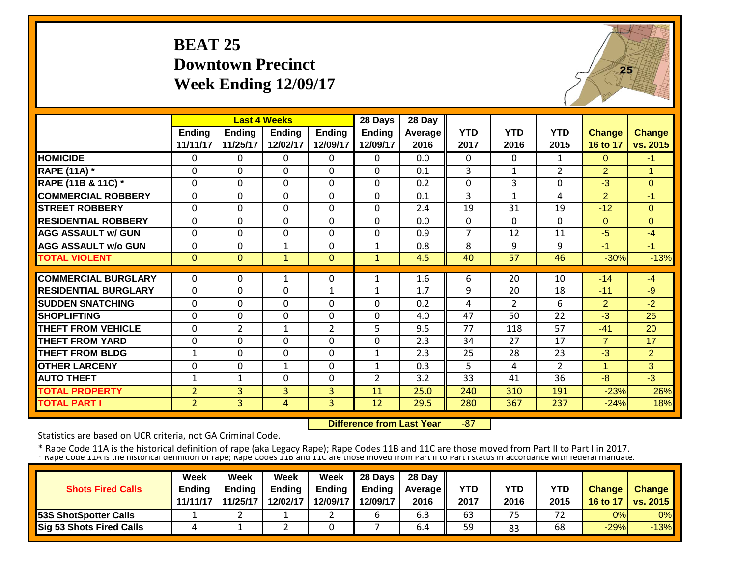#### **BEAT 25Downtown Precinct Week Ending 12/09/17**



|                             |                |                | <b>Last 4 Weeks</b> |                | 28 Days       | 28 Day  |                |                |                 |                |                |
|-----------------------------|----------------|----------------|---------------------|----------------|---------------|---------|----------------|----------------|-----------------|----------------|----------------|
|                             | <b>Ending</b>  | <b>Ending</b>  | <b>Ending</b>       | Ending         | <b>Ending</b> | Average | <b>YTD</b>     | <b>YTD</b>     | <b>YTD</b>      | <b>Change</b>  | <b>Change</b>  |
|                             | 11/11/17       | 11/25/17       | 12/02/17            | 12/09/17       | 12/09/17      | 2016    | 2017           | 2016           | 2015            | 16 to 17       | vs. 2015       |
| <b>HOMICIDE</b>             | $\Omega$       | 0              | $\Omega$            | $\Omega$       | 0             | 0.0     | $\mathbf{0}$   | $\Omega$       | $\mathbf{1}$    | $\Omega$       | $-1$           |
| <b>RAPE (11A)</b> *         | $\mathbf{0}$   | 0              | $\mathbf 0$         | $\mathbf 0$    | $\mathbf 0$   | 0.1     | 3              | $\mathbf{1}$   | $\overline{2}$  | $\overline{2}$ | 1              |
| RAPE (11B & 11C) *          | $\mathbf{0}$   | 0              | $\mathbf 0$         | $\mathbf 0$    | 0             | 0.2     | $\mathbf 0$    | 3              | 0               | $-3$           | $\Omega$       |
| <b>COMMERCIAL ROBBERY</b>   | $\mathbf{0}$   | 0              | $\mathbf 0$         | $\mathbf 0$    | 0             | 0.1     | 3              | $\mathbf{1}$   | 4               | $\overline{2}$ | $-1$           |
| <b>STREET ROBBERY</b>       | $\mathbf{0}$   | 0              | $\mathbf 0$         | $\Omega$       | $\mathbf 0$   | 2.4     | 19             | 31             | 19              | $-12$          | $\mathbf{0}$   |
| <b>RESIDENTIAL ROBBERY</b>  | $\Omega$       | 0              | 0                   | $\Omega$       | 0             | 0.0     | $\mathbf{0}$   | $\Omega$       | $\Omega$        | $\Omega$       | $\Omega$       |
| <b>AGG ASSAULT w/ GUN</b>   | $\mathbf{0}$   | 0              | $\mathbf 0$         | $\mathbf 0$    | 0             | 0.9     | $\overline{7}$ | 12             | 11              | $-5$           | $-4$           |
| <b>AGG ASSAULT w/o GUN</b>  | $\mathbf 0$    | 0              | 1                   | $\Omega$       | $\mathbf{1}$  | 0.8     | 8              | 9              | 9               | $-1$           | $-1$           |
| <b>TOTAL VIOLENT</b>        | $\mathbf{0}$   | $\overline{0}$ | $\mathbf{1}$        | $\mathbf{0}$   | $\mathbf{1}$  | 4.5     | 40             | 57             | 46              | $-30%$         | $-13%$         |
|                             |                |                |                     |                |               |         |                |                |                 |                |                |
| <b>COMMERCIAL BURGLARY</b>  | $\Omega$       | 0              | 1                   | $\Omega$       | 1             | 1.6     | 6              | 20             | 10              | $-14$          | $-4$           |
| <b>RESIDENTIAL BURGLARY</b> | $\Omega$       | 0              | $\mathbf 0$         | $\mathbf{1}$   | $\mathbf{1}$  | 1.7     | 9              | 20             | 18              | $-11$          | $-9$           |
| <b>SUDDEN SNATCHING</b>     | $\mathbf 0$    | 0              | 0                   | $\Omega$       | $\Omega$      | 0.2     | $\overline{4}$ | $\overline{2}$ | 6               | $\overline{2}$ | $-2$           |
| <b>SHOPLIFTING</b>          | $\mathbf{0}$   | 0              | $\mathbf 0$         | 0              | $\mathbf 0$   | 4.0     | 47             | 50             | 22              | $-3$           | 25             |
| <b>THEFT FROM VEHICLE</b>   | $\mathbf{0}$   | $\overline{2}$ | $\mathbf{1}$        | $\overline{2}$ | 5             | 9.5     | 77             | 118            | $\overline{57}$ | $-41$          | 20             |
| <b>THEFT FROM YARD</b>      | 0              | 0              | $\mathbf 0$         | $\Omega$       | 0             | 2.3     | 34             | 27             | 17              | $\overline{7}$ | 17             |
| <b>THEFT FROM BLDG</b>      | $\mathbf{1}$   | 0              | 0                   | $\Omega$       | $\mathbf{1}$  | 2.3     | 25             | 28             | 23              | $-3$           | 2              |
| <b>OTHER LARCENY</b>        | 0              | 0              | $\mathbf{1}$        | $\Omega$       | $\mathbf{1}$  | 0.3     | 5              | 4              | $\overline{2}$  | 1              | 3 <sup>1</sup> |
| <b>AUTO THEFT</b>           | $\mathbf{1}$   | 1              | 0                   | $\Omega$       | 2             | 3.2     | 33             | 41             | 36              | $-8$           | $-3$           |
| <b>TOTAL PROPERTY</b>       | $\overline{2}$ | 3              | 3                   | 3              | 11            | 25.0    | 240            | 310            | 191             | $-23%$         | 26%            |
| <b>TOTAL PART I</b>         | 2 <sup>1</sup> | 3              | 4                   | 3              | 12            | 29.5    | 280            | 367            | 237             | $-24%$         | 18%            |

 **Difference from Last Year**‐87

Statistics are based on UCR criteria, not GA Criminal Code.

|                                 | Week          | Week          | Week          | Week     | 28 Days       | 28 Day            |      |      |      |               |                     |
|---------------------------------|---------------|---------------|---------------|----------|---------------|-------------------|------|------|------|---------------|---------------------|
| <b>Shots Fired Calls</b>        | <b>Ending</b> | <b>Ending</b> | <b>Ending</b> | Ending   | <b>Ending</b> | <b>Average II</b> | YTD  | YTD  | YTD  | <b>Change</b> | <b>Change</b>       |
|                                 | 11/11/17      | 11/25/17      | 12/02/17      | 12/09/17 | 12/09/17      | 2016              | 2017 | 2016 | 2015 |               | 16 to 17   vs. 2015 |
| <b>53S ShotSpotter Calls</b>    |               |               |               |          |               | 6.3               | 63   | 75   | 72   | 0%            | 0% <b>I</b>         |
| <b>Sig 53 Shots Fired Calls</b> |               |               |               |          |               | 6.4               | 59   | 83   | 68   | $-29%$        | $-13%$              |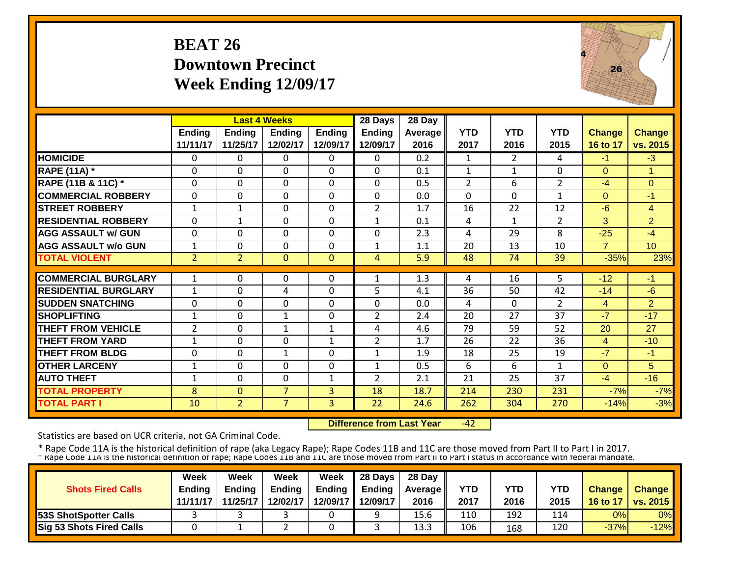## **BEAT 26 Downtown Precinct Week Ending 12/09/17**



|                             |                |                | <b>Last 4 Weeks</b> |                | 28 Days        | 28 Day  |                |                |                |                |                 |
|-----------------------------|----------------|----------------|---------------------|----------------|----------------|---------|----------------|----------------|----------------|----------------|-----------------|
|                             | <b>Ending</b>  | <b>Ending</b>  | <b>Ending</b>       | <b>Ending</b>  | <b>Ending</b>  | Average | <b>YTD</b>     | <b>YTD</b>     | <b>YTD</b>     | <b>Change</b>  | <b>Change</b>   |
|                             | 11/11/17       | 11/25/17       | 12/02/17            | 12/09/17       | 12/09/17       | 2016    | 2017           | 2016           | 2015           | 16 to 17       | vs. 2015        |
| <b>HOMICIDE</b>             | $\Omega$       | 0              | 0                   | 0              | 0              | 0.2     | 1              | $\overline{2}$ | 4              | $-1$           | $-3$            |
| <b>RAPE (11A)</b> *         | $\Omega$       | $\Omega$       | $\Omega$            | $\Omega$       | $\Omega$       | 0.1     | $\mathbf{1}$   | $\mathbf{1}$   | $\Omega$       | $\Omega$       | $\overline{1}$  |
| RAPE (11B & 11C) *          | $\mathbf 0$    | 0              | 0                   | $\Omega$       | $\Omega$       | 0.5     | $\overline{2}$ | 6              | $\overline{2}$ | $-4$           | $\overline{0}$  |
| <b>COMMERCIAL ROBBERY</b>   | $\Omega$       | 0              | 0                   | $\Omega$       | $\Omega$       | 0.0     | $\Omega$       | $\Omega$       | 1              | $\Omega$       | -1              |
| <b>STREET ROBBERY</b>       | $\mathbf{1}$   | $\mathbf{1}$   | $\mathbf 0$         | $\Omega$       | $\overline{2}$ | 1.7     | 16             | 22             | 12             | $-6$           | $\overline{4}$  |
| <b>RESIDENTIAL ROBBERY</b>  | $\Omega$       | $\mathbf{1}$   | $\Omega$            | $\Omega$       | $\mathbf{1}$   | 0.1     | 4              | 1              | $\overline{2}$ | 3              | $\overline{2}$  |
| <b>AGG ASSAULT w/ GUN</b>   | $\Omega$       | 0              | 0                   | 0              | $\Omega$       | 2.3     | 4              | 29             | 8              | $-25$          | $-4$            |
| <b>AGG ASSAULT w/o GUN</b>  | 1              | 0              | $\mathbf 0$         | $\Omega$       | 1              | 1.1     | 20             | 13             | 10             | $\overline{7}$ | 10 <sup>°</sup> |
| <b>TOTAL VIOLENT</b>        | $\overline{2}$ | $\overline{2}$ | $\Omega$            | $\Omega$       | 4              | 5.9     | 48             | 74             | 39             | $-35%$         | 23%             |
|                             |                |                |                     |                |                |         |                |                |                |                |                 |
| <b>COMMERCIAL BURGLARY</b>  | 1              | 0              | 0                   | 0              | 1              | 1.3     | 4              | 16             | 5              | $-12$          | $-1$            |
| <b>RESIDENTIAL BURGLARY</b> | 1              | 0              | 4                   | 0              | 5              | 4.1     | 36             | 50             | 42             | $-14$          | $-6$            |
| <b>SUDDEN SNATCHING</b>     | $\Omega$       | 0              | $\Omega$            | 0              | $\Omega$       | 0.0     | 4              | $\Omega$       | $\overline{2}$ | $\overline{4}$ | $\overline{2}$  |
| <b>SHOPLIFTING</b>          | $\mathbf 1$    | 0              | 1                   | 0              | 2              | 2.4     | 20             | 27             | 37             | $-7$           | $-17$           |
| <b>THEFT FROM VEHICLE</b>   | $\overline{2}$ | 0              | 1                   | 1              | 4              | 4.6     | 79             | 59             | 52             | 20             | 27              |
| <b>THEFT FROM YARD</b>      | 1              | 0              | 0                   | 1              | $\overline{2}$ | 1.7     | 26             | 22             | 36             | $\overline{4}$ | $-10$           |
| <b>THEFT FROM BLDG</b>      | $\Omega$       | 0              | 1                   | $\Omega$       | $\mathbf{1}$   | 1.9     | 18             | 25             | 19             | $-7$           | -1              |
| <b>OTHER LARCENY</b>        | 1              | 0              | 0                   | 0              | 1              | 0.5     | 6              | 6              | $\mathbf{1}$   | $\Omega$       | 5               |
| <b>AUTO THEFT</b>           | $\mathbf{1}$   | 0              | 0                   | $\mathbf{1}$   | $\overline{2}$ | 2.1     | 21             | 25             | 37             | $-4$           | $-16$           |
| <b>TOTAL PROPERTY</b>       | 8              | $\Omega$       | $\overline{7}$      | 3              | 18             | 18.7    | 214            | 230            | 231            | $-7%$          | $-7%$           |
| <b>TOTAL PART I</b>         | 10             | $\overline{2}$ | $\overline{7}$      | $\overline{3}$ | 22             | 24.6    | 262            | 304            | 270            | $-14%$         | $-3%$           |

 **Difference from Last Year** $-42$ 

Statistics are based on UCR criteria, not GA Criminal Code.

|                              | <b>Week</b>   | Week          | Week          | Week | $\parallel$ 28 Days       | 28 Day            |      |      |      |               |                 |
|------------------------------|---------------|---------------|---------------|------|---------------------------|-------------------|------|------|------|---------------|-----------------|
| <b>Shots Fired Calls</b>     | <b>Endina</b> | <b>Ending</b> | <b>Ending</b> |      | Ending $\parallel$ Ending | <b>Average</b> II | YTD  | YTD  | YTD  | <b>Change</b> | <b>Change</b>   |
|                              | 11/11/17      | 11/25/17      | 12/02/17      |      | 12/09/17 12/09/17         | 2016              | 2017 | 2016 | 2015 | 16 to 17      | <b>vs. 2015</b> |
| <b>53S ShotSpotter Calls</b> |               |               |               |      |                           | 15.6              | 110  | 192  | 114  | 0%            | 0%              |
| Sig 53 Shots Fired Calls     |               |               |               |      |                           | 13.3              | 106  | 168  | 120  | $-37%$        | $-12%$          |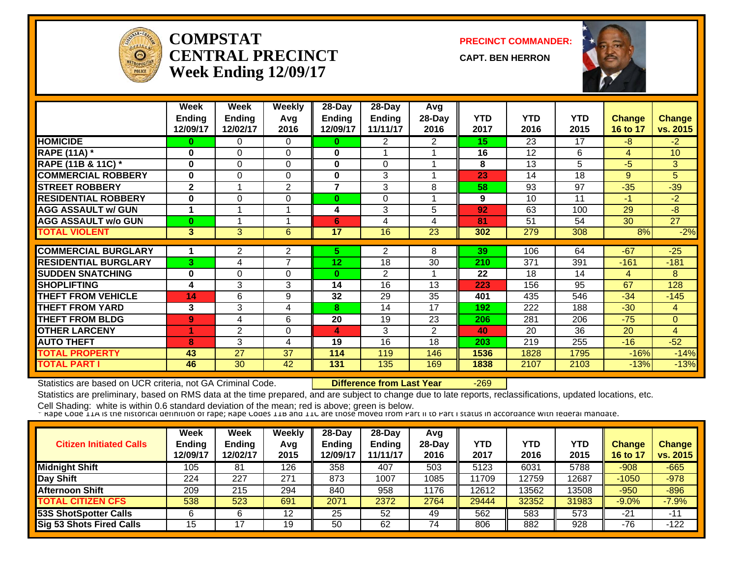

#### **COMPSTATCENTRAL PRECINCTWeek Ending 12/09/17**

**PRECINCT COMMANDER:**

**CAPT. BEN HERRON**



|                             | Week<br><b>Ending</b><br>12/09/17 | Week<br>Ending<br>12/02/17 | Weekly<br>Avq<br>2016 | $28-Day$<br><b>Ending</b><br>12/09/17 | $28$ -Day<br><b>Ending</b><br>11/11/17 | Avg<br>28-Day<br>2016 | <b>YTD</b><br>2017 | <b>YTD</b><br>2016 | <b>YTD</b><br>2015 | <b>Change</b><br>16 to 17 | <b>Change</b><br>vs. 2015 |
|-----------------------------|-----------------------------------|----------------------------|-----------------------|---------------------------------------|----------------------------------------|-----------------------|--------------------|--------------------|--------------------|---------------------------|---------------------------|
| <b>HOMICIDE</b>             | 0                                 | 0                          | $\Omega$              | 0                                     | 2                                      | $\overline{2}$        | 15 <sub>1</sub>    | 23                 | 17                 | $-8$                      | $-2$                      |
| <b>RAPE (11A) *</b>         | 0                                 | 0                          | $\Omega$              | $\bf{0}$                              |                                        |                       | 16                 | 12                 | 6                  | $\overline{4}$            | 10                        |
| RAPE (11B & 11C) *          | 0                                 | 0                          | $\Omega$              | $\bf{0}$                              | $\Omega$                               |                       | 8                  | 13                 | 5                  | $-5$                      | 3                         |
| <b>COMMERCIAL ROBBERY</b>   | 0                                 | 0                          | 0                     | 0                                     | 3                                      |                       | 23                 | 14                 | 18                 | 9                         | 5                         |
| <b>STREET ROBBERY</b>       | $\mathbf{2}$                      |                            | 2                     | 7                                     | 3                                      | 8                     | 58                 | 93                 | 97                 | $-35$                     | $-39$                     |
| <b>RESIDENTIAL ROBBERY</b>  | 0                                 | $\Omega$                   | $\Omega$              | 0                                     | $\Omega$                               |                       | 9                  | 10                 | 11                 | $-1$                      | $-2$                      |
| <b>AGG ASSAULT w/ GUN</b>   | 1                                 | 1                          |                       | 4                                     | 3                                      | 5                     | 92                 | 63                 | 100                | 29                        | -8                        |
| <b>AGG ASSAULT w/o GUN</b>  | $\bf{0}$                          | 4                          |                       | 6                                     | 4                                      | 4                     | 81                 | 51                 | 54                 | 30                        | 27                        |
| <b>TOTAL VIOLENT</b>        | 3                                 | 3                          | 6                     | 17                                    | 16                                     | 23                    | 302                | 279                | 308                | 8%                        | $-2%$                     |
|                             |                                   |                            |                       |                                       |                                        |                       |                    |                    |                    |                           |                           |
| <b>COMMERCIAL BURGLARY</b>  | 1                                 | 2                          | 2                     | 5.                                    | 2                                      | 8                     | 39                 | 106                | 64                 | $-67$                     | $-25$                     |
| <b>RESIDENTIAL BURGLARY</b> | 3                                 | 4                          | $\overline{7}$        | 12                                    | 18                                     | 30                    | 210                | 371                | 391                | $-161$                    | $-181$                    |
| <b>SUDDEN SNATCHING</b>     | 0                                 | 0                          | $\Omega$              | 0                                     | 2                                      |                       | 22                 | 18                 | 14                 | 4                         | 8                         |
| <b>SHOPLIFTING</b>          | 4                                 | 3                          | 3                     | 14                                    | 16                                     | 13                    | 223                | 156                | 95                 | 67                        | 128                       |
| <b>THEFT FROM VEHICLE</b>   | 14                                | 6                          | 9                     | 32                                    | 29                                     | 35                    | 401                | 435                | 546                | $-34$                     | $-145$                    |
| <b>THEFT FROM YARD</b>      | $\mathbf{3}$                      | 3                          | 4                     | 8                                     | 14                                     | 17                    | 192                | 222                | 188                | $-30$                     | 4                         |
| <b>THEFT FROM BLDG</b>      | 9                                 | 4                          | 6                     | 20                                    | 19                                     | 23                    | 206                | 281                | 206                | $-75$                     | $\overline{0}$            |
| <b>OTHER LARCENY</b>        |                                   | $\overline{2}$             | $\Omega$              | 4                                     | 3                                      | $\overline{2}$        | 40                 | 20                 | 36                 | 20                        | $\overline{4}$            |
| <b>AUTO THEFT</b>           | 8                                 | 3                          | 4                     | 19                                    | 16                                     | 18                    | 203                | 219                | 255                | $-16$                     | $-52$                     |
| <b>TOTAL PROPERTY</b>       | 43                                | 27                         | 37                    | 114                                   | 119                                    | 146                   | 1536               | 1828               | 1795               | $-16%$                    | $-14%$                    |
| <b>TOTAL PART I</b>         | 46                                | 30                         | 42                    | 131                                   | 135                                    | 169                   | 1838               | 2107               | 2103               | $-13%$                    | $-13%$                    |

Statistics are based on UCR criteria, not GA Criminal Code. **Difference from Last Year** -269

Statistics are preliminary, based on RMS data at the time prepared, and are subject to change due to late reports, reclassifications, updated locations, etc.

| <b>Citizen Initiated Calls</b> | Week<br><b>Ending</b><br>12/09/17 | <b>Week</b><br>Ending<br>12/02/17 | Weekly<br>Avg<br>2015 | $28-Dav$<br><b>Ending</b><br>12/09/17 | 28-Dav<br><b>Ending</b><br>11/11/17 | Avg<br>$28-Day$<br>2016 | YTD<br>2017 | YTD<br>2016 | <b>YTD</b><br>2015 | Change<br>16 to 17 | <b>Change</b><br>vs. 2015 |
|--------------------------------|-----------------------------------|-----------------------------------|-----------------------|---------------------------------------|-------------------------------------|-------------------------|-------------|-------------|--------------------|--------------------|---------------------------|
| <b>Midnight Shift</b>          | 105                               | 81                                | 126                   | 358                                   | 407                                 | 503                     | 5123        | 6031        | 5788               | $-908$             | $-665$                    |
| Day Shift                      | 224                               | 227                               | 271                   | 873                                   | 1007                                | 1085                    | 11709       | 12759       | 12687              | $-1050$            | $-978$                    |
| <b>Afternoon Shift</b>         | 209                               | 215                               | 294                   | 840                                   | 958                                 | 1176                    | 12612       | 13562       | 13508              | $-950$             | $-896$                    |
| <b>TOTAL CITIZEN CFS</b>       | 538                               | 523                               | 691                   | 2071                                  | 2372                                | 2764                    | 29444       | 32352       | 31983              | $-9.0%$            | $-7.9%$                   |
| 53S ShotSpotter Calls          |                                   |                                   | 12                    | 25                                    | 52                                  | 49                      | 562         | 583         | 573                | $-21$              | $-11$                     |
| Sig 53 Shots Fired Calls       | 15                                |                                   | 19                    | 50                                    | 62                                  | 74                      | 806         | 882         | 928                | $-76$              | $-122$                    |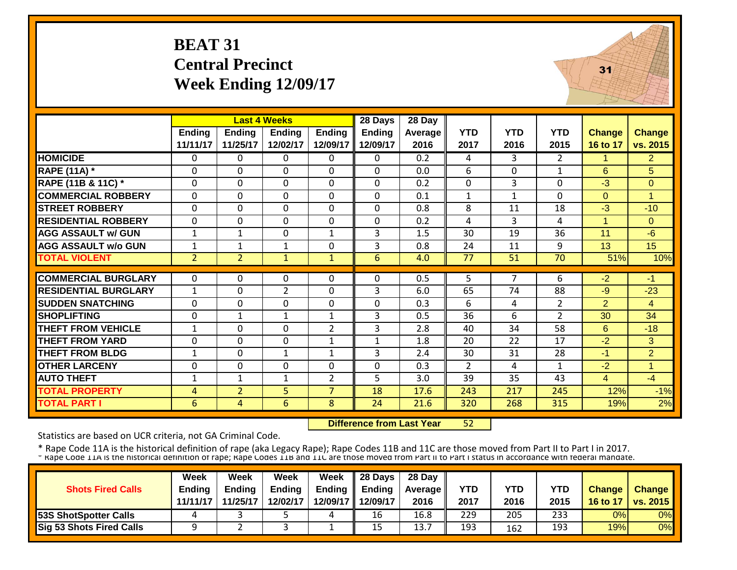# **BEAT 31 Central Precinct Week Ending 12/09/17**



|                             |                | <b>Last 4 Weeks</b> |                |                | 28 Days        | 28 Day  |                |            |                |                      |                |
|-----------------------------|----------------|---------------------|----------------|----------------|----------------|---------|----------------|------------|----------------|----------------------|----------------|
|                             | Ending         | <b>Ending</b>       | <b>Ending</b>  | <b>Ending</b>  | <b>Ending</b>  | Average | <b>YTD</b>     | <b>YTD</b> | <b>YTD</b>     | <b>Change</b>        | Change         |
|                             | 11/11/17       | 11/25/17            | 12/02/17       | 12/09/17       | 12/09/17       | 2016    | 2017           | 2016       | 2015           | 16 to 17             | vs. 2015       |
| <b>HOMICIDE</b>             | $\Omega$       | 0                   | 0              | $\Omega$       | $\Omega$       | 0.2     | 4              | 3          | $\overline{2}$ | 1                    | $\overline{2}$ |
| <b>RAPE (11A)</b> *         | $\Omega$       | $\Omega$            | $\Omega$       | $\Omega$       | 0              | 0.0     | 6              | $\Omega$   | 1              | 6                    | 5              |
| RAPE (11B & 11C) *          | $\mathbf 0$    | 0                   | $\Omega$       | $\Omega$       | 0              | 0.2     | $\overline{0}$ | 3          | 0              | $-3$                 | $\Omega$       |
| <b>COMMERCIAL ROBBERY</b>   | $\mathbf{0}$   | 0                   | $\Omega$       | $\Omega$       | 0              | 0.1     | $\mathbf{1}$   | 1          | 0              | $\Omega$             | $\overline{1}$ |
| <b>STREET ROBBERY</b>       | $\mathbf 0$    | 0                   | $\Omega$       | $\Omega$       | $\overline{0}$ | 0.8     | 8              | 11         | 18             | $-3$                 | $-10$          |
| <b>RESIDENTIAL ROBBERY</b>  | $\Omega$       | $\Omega$            | $\Omega$       | $\mathbf 0$    | $\mathbf 0$    | 0.2     | 4              | 3          | 4              | $\blacktriangleleft$ | $\Omega$       |
| <b>AGG ASSAULT w/ GUN</b>   | $\mathbf{1}$   | 1                   | $\Omega$       | 1              | 3              | 1.5     | 30             | 19         | 36             | 11                   | $-6$           |
| <b>AGG ASSAULT w/o GUN</b>  | 1              | 1                   | 1              | 0              | 3              | 0.8     | 24             | 11         | 9              | 13                   | 15             |
| <b>TOTAL VIOLENT</b>        | $\overline{2}$ | $\overline{2}$      | $\mathbf{1}$   | $\mathbf{1}$   | 6              | 4.0     | 77             | 51         | 70             | 51%                  | 10%            |
|                             |                |                     |                |                |                |         |                |            |                |                      |                |
| <b>COMMERCIAL BURGLARY</b>  | $\Omega$       | 0                   | 0              | $\Omega$       | 0              | 0.5     | 5              | 7          | 6              | $-2$                 | $-1$           |
| <b>RESIDENTIAL BURGLARY</b> | $\mathbf{1}$   | 0                   | $\overline{2}$ | 0              | 3              | 6.0     | 65             | 74         | 88             | $-9$                 | $-23$          |
| <b>SUDDEN SNATCHING</b>     | $\Omega$       | 0                   | $\Omega$       | 0              | 0              | 0.3     | 6              | 4          | $\overline{2}$ | $\overline{2}$       | $\overline{4}$ |
| <b>SHOPLIFTING</b>          | $\Omega$       | 1                   | 1              | 1              | 3              | 0.5     | 36             | 6          | $\overline{2}$ | 30                   | 34             |
| <b>THEFT FROM VEHICLE</b>   | 1              | 0                   | $\Omega$       | $\overline{2}$ | 3              | 2.8     | 40             | 34         | 58             | 6                    | $-18$          |
| <b>THEFT FROM YARD</b>      | $\Omega$       | 0                   | $\Omega$       | 1              | $\mathbf{1}$   | 1.8     | 20             | 22         | 17             | $-2$                 | 3              |
| <b>THEFT FROM BLDG</b>      | $\mathbf{1}$   | 0                   | $\mathbf{1}$   | $\mathbf{1}$   | 3              | 2.4     | 30             | 31         | 28             | $-1$                 | $\overline{2}$ |
| <b>OTHER LARCENY</b>        | $\Omega$       | $\Omega$            | $\Omega$       | $\Omega$       | $\Omega$       | 0.3     | 2              | 4          | 1              | $-2$                 | 1              |
| <b>AUTO THEFT</b>           | 1              | 1                   | 1              | $\overline{2}$ | 5              | 3.0     | 39             | 35         | 43             | $\overline{4}$       | $-4$           |
| <b>TOTAL PROPERTY</b>       | 4              | $\overline{2}$      | 5              | $\overline{7}$ | 18             | 17.6    | 243            | 217        | 245            | 12%                  | $-1%$          |
| <b>TOTAL PART I</b>         | 6              | 4                   | 6              | 8              | 24             | 21.6    | 320            | 268        | 315            | 19%                  | 2%             |

 **Difference from Last Year**52

Statistics are based on UCR criteria, not GA Criminal Code.

|                              | <b>Week</b>   | Week          | Week          | Week | $\parallel$ 28 Days       | 28 Day            |      |      |      |               |                 |
|------------------------------|---------------|---------------|---------------|------|---------------------------|-------------------|------|------|------|---------------|-----------------|
| <b>Shots Fired Calls</b>     | <b>Endina</b> | <b>Ending</b> | <b>Ending</b> |      | Ending $\parallel$ Ending | <b>Average</b> II | YTD  | YTD  | YTD  | <b>Change</b> | <b>Change</b>   |
|                              | 11/11/17      | 11/25/17      | 12/02/17      |      | 12/09/17 12/09/17         | 2016              | 2017 | 2016 | 2015 | 16 to 17      | <b>vs. 2015</b> |
| <b>53S ShotSpotter Calls</b> |               |               |               |      | 16                        | 16.8              | 229  | 205  | 233  | 0%            | 0%              |
| Sig 53 Shots Fired Calls     |               |               |               |      | 15                        | 13.7              | 193  | 162  | 193  | 19%           | 0%              |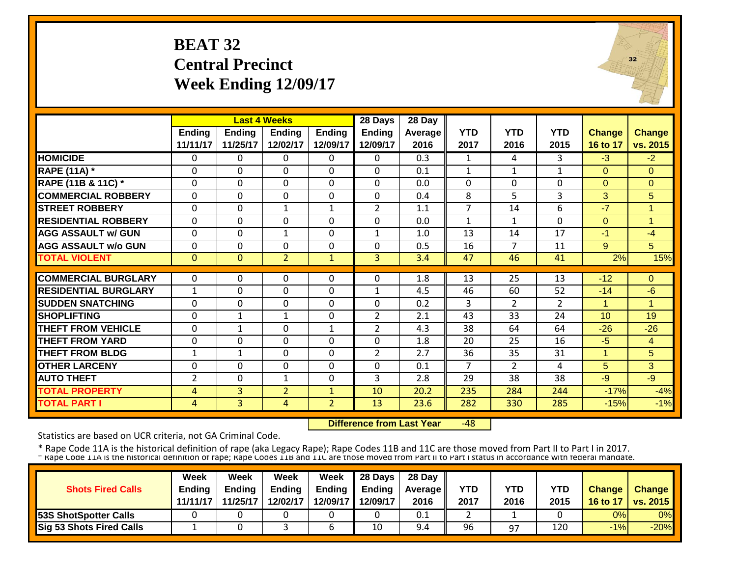## **BEAT 32 Central Precinct Week Ending 12/09/17**



|                             |                |                | <b>Last 4 Weeks</b> |                | 28 Days        | 28 Day           |                |                |                |                      |                |
|-----------------------------|----------------|----------------|---------------------|----------------|----------------|------------------|----------------|----------------|----------------|----------------------|----------------|
|                             | Ending         | <b>Ending</b>  | <b>Ending</b>       | <b>Ending</b>  | <b>Ending</b>  | Average          | <b>YTD</b>     | <b>YTD</b>     | <b>YTD</b>     | <b>Change</b>        | Change         |
|                             | 11/11/17       | 11/25/17       | 12/02/17            | 12/09/17       | 12/09/17       | 2016             | 2017           | 2016           | 2015           | 16 to 17             | vs. 2015       |
| <b>HOMICIDE</b>             | $\mathbf{0}$   | 0              | $\Omega$            | $\Omega$       | $\Omega$       | $\overline{0.3}$ | $\mathbf{1}$   | 4              | 3              | $-3$                 | $-2$           |
| <b>RAPE (11A) *</b>         | $\Omega$       | 0              | $\mathbf 0$         | $\Omega$       | 0              | 0.1              | $\mathbf{1}$   | $\mathbf{1}$   | $\mathbf{1}$   | $\Omega$             | $\Omega$       |
| RAPE (11B & 11C) *          | $\mathbf 0$    | 0              | $\mathbf 0$         | $\Omega$       | $\Omega$       | 0.0              | $\mathbf 0$    | $\Omega$       | $\Omega$       | $\Omega$             | $\mathbf{0}$   |
| <b>COMMERCIAL ROBBERY</b>   | $\Omega$       | 0              | 0                   | $\Omega$       | $\Omega$       | 0.4              | 8              | 5              | 3              | 3                    | 5              |
| <b>STREET ROBBERY</b>       | $\mathbf 0$    | 0              | $\mathbf{1}$        | $\mathbf{1}$   | $\overline{2}$ | 1.1              | $\overline{7}$ | 14             | 6              | $-7$                 | 1              |
| <b>RESIDENTIAL ROBBERY</b>  | $\Omega$       | 0              | 0                   | 0              | $\Omega$       | 0.0              | $\mathbf{1}$   | 1              | $\Omega$       | $\Omega$             | $\overline{1}$ |
| <b>AGG ASSAULT w/ GUN</b>   | $\Omega$       | 0              | 1                   | 0              | 1              | 1.0              | 13             | 14             | 17             | $-1$                 | $-4$           |
| <b>AGG ASSAULT w/o GUN</b>  | $\Omega$       | 0              | 0                   | $\Omega$       | $\Omega$       | 0.5              | 16             | 7              | 11             | 9                    | 5              |
| <b>TOTAL VIOLENT</b>        | $\mathbf{0}$   | $\overline{0}$ | $\overline{2}$      | $\mathbf{1}$   | 3              | 3.4              | 47             | 46             | 41             | 2%                   | 15%            |
|                             |                |                |                     |                |                |                  |                |                |                |                      |                |
| <b>COMMERCIAL BURGLARY</b>  | $\Omega$       | 0              | 0                   | 0              | $\Omega$       | 1.8              | 13             | 25             | 13             | $-12$                | $\Omega$       |
| <b>RESIDENTIAL BURGLARY</b> | $\mathbf{1}$   | 0              | 0                   | 0              | 1              | 4.5              | 46             | 60             | 52             | $-14$                | $-6$           |
| <b>SUDDEN SNATCHING</b>     | $\mathbf 0$    | 0              | $\mathbf 0$         | $\mathbf 0$    | 0              | 0.2              | $\overline{3}$ | $\overline{2}$ | $\overline{2}$ | $\blacktriangleleft$ | 1              |
| <b>SHOPLIFTING</b>          | $\Omega$       | $\mathbf{1}$   | $\mathbf{1}$        | $\Omega$       | $\overline{2}$ | 2.1              | 43             | 33             | 24             | 10                   | 19             |
| <b>THEFT FROM VEHICLE</b>   | $\Omega$       | $\mathbf{1}$   | $\mathbf 0$         | $\mathbf{1}$   | $\overline{2}$ | 4.3              | 38             | 64             | 64             | $-26$                | $-26$          |
| <b>THEFT FROM YARD</b>      | $\Omega$       | 0              | $\mathbf 0$         | 0              | 0              | 1.8              | 20             | 25             | 16             | $-5$                 | $\overline{4}$ |
| <b>THEFT FROM BLDG</b>      | 1              | 1              | $\Omega$            | 0              | $\overline{2}$ | 2.7              | 36             | 35             | 31             | 1                    | 5              |
| <b>OTHER LARCENY</b>        | $\mathbf 0$    | 0              | $\Omega$            | $\Omega$       | 0              | 0.1              | 7              | $\overline{2}$ | 4              | 5                    | 3              |
| <b>AUTO THEFT</b>           | $\overline{2}$ | 0              | $\mathbf{1}$        | 0              | 3              | 2.8              | 29             | 38             | 38             | $-9$                 | $-9$           |
| <b>TOTAL PROPERTY</b>       | 4              | 3              | $\overline{2}$      | $\mathbf{1}$   | 10             | 20.2             | 235            | 284            | 244            | $-17%$               | $-4%$          |
| <b>TOTAL PART I</b>         | 4              | 3              | 4                   | $\overline{2}$ | 13             | 23.6             | 282            | 330            | 285            | $-15%$               | $-1%$          |

 **Difference from Last Year** $-48$ 

Statistics are based on UCR criteria, not GA Criminal Code.

| <b>Shots Fired Calls</b>        | Week<br><b>Endina</b><br>11/11/17 | Week<br><b>Ending</b><br>11/25/17 | Week<br><b>Ending</b><br>12/02/17 | Week | $\parallel$ 28 Days<br>Ending $\parallel$ Ending<br>12/09/17 12/09/17 | 28 Day<br><b>Average</b> II<br>2016 | YTD<br>2017 | YTD<br>2016 | YTD<br>2015 | <b>Change</b><br>16 to 17 | <b>Change</b><br><b>vs. 2015</b> |
|---------------------------------|-----------------------------------|-----------------------------------|-----------------------------------|------|-----------------------------------------------------------------------|-------------------------------------|-------------|-------------|-------------|---------------------------|----------------------------------|
| <b>53S ShotSpotter Calls</b>    |                                   |                                   |                                   |      |                                                                       | 0.1                                 |             |             |             | 0%                        | 0%                               |
| <b>Sig 53 Shots Fired Calls</b> |                                   |                                   |                                   |      | 10                                                                    | 9.4                                 | 96          | 97          | 120         | $-1%$                     | $-20%$                           |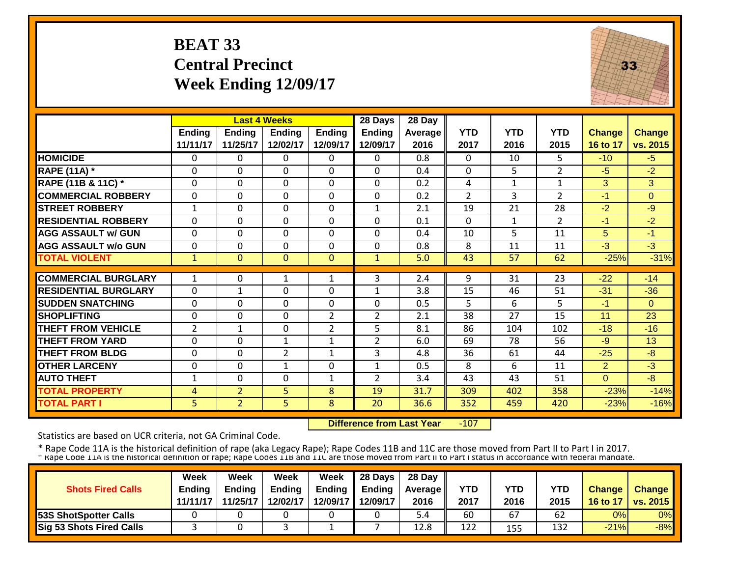# **BEAT 33 Central Precinct Week Ending 12/09/17**



|                             |                |                | <b>Last 4 Weeks</b> |                | 28 Days        | 28 Day  |                |              |                |               |               |
|-----------------------------|----------------|----------------|---------------------|----------------|----------------|---------|----------------|--------------|----------------|---------------|---------------|
|                             | <b>Ending</b>  | <b>Ending</b>  | <b>Ending</b>       | <b>Ending</b>  | <b>Ending</b>  | Average | <b>YTD</b>     | <b>YTD</b>   | <b>YTD</b>     | <b>Change</b> | <b>Change</b> |
|                             | 11/11/17       | 11/25/17       | 12/02/17            | 12/09/17       | 12/09/17       | 2016    | 2017           | 2016         | 2015           | 16 to 17      | vs. 2015      |
| <b>HOMICIDE</b>             | $\Omega$       | 0              | $\mathbf{0}$        | 0              | $\Omega$       | 0.8     | $\Omega$       | 10           | 5              | $-10$         | $-5$          |
| <b>RAPE (11A) *</b>         | $\Omega$       | 0              | 0                   | $\Omega$       | $\Omega$       | 0.4     | $\Omega$       | 5.           | $\overline{2}$ | $-5$          | $-2$          |
| RAPE (11B & 11C) *          | $\mathbf 0$    | 0              | $\mathbf 0$         | $\Omega$       | 0              | 0.2     | 4              | $\mathbf{1}$ | $\mathbf{1}$   | 3             | 3             |
| <b>COMMERCIAL ROBBERY</b>   | $\Omega$       | 0              | $\Omega$            | $\Omega$       | $\Omega$       | 0.2     | $\overline{2}$ | 3            | $\overline{2}$ | $-1$          | $\Omega$      |
| <b>STREET ROBBERY</b>       | $\mathbf{1}$   | 0              | $\mathbf 0$         | $\Omega$       | $\mathbf{1}$   | 2.1     | 19             | 21           | 28             | $-2$          | $-9$          |
| <b>RESIDENTIAL ROBBERY</b>  | $\Omega$       | $\Omega$       | $\overline{0}$      | $\Omega$       | $\Omega$       | 0.1     | $\Omega$       | $\mathbf{1}$ | $\overline{2}$ | -1            | $-2$          |
| <b>AGG ASSAULT w/ GUN</b>   | $\mathbf 0$    | 0              | $\mathbf 0$         | $\Omega$       | 0              | 0.4     | 10             | 5.           | 11             | 5             | $-1$          |
| <b>AGG ASSAULT w/o GUN</b>  | $\Omega$       | 0              | $\Omega$            | $\Omega$       | $\Omega$       | 0.8     | 8              | 11           | 11             | $-3$          | $-3$          |
| <b>TOTAL VIOLENT</b>        | $\mathbf{1}$   | $\overline{0}$ | $\Omega$            | $\Omega$       | $\mathbf{1}$   | 5.0     | 43             | 57           | 62             | $-25%$        | $-31%$        |
|                             |                |                |                     |                |                |         |                |              |                |               |               |
| <b>COMMERCIAL BURGLARY</b>  | 1              | 0              | 1                   | 1              | 3              | 2.4     | 9              | 31           | 23             | $-22$         | $-14$         |
| <b>RESIDENTIAL BURGLARY</b> | $\Omega$       | $\mathbf{1}$   | $\Omega$            | $\Omega$       | $\mathbf{1}$   | 3.8     | 15             | 46           | 51             | $-31$         | $-36$         |
| <b>SUDDEN SNATCHING</b>     | $\Omega$       | 0              | $\Omega$            | $\Omega$       | $\Omega$       | 0.5     | 5              | 6            | 5              | $-1$          | $\Omega$      |
| <b>SHOPLIFTING</b>          | $\Omega$       | 0              | $\mathbf{0}$        | $\overline{2}$ | $\overline{2}$ | 2.1     | 38             | 27           | 15             | 11            | 23            |
| <b>THEFT FROM VEHICLE</b>   | $\overline{2}$ | 1              | $\Omega$            | $\overline{2}$ | 5              | 8.1     | 86             | 104          | 102            | $-18$         | $-16$         |
| <b>THEFT FROM YARD</b>      | $\Omega$       | $\Omega$       | 1                   | $\mathbf 1$    | $\overline{2}$ | 6.0     | 69             | 78           | 56             | -9            | 13            |
| <b>THEFT FROM BLDG</b>      | $\Omega$       | 0              | $\overline{2}$      | 1              | 3              | 4.8     | 36             | 61           | 44             | $-25$         | $-8$          |
| <b>OTHER LARCENY</b>        | $\Omega$       | $\Omega$       | $\mathbf 1$         | $\Omega$       | 1              | 0.5     | 8              | 6            | 11             | 2             | $-3$          |
| <b>AUTO THEFT</b>           | $\mathbf{1}$   | 0              | $\mathbf{0}$        | 1              | $\overline{2}$ | 3.4     | 43             | 43           | 51             | $\Omega$      | $-8$          |
| <b>TOTAL PROPERTY</b>       | 4              | $\overline{2}$ | 5                   | 8              | 19             | 31.7    | 309            | 402          | 358            | $-23%$        | $-14%$        |
| <b>TOTAL PART I</b>         | 5 <sup>1</sup> | $\overline{2}$ | 5                   | 8              | 20             | 36.6    | 352            | 459          | 420            | $-23%$        | $-16%$        |

 **Difference from Last Year**‐107

Statistics are based on UCR criteria, not GA Criminal Code.

|                                 | <b>Week</b>   | Week          | Week          | Week          | 28 Days  | 28 Day            |      |      |      |               |                 |
|---------------------------------|---------------|---------------|---------------|---------------|----------|-------------------|------|------|------|---------------|-----------------|
| <b>Shots Fired Calls</b>        | <b>Ending</b> | <b>Endina</b> | <b>Ending</b> | <b>Ending</b> | Endina   | <b>Average II</b> | YTD  | YTD  | YTD  | <b>Change</b> | <b>Change</b>   |
|                                 | 11/11/17      | 11/25/17      | 12/02/17      | 12/09/17 II   | 12/09/17 | 2016              | 2017 | 2016 | 2015 | 16 to 17      | <b>VS. 2015</b> |
| <b>53S ShotSpotter Calls</b>    |               |               |               |               |          | 5.4               | 60   | 67   | 62   | 0%            | 0%              |
| <b>Sig 53 Shots Fired Calls</b> |               |               |               |               |          | 12.8              | 122  | 155  | 132  | $-21%$        | $-8%$           |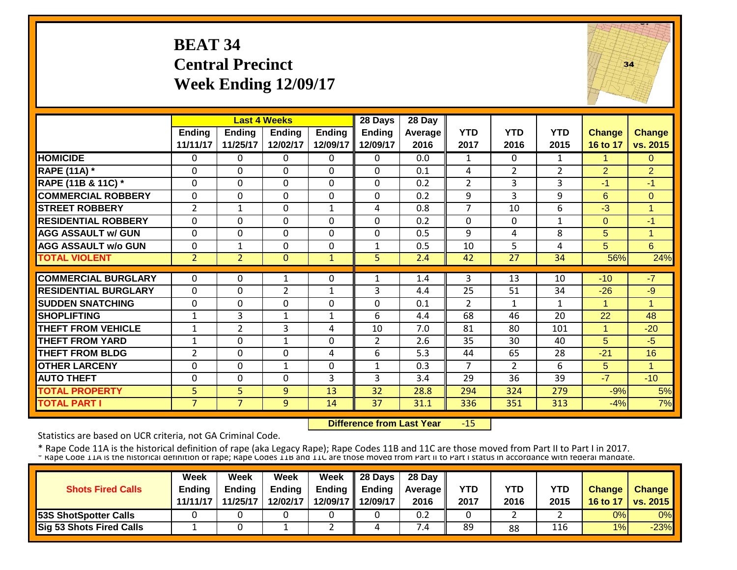## **BEAT 34 Central Precinct Week Ending 12/09/17**



|                             |                |                | <b>Last 4 Weeks</b> |               | 28 Days        | 28 Day  |                |                |                |              |                      |
|-----------------------------|----------------|----------------|---------------------|---------------|----------------|---------|----------------|----------------|----------------|--------------|----------------------|
|                             | Ending         | <b>Ending</b>  | <b>Ending</b>       | <b>Ending</b> | <b>Ending</b>  | Average | <b>YTD</b>     | <b>YTD</b>     | <b>YTD</b>     | Change       | <b>Change</b>        |
|                             | 11/11/17       | 11/25/17       | 12/02/17            | 12/09/17      | 12/09/17       | 2016    | 2017           | 2016           | 2015           | 16 to 17     | vs. 2015             |
| <b>HOMICIDE</b>             | $\Omega$       | 0              | $\Omega$            | $\Omega$      | $\Omega$       | 0.0     | 1              | $\Omega$       | $\mathbf{1}$   | $\mathbf{1}$ | $\Omega$             |
| <b>RAPE (11A) *</b>         | $\Omega$       | $\Omega$       | $\mathbf 0$         | $\Omega$      | $\Omega$       | 0.1     | 4              | $\overline{2}$ | $\overline{2}$ | 2            | $\overline{2}$       |
| RAPE (11B & 11C) *          | 0              | 0              | $\mathbf 0$         | $\Omega$      | 0              | 0.2     | $\overline{2}$ | 3              | 3              | $-1$         | $-1$                 |
| <b>COMMERCIAL ROBBERY</b>   | $\Omega$       | $\Omega$       | $\Omega$            | $\Omega$      | 0              | 0.2     | 9              | 3              | 9              | 6            | $\Omega$             |
| <b>STREET ROBBERY</b>       | $\overline{2}$ | $\mathbf{1}$   | $\mathbf 0$         | $\mathbf{1}$  | 4              | 0.8     | $\overline{7}$ | 10             | 6              | $-3$         | $\overline{1}$       |
| <b>RESIDENTIAL ROBBERY</b>  | $\Omega$       | $\Omega$       | $\mathbf 0$         | $\mathbf 0$   | $\Omega$       | 0.2     | $\Omega$       | $\Omega$       | 1              | $\Omega$     | $-1$                 |
| <b>AGG ASSAULT w/ GUN</b>   | $\mathbf 0$    | 0              | $\mathbf 0$         | $\mathbf 0$   | 0              | 0.5     | 9              | 4              | 8              | 5            | $\overline{1}$       |
| <b>AGG ASSAULT w/o GUN</b>  | $\Omega$       | 1              | $\Omega$            | $\Omega$      | $\mathbf{1}$   | 0.5     | 10             | 5              | 4              | 5            | 6                    |
| <b>TOTAL VIOLENT</b>        | $\overline{2}$ | $\overline{2}$ | $\mathbf{0}$        | $\mathbf{1}$  | 5              | 2.4     | 42             | 27             | 34             | 56%          | 24%                  |
| <b>COMMERCIAL BURGLARY</b>  |                |                |                     |               |                |         |                |                |                |              | $-7$                 |
|                             | $\Omega$       | 0              | $\mathbf{1}$        | 0             | 1              | 1.4     | 3              | 13             | 10             | $-10$        |                      |
| <b>RESIDENTIAL BURGLARY</b> | $\Omega$       | $\Omega$       | $\overline{2}$      | $\mathbf{1}$  | 3              | 4.4     | 25             | 51             | 34             | $-26$        | $-9$                 |
| <b>SUDDEN SNATCHING</b>     | 0              | 0              | $\mathbf 0$         | $\Omega$      | 0              | 0.1     | $\overline{2}$ | $\mathbf{1}$   | $\mathbf{1}$   | 1            | 1                    |
| <b>SHOPLIFTING</b>          | $\mathbf{1}$   | 3              | $\mathbf{1}$        | $\mathbf{1}$  | 6              | 4.4     | 68             | 46             | 20             | 22           | 48                   |
| <b>THEFT FROM VEHICLE</b>   | $\mathbf{1}$   | $\overline{2}$ | 3                   | 4             | 10             | 7.0     | 81             | 80             | 101            | 1            | $-20$                |
| <b>THEFT FROM YARD</b>      | $\mathbf{1}$   | $\Omega$       | $\mathbf{1}$        | $\Omega$      | $\overline{2}$ | 2.6     | 35             | 30             | 40             | 5            | $-5$                 |
| <b>THEFT FROM BLDG</b>      | $\overline{2}$ | $\Omega$       | $\Omega$            | 4             | 6              | 5.3     | 44             | 65             | 28             | $-21$        | 16                   |
| <b>OTHER LARCENY</b>        | $\Omega$       | $\Omega$       | $\mathbf{1}$        | $\Omega$      | $\mathbf{1}$   | 0.3     | $\overline{7}$ | $\overline{2}$ | 6              | 5            | $\blacktriangleleft$ |
| <b>AUTO THEFT</b>           | $\mathbf 0$    | 0              | $\mathbf 0$         | 3             | 3              | 3.4     | 29             | 36             | 39             | $-7$         | $-10$                |
| <b>TOTAL PROPERTY</b>       | 5 <sub>1</sub> | 5              | 9                   | 13            | 32             | 28.8    | 294            | 324            | 279            | $-9%$        | 5%                   |
| <b>TOTAL PART I</b>         | $\overline{7}$ | $\overline{7}$ | 9                   | 14            | 37             | 31.1    | 336            | 351            | 313            | $-4%$        | 7%                   |

 **Difference from Last Year**‐15

Statistics are based on UCR criteria, not GA Criminal Code.

|                              | <b>Week</b>   | Week          | Week          | Week     | $\parallel$ 28 Days       | 28 Day            |            |      |      |               |                 |
|------------------------------|---------------|---------------|---------------|----------|---------------------------|-------------------|------------|------|------|---------------|-----------------|
| <b>Shots Fired Calls</b>     | <b>Ending</b> | <b>Ending</b> | <b>Ending</b> |          | Ending $\parallel$ Ending | <b>Average</b> II | <b>YTD</b> | YTD  | YTD  | <b>Change</b> | <b>Change</b>   |
|                              | 11/11/17      | 11/25/17      | 12/02/17      |          | 12/09/17   12/09/17       | 2016              | 2017       | 2016 | 2015 | 16 to 17      | <b>vs. 2015</b> |
| <b>53S ShotSpotter Calls</b> |               |               |               |          |                           | 0.2               |            |      |      | 0%            | 0%              |
| Sig 53 Shots Fired Calls     |               |               |               | <u>.</u> |                           | 4. /              | 89         | 88   | 116  | 1%            | $-23%$          |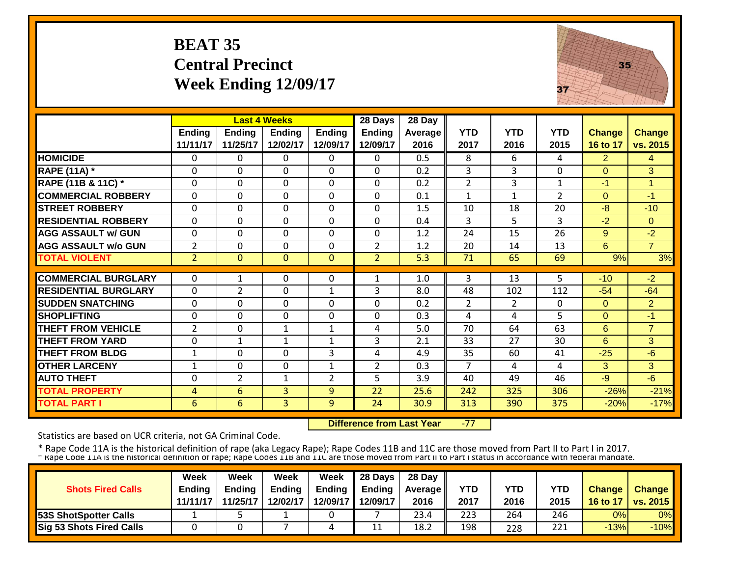# **BEAT 35 Central Precinct Week Ending 12/09/17**



|                             |                | <b>Last 4 Weeks</b> |                |                | 28 Days        | 28 Day  |                |                |                |                |                |
|-----------------------------|----------------|---------------------|----------------|----------------|----------------|---------|----------------|----------------|----------------|----------------|----------------|
|                             | <b>Ending</b>  | <b>Ending</b>       | <b>Ending</b>  | <b>Ending</b>  | <b>Ending</b>  | Average | <b>YTD</b>     | <b>YTD</b>     | <b>YTD</b>     | <b>Change</b>  | <b>Change</b>  |
|                             | 11/11/17       | 11/25/17            | 12/02/17       | 12/09/17       | 12/09/17       | 2016    | 2017           | 2016           | 2015           | 16 to 17       | vs. 2015       |
| <b>HOMICIDE</b>             | $\Omega$       | 0                   | $\Omega$       | $\Omega$       | 0              | 0.5     | 8              | 6.             | 4              | $\overline{2}$ | $\overline{4}$ |
| <b>RAPE (11A)</b> *         | $\Omega$       | 0                   | $\Omega$       | $\Omega$       | $\mathbf 0$    | 0.2     | 3              | 3              | 0              | $\mathbf{0}$   | $\overline{3}$ |
| RAPE (11B & 11C) *          | $\mathbf{0}$   | 0                   | $\mathbf 0$    | $\mathbf 0$    | $\mathbf 0$    | 0.2     | $\overline{2}$ | 3              | $\mathbf{1}$   | $-1$           | 1              |
| <b>COMMERCIAL ROBBERY</b>   | $\mathbf{0}$   | $\Omega$            | $\Omega$       | $\Omega$       | 0              | 0.1     | $\mathbf{1}$   | $\mathbf{1}$   | $\overline{2}$ | $\Omega$       | $-1$           |
| <b>STREET ROBBERY</b>       | $\mathbf 0$    | 0                   | $\mathbf 0$    | $\mathbf 0$    | $\mathbf 0$    | 1.5     | 10             | 18             | 20             | $-8$           | $-10$          |
| <b>RESIDENTIAL ROBBERY</b>  | $\Omega$       | 0                   | $\Omega$       | $\Omega$       | 0              | 0.4     | 3              | 5              | 3              | $-2$           | $\Omega$       |
| <b>AGG ASSAULT w/ GUN</b>   | $\mathbf 0$    | 0                   | $\mathbf 0$    | $\Omega$       | 0              | 1.2     | 24             | 15             | 26             | 9              | $-2$           |
| <b>IAGG ASSAULT w/o GUN</b> | $\overline{2}$ | 0                   | $\Omega$       | $\Omega$       | $\overline{2}$ | 1.2     | 20             | 14             | 13             | 6              | $\overline{7}$ |
| <b>TOTAL VIOLENT</b>        | $\overline{2}$ | $\overline{0}$      | $\mathbf{0}$   | $\mathbf{0}$   | $\overline{2}$ | 5.3     | 71             | 65             | 69             | 9%             | 3%             |
|                             |                |                     |                |                |                |         |                |                |                |                |                |
| <b>COMMERCIAL BURGLARY</b>  | $\Omega$       | $\mathbf{1}$        | $\Omega$       | $\Omega$       | 1              | 1.0     | 3              | 13             | 5              | $-10$          | $-2$           |
| <b>RESIDENTIAL BURGLARY</b> | $\Omega$       | 2                   | $\Omega$       | 1              | 3              | 8.0     | 48             | 102            | 112            | $-54$          | $-64$          |
| <b>SUDDEN SNATCHING</b>     | $\mathbf{0}$   | 0                   | $\Omega$       | $\Omega$       | $\Omega$       | 0.2     | $\overline{2}$ | $\overline{2}$ | $\Omega$       | $\Omega$       | $\overline{2}$ |
| <b>SHOPLIFTING</b>          | $\Omega$       | 0                   | $\Omega$       | $\Omega$       | $\Omega$       | 0.3     | 4              | 4              | 5              | $\Omega$       | $-1$           |
| <b>THEFT FROM VEHICLE</b>   | $\overline{2}$ | 0                   | 1              | 1              | 4              | 5.0     | 70             | 64             | 63             | 6              | $\overline{7}$ |
| <b>THEFT FROM YARD</b>      | $\Omega$       | 1                   | 1              | 1              | 3              | 2.1     | 33             | 27             | 30             | 6              | 3 <sup>1</sup> |
| <b>THEFT FROM BLDG</b>      | $\mathbf{1}$   | 0                   | $\Omega$       | 3              | 4              | 4.9     | 35             | 60             | 41             | $-25$          | $-6$           |
| <b>OTHER LARCENY</b>        | $\mathbf{1}$   | 0                   | $\Omega$       | $\mathbf{1}$   | $\overline{2}$ | 0.3     | 7              | 4              | 4              | 3              | 3              |
| <b>AUTO THEFT</b>           | $\Omega$       | $\overline{2}$      | $\mathbf{1}$   | $\overline{2}$ | 5              | 3.9     | 40             | 49             | 46             | $-9$           | -6             |
| <b>TOTAL PROPERTY</b>       | 4              | 6                   | 3              | 9              | 22             | 25.6    | 242            | 325            | 306            | $-26%$         | $-21%$         |
| <b>TOTAL PART I</b>         | 6              | 6                   | $\overline{3}$ | 9              | 24             | 30.9    | 313            | 390            | 375            | $-20%$         | $-17%$         |

 **Difference from Last Year**‐77

Statistics are based on UCR criteria, not GA Criminal Code.

|                                 | Week          | Week          | Week          | Week     | 28 Days       | 28 Day            |      |      |      |               |                          |
|---------------------------------|---------------|---------------|---------------|----------|---------------|-------------------|------|------|------|---------------|--------------------------|
| <b>Shots Fired Calls</b>        | <b>Ending</b> | <b>Ending</b> | <b>Ending</b> | Ending   | <b>Ending</b> | <b>Average II</b> | YTD  | YTD  | YTD  | <b>Change</b> | <b>Change</b>            |
|                                 | 11/11/17      | 11/25/17      | 12/02/17      | 12/09/17 | 12/09/17      | 2016              | 2017 | 2016 | 2015 | 16 to 17      | $\vert$ vs. 2015 $\vert$ |
| <b>53S ShotSpotter Calls</b>    |               |               |               |          |               | 23.4              | 223  | 264  | 246  | 0%            | $0\%$                    |
| <b>Sig 53 Shots Fired Calls</b> |               |               |               | 4        | 11            | 18.2              | 198  | 228  | 221  | $-13%$        | $-10%$                   |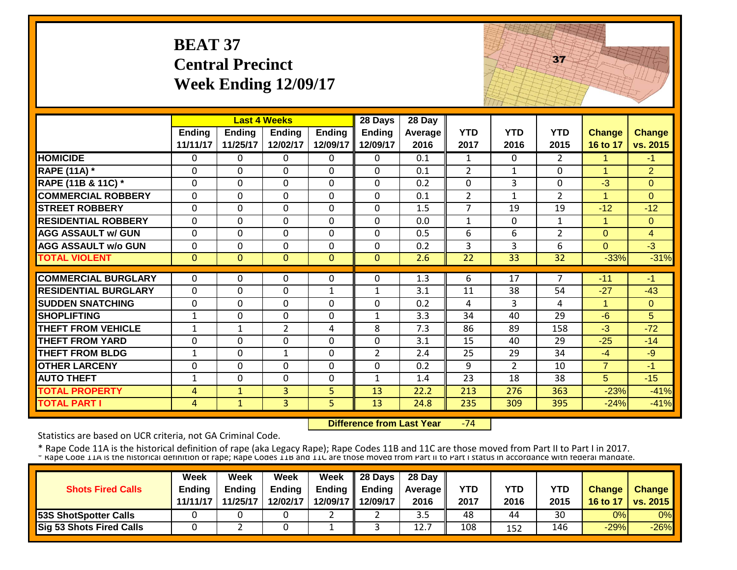## **BEAT 37 Central Precinct Week Ending 12/09/17**



|                             |                |                | <b>Last 4 Weeks</b> |               | 28 Days        | 28 Day  |                |                |                |                      |                |
|-----------------------------|----------------|----------------|---------------------|---------------|----------------|---------|----------------|----------------|----------------|----------------------|----------------|
|                             | Ending         | <b>Ending</b>  | <b>Ending</b>       | <b>Ending</b> | <b>Ending</b>  | Average | <b>YTD</b>     | <b>YTD</b>     | <b>YTD</b>     | <b>Change</b>        | <b>Change</b>  |
|                             | 11/11/17       | 11/25/17       | 12/02/17            | 12/09/17      | 12/09/17       | 2016    | 2017           | 2016           | 2015           | 16 to 17             | vs. 2015       |
| <b>HOMICIDE</b>             | 0              | 0              | 0                   | 0             | 0              | 0.1     | 1              | $\Omega$       | 2              | 1                    | $-1$           |
| <b>RAPE (11A) *</b>         | $\mathbf{0}$   | $\Omega$       | $\Omega$            | 0             | $\Omega$       | 0.1     | 2              | 1              | 0              | $\mathbf{1}$         | $\overline{2}$ |
| RAPE (11B & 11C) *          | $\mathbf{0}$   | $\Omega$       | $\Omega$            | $\Omega$      | $\Omega$       | 0.2     | $\Omega$       | 3              | 0              | $-3$                 | $\Omega$       |
| <b>COMMERCIAL ROBBERY</b>   | $\Omega$       | $\Omega$       | $\mathbf{0}$        | $\Omega$      | $\Omega$       | 0.1     | $\overline{2}$ | $\mathbf{1}$   | $\overline{2}$ | $\blacktriangleleft$ | $\Omega$       |
| <b>STREET ROBBERY</b>       | $\mathbf{0}$   | 0              | $\Omega$            | $\mathbf 0$   | $\mathbf{0}$   | 1.5     | $\overline{7}$ | 19             | 19             | $-12$                | $-12$          |
| <b>RESIDENTIAL ROBBERY</b>  | $\Omega$       | $\Omega$       | $\mathbf{0}$        | $\Omega$      | $\mathbf 0$    | 0.0     | $\mathbf{1}$   | $\Omega$       | $\mathbf{1}$   | $\mathbf{1}$         | $\overline{0}$ |
| <b>AGG ASSAULT w/ GUN</b>   | $\mathbf 0$    | 0              | $\mathbf 0$         | $\Omega$      | $\mathbf 0$    | 0.5     | 6              | 6              | $\overline{2}$ | $\overline{0}$       | $\overline{4}$ |
| <b>AGG ASSAULT w/o GUN</b>  | $\Omega$       | 0              | $\Omega$            | $\Omega$      | 0              | 0.2     | 3              | 3              | 6              | $\Omega$             | $-3$           |
| <b>TOTAL VIOLENT</b>        | $\mathbf{0}$   | $\overline{0}$ | $\mathbf{0}$        | $\mathbf{0}$  | $\mathbf{0}$   | 2.6     | 22             | 33             | 32             | $-33%$               | $-31%$         |
|                             |                |                |                     |               |                |         |                |                |                |                      |                |
| <b>COMMERCIAL BURGLARY</b>  | $\Omega$       | 0              | $\Omega$            | $\Omega$      | $\Omega$       | 1.3     | 6              | 17             | 7              | $-11$                | $-1$           |
| <b>RESIDENTIAL BURGLARY</b> | $\mathbf 0$    | $\Omega$       | $\mathbf 0$         | $\mathbf{1}$  | $\mathbf{1}$   | 3.1     | 11             | 38             | 54             | $-27$                | $-43$          |
| <b>SUDDEN SNATCHING</b>     | $\mathbf 0$    | 0              | $\Omega$            | $\Omega$      | 0              | 0.2     | 4              | 3              | 4              | $\mathbf{1}$         | $\Omega$       |
| <b>SHOPLIFTING</b>          | $\mathbf{1}$   | 0              | $\mathbf 0$         | $\mathbf 0$   | $\mathbf{1}$   | 3.3     | 34             | 40             | 29             | $-6$                 | 5              |
| THEFT FROM VEHICLE          | $\mathbf{1}$   | 1              | $\overline{2}$      | 4             | 8              | 7.3     | 86             | 89             | 158            | $-3$                 | $-72$          |
| <b>THEFT FROM YARD</b>      | $\mathbf{0}$   | 0              | $\mathbf 0$         | $\Omega$      | 0              | 3.1     | 15             | 40             | 29             | $-25$                | $-14$          |
| <b>THEFT FROM BLDG</b>      | $\mathbf{1}$   | 0              | $\mathbf{1}$        | $\Omega$      | $\overline{2}$ | 2.4     | 25             | 29             | 34             | $-4$                 | $-9$           |
| <b>OTHER LARCENY</b>        | $\mathbf{0}$   | $\Omega$       | $\Omega$            | $\Omega$      | 0              | 0.2     | 9              | $\overline{2}$ | 10             | $\overline{7}$       | $-1$           |
| <b>AUTO THEFT</b>           | 1              | 0              | $\Omega$            | 0             | $\mathbf{1}$   | 1.4     | 23             | 18             | 38             | 5                    | $-15$          |
| <b>TOTAL PROPERTY</b>       | $\overline{4}$ | $\mathbf{1}$   | 3                   | 5             | 13             | 22.2    | 213            | 276            | 363            | $-23%$               | $-41%$         |
| <b>TOTAL PART I</b>         | 4              | $\mathbf{1}$   | $\overline{3}$      | 5             | 13             | 24.8    | 235            | 309            | 395            | $-24%$               | $-41%$         |

 **Difference from Last Year** $-74$ 

Statistics are based on UCR criteria, not GA Criminal Code.

|                          | Week     | Week          | Week          | Week          | $\parallel$ 28 Days | 28 Day            |      |            |      |               |                 |
|--------------------------|----------|---------------|---------------|---------------|---------------------|-------------------|------|------------|------|---------------|-----------------|
| <b>Shots Fired Calls</b> | Ending   | <b>Ending</b> | <b>Ending</b> | <b>Ending</b> | <b>Ending</b>       | <b>Average</b> II | YTD  | <b>YTD</b> | YTD  | <b>Change</b> | <b>Change</b>   |
|                          | 11/11/17 | 11/25/17      | 12/02/17      |               | 12/09/17 12/09/17   | 2016              | 2017 | 2016       | 2015 | 16 to 17      | <b>vs. 2015</b> |
| 53S ShotSpotter Calls    |          |               |               |               |                     | ں . ب             | 48   | 44         | 30   | 0%            | 0%              |
| Sig 53 Shots Fired Calls |          |               |               |               |                     | 12.7              | 108  | 152        | 146  | $-29%$        | $-26%$          |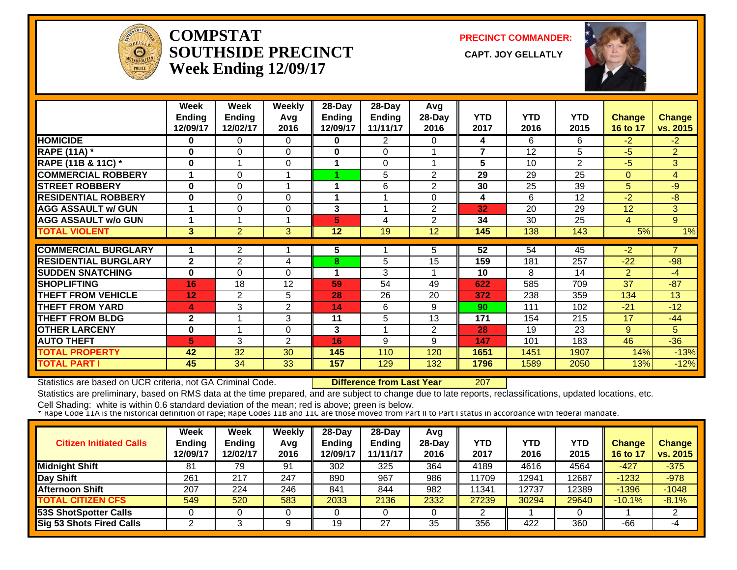

#### **COMPSTATSOUTHSIDE PRECINCT** CAPT. JOY GELLATLY **Week Ending 12/09/17**

**PRECINCT COMMANDER:**



|                             | Week<br><b>Ending</b> | Week<br><b>Ending</b> | <b>Weekly</b><br>Avg | 28-Day<br><b>Ending</b> | $28$ -Day<br><b>Ending</b> | Avg<br>28-Day  | <b>YTD</b>     | <b>YTD</b> | <b>YTD</b>     | Change         | <b>Change</b>  |
|-----------------------------|-----------------------|-----------------------|----------------------|-------------------------|----------------------------|----------------|----------------|------------|----------------|----------------|----------------|
|                             | 12/09/17              | 12/02/17              | 2016                 | 12/09/17                | 11/11/17                   | 2016           | 2017           | 2016       | 2015           | 16 to 17       | vs. 2015       |
| <b>HOMICIDE</b>             | 0                     | 0                     | $\Omega$             | 0                       | $\overline{2}$             | 0              | 4              | 6          | 6              | $-2$           | $-2$           |
| <b>RAPE (11A) *</b>         | $\bf{0}$              | $\Omega$              | $\Omega$             | $\bf{0}$                | $\Omega$                   |                | $\overline{7}$ | 12         | 5              | $-5$           | $\overline{2}$ |
| RAPE (11B & 11C) *          | $\bf{0}$              |                       | $\Omega$             | 1                       | $\Omega$                   |                | 5              | 10         | $\overline{2}$ | $-5$           | 3              |
| <b>COMMERCIAL ROBBERY</b>   |                       | $\Omega$              |                      |                         | 5                          | $\overline{2}$ | 29             | 29         | 25             | $\Omega$       | $\overline{4}$ |
| <b>STREET ROBBERY</b>       | $\bf{0}$              | 0                     | 1                    | 1                       | 6                          | 2              | 30             | 25         | 39             | 5              | $-9$           |
| <b>RESIDENTIAL ROBBERY</b>  | 0                     | 0                     | $\Omega$             | 1                       |                            | 0              | 4              | 6          | 12             | $-2$           | -8             |
| <b>AGG ASSAULT w/ GUN</b>   | 1                     | 0                     | $\Omega$             | 3                       | 1                          | $\overline{2}$ | 32             | 20         | 29             | 12             | 3              |
| <b>AGG ASSAULT w/o GUN</b>  |                       |                       |                      | 5                       | 4                          | $\overline{2}$ | 34             | 30         | 25             | 4              | 9              |
| <b>TOTAL VIOLENT</b>        | 3                     | $\overline{2}$        | 3                    | 12                      | 19                         | 12             | 145            | 138        | 143            | 5%             | 1%             |
| <b>COMMERCIAL BURGLARY</b>  |                       | $\overline{2}$        |                      | 5                       |                            | 5              | 52             | 54         | 45             | $-2$           | 7              |
| <b>RESIDENTIAL BURGLARY</b> | $\mathbf{2}$          | $\overline{2}$        | 4                    | 8                       | 5                          | 15             | 159            | 181        | 257            | $-22$          | $-98$          |
| <b>SUDDEN SNATCHING</b>     | 0                     | 0                     | $\Omega$             | 1                       | 3                          |                | 10             | 8          | 14             | $\overline{2}$ | $-4$           |
| <b>SHOPLIFTING</b>          | 16                    | 18                    | 12                   | 59                      | 54                         | 49             | 622            | 585        | 709            | 37             | $-87$          |
| <b>THEFT FROM VEHICLE</b>   | 12                    | $\overline{2}$        | 5                    | 28                      |                            | 20             |                |            |                |                | 13             |
|                             |                       |                       |                      |                         | 26                         |                | 372            | 238        | 359            | 134            |                |
| THEFT FROM YARD             | 4                     | 3                     | $\overline{2}$       | 14                      | 6                          | 9              | 90             | 111        | 102            | $-21$          | $-12$          |
| <b>THEFT FROM BLDG</b>      | $\mathbf{2}$          |                       | 3                    | 11                      | 5                          | 13             | 171            | 154        | 215            | 17             | $-44$          |
| <b>OTHER LARCENY</b>        | 0                     |                       | $\Omega$             | 3                       |                            | 2              | 28             | 19         | 23             | 9              | 5              |
| <b>AUTO THEFT</b>           | 5                     | 3                     | 2                    | 16                      | 9                          | 9              | 147            | 101        | 183            | 46             | $-36$          |
| <b>TOTAL PROPERTY</b>       | 42                    | 32                    | 30                   | 145                     | 110                        | 120            | 1651           | 1451       | 1907           | 14%            | $-13%$         |
| <b>TOTAL PART I</b>         | 45                    | 34                    | 33                   | 157                     | 129                        | 132            | 1796           | 1589       | 2050           | 13%            | $-12%$         |

Statistics are based on UCR criteria, not GA Criminal Code. **Difference from Last Year** 207

Statistics are preliminary, based on RMS data at the time prepared, and are subject to change due to late reports, reclassifications, updated locations, etc.

| <b>Citizen Initiated Calls</b>  | <b>Week</b><br><b>Ending</b><br>12/09/17 | <b>Week</b><br><b>Ending</b><br>12/02/17 | Weekly<br>Avg<br>2016 | $28$ -Dav<br>Ending<br>2/09/17 | $28$ -Dav<br><b>Ending</b><br>11/11/17 | Avg<br>$28-Day$<br>2016 | YTD<br>2017 | YTD<br>2016 | YTD<br>2015 | Change<br>16 to 17 | <b>Change</b><br>vs. 2015 |
|---------------------------------|------------------------------------------|------------------------------------------|-----------------------|--------------------------------|----------------------------------------|-------------------------|-------------|-------------|-------------|--------------------|---------------------------|
| <b>Midnight Shift</b>           | 81                                       | 79                                       | 91                    | 302                            | 325                                    | 364                     | 4189        | 4616        | 4564        | $-427$             | $-375$                    |
| Day Shift                       | 261                                      | 217                                      | 247                   | 890                            | 967                                    | 986                     | 11709       | 2941        | 12687       | $-1232$            | $-978$                    |
| <b>Afternoon Shift</b>          | 207                                      | 224                                      | 246                   | 841                            | 844                                    | 982                     | 11341       | 2737        | 12389       | $-1396$            | $-1048$                   |
| <b>TOTAL CITIZEN CFS</b>        | 549                                      | 520                                      | 583                   | 2033                           | 2136                                   | 2332                    | 27239       | 30294       | 29640       | $-10.1%$           | $-8.1%$                   |
| <b>53S ShotSpotter Calls</b>    |                                          |                                          |                       |                                |                                        |                         |             |             |             |                    |                           |
| <b>Sig 53 Shots Fired Calls</b> |                                          |                                          |                       | 19                             | 27                                     | 35                      | 356         | 422         | 360         | $-66$              | -4                        |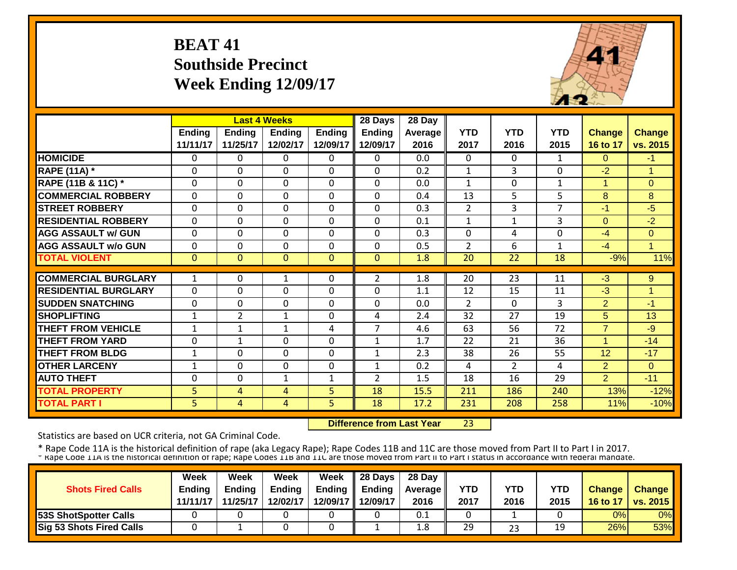## **BEAT 41 Southside Precinct Week Ending 12/09/17**



|                             |              |                | <b>Last 4 Weeks</b> |               | 28 Days        | 28 Day  |                |                |                |                |                |
|-----------------------------|--------------|----------------|---------------------|---------------|----------------|---------|----------------|----------------|----------------|----------------|----------------|
|                             | Ending       | <b>Ending</b>  | <b>Ending</b>       | <b>Ending</b> | <b>Ending</b>  | Average | <b>YTD</b>     | <b>YTD</b>     | <b>YTD</b>     | <b>Change</b>  | Change         |
|                             | 11/11/17     | 11/25/17       | 12/02/17            | 12/09/17      | 12/09/17       | 2016    | 2017           | 2016           | 2015           | 16 to 17       | vs. 2015       |
| <b>HOMICIDE</b>             | $\mathbf{0}$ | 0              | 0                   | 0             | $\Omega$       | 0.0     | $\Omega$       | $\Omega$       | $\mathbf{1}$   | $\Omega$       | $-1$           |
| <b>RAPE (11A) *</b>         | $\Omega$     | 0              | $\Omega$            | $\Omega$      | $\Omega$       | 0.2     | $\mathbf{1}$   | 3              | 0              | $-2$           | $\overline{1}$ |
| RAPE (11B & 11C) *          | $\mathbf 0$  | 0              | $\mathbf 0$         | $\Omega$      | 0              | 0.0     | $\mathbf{1}$   | $\Omega$       | $\mathbf{1}$   | $\overline{1}$ | $\Omega$       |
| <b>COMMERCIAL ROBBERY</b>   | $\Omega$     | 0              | 0                   | 0             | $\Omega$       | 0.4     | 13             | 5              | 5              | 8              | 8              |
| <b>STREET ROBBERY</b>       | $\mathbf 0$  | 0              | 0                   | 0             | $\Omega$       | 0.3     | $\overline{2}$ | 3              | $\overline{7}$ | $-1$           | $-5$           |
| <b>RESIDENTIAL ROBBERY</b>  | $\Omega$     | $\Omega$       | $\Omega$            | $\Omega$      | $\Omega$       | 0.1     | $\mathbf{1}$   | 1              | 3              | $\Omega$       | $-2$           |
| <b>AGG ASSAULT w/ GUN</b>   | $\Omega$     | 0              | 0                   | $\Omega$      | 0              | 0.3     | $\mathbf 0$    | 4              | 0              | $-4$           | $\mathbf{0}$   |
| <b>AGG ASSAULT w/o GUN</b>  | $\Omega$     | 0              | $\mathbf 0$         | $\Omega$      | 0              | 0.5     | $\overline{2}$ | 6              | 1              | $-4$           | $\overline{1}$ |
| <b>TOTAL VIOLENT</b>        | $\mathbf{0}$ | $\overline{0}$ | $\Omega$            | $\Omega$      | $\Omega$       | 1.8     | 20             | 22             | 18             | $-9%$          | 11%            |
|                             |              |                |                     |               |                |         |                |                |                |                |                |
| <b>COMMERCIAL BURGLARY</b>  | 1            | 0              | $\mathbf{1}$        | 0             | $\overline{2}$ | 1.8     | 20             | 23             | 11             | $-3$           | 9              |
| <b>RESIDENTIAL BURGLARY</b> | $\Omega$     | 0              | $\mathbf{0}$        | $\Omega$      | $\Omega$       | 1.1     | 12             | 15             | 11             | $-3$           | 1              |
| <b>SUDDEN SNATCHING</b>     | $\Omega$     | 0              | $\Omega$            | $\Omega$      | $\Omega$       | 0.0     | $\overline{2}$ | $\Omega$       | 3              | $\overline{2}$ | $-1$           |
| <b>SHOPLIFTING</b>          | 1            | $\overline{2}$ | 1                   | $\Omega$      | 4              | 2.4     | 32             | 27             | 19             | 5              | 13             |
| <b>THEFT FROM VEHICLE</b>   | 1            | 1              | 1                   | 4             | 7              | 4.6     | 63             | 56             | 72             | $\overline{7}$ | $-9$           |
| <b>THEFT FROM YARD</b>      | $\Omega$     | 1              | $\Omega$            | 0             | 1              | 1.7     | 22             | 21             | 36             | 1              | $-14$          |
| <b>THEFT FROM BLDG</b>      | 1            | 0              | $\Omega$            | 0             | 1              | 2.3     | 38             | 26             | 55             | 12             | $-17$          |
| <b>OTHER LARCENY</b>        | $\mathbf{1}$ | 0              | 0                   | 0             | 1              | 0.2     | 4              | $\overline{2}$ | 4              | $\overline{2}$ | $\Omega$       |
| <b>AUTO THEFT</b>           | $\Omega$     | 0              | 1                   | 1             | $\overline{2}$ | 1.5     | 18             | 16             | 29             | $\overline{2}$ | $-11$          |
| <b>TOTAL PROPERTY</b>       | 5            | 4              | 4                   | 5             | 18             | 15.5    | 211            | 186            | 240            | 13%            | $-12%$         |
| <b>TOTAL PART I</b>         | 5            | 4              | 4                   | 5             | 18             | 17.2    | 231            | 208            | 258            | 11%            | $-10%$         |

 **Difference from Last Year**23

Statistics are based on UCR criteria, not GA Criminal Code.

|                                 | Week          | Week          | Week          | Week     | 28 Days       | 28 Day            |      |            |            |               |                 |
|---------------------------------|---------------|---------------|---------------|----------|---------------|-------------------|------|------------|------------|---------------|-----------------|
| <b>Shots Fired Calls</b>        | <b>Ending</b> | <b>Ending</b> | <b>Ending</b> | Ending   | <b>Ending</b> | <b>Average II</b> | YTD  | <b>YTD</b> | <b>YTD</b> | <b>Change</b> | Change          |
|                                 | 11/11/17      | 11/25/17      | 12/02/17      | 12/09/17 | 12/09/17      | 2016              | 2017 | 2016       | 2015       | 16 to 17      | <b>VS. 2015</b> |
| <b>53S ShotSpotter Calls</b>    |               |               |               |          |               | 0.1               |      |            |            | 0%            | 0%              |
| <b>Sig 53 Shots Fired Calls</b> |               |               |               |          |               | 1.8               | 29   | 23         | 19         | 26%           | 53%             |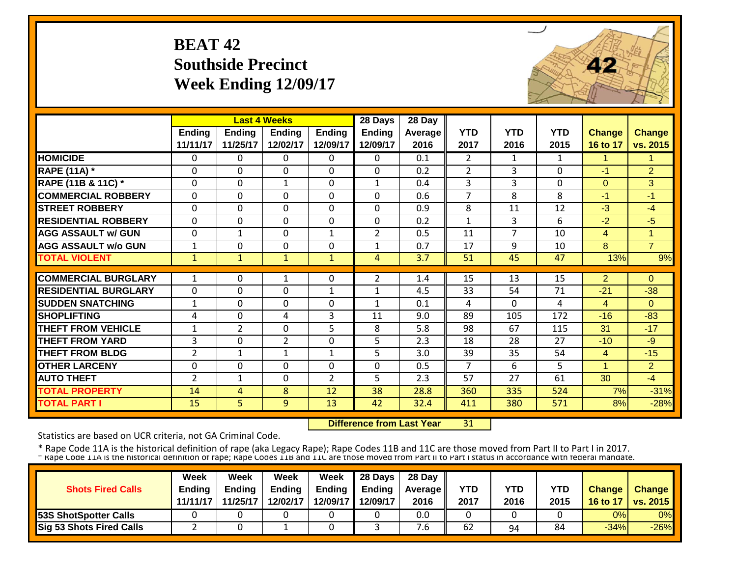#### **BEAT 42Southside Precinct Week Ending 12/09/17**



|                             |                | <b>Last 4 Weeks</b> |                |                | 28 Days        | 28 Day  |                |                |              |                |                |
|-----------------------------|----------------|---------------------|----------------|----------------|----------------|---------|----------------|----------------|--------------|----------------|----------------|
|                             | <b>Ending</b>  | <b>Ending</b>       | <b>Ending</b>  | <b>Ending</b>  | <b>Ending</b>  | Average | <b>YTD</b>     | <b>YTD</b>     | <b>YTD</b>   | <b>Change</b>  | <b>Change</b>  |
|                             | 11/11/17       | 11/25/17            | 12/02/17       | 12/09/17       | 12/09/17       | 2016    | 2017           | 2016           | 2015         | 16 to 17       | vs. 2015       |
| <b>HOMICIDE</b>             | $\Omega$       | 0                   | $\Omega$       | $\Omega$       | 0              | 0.1     | $\overline{2}$ | $\mathbf{1}$   | 1            | 1              | 1.             |
| <b>RAPE (11A) *</b>         | $\Omega$       | $\Omega$            | $\Omega$       | $\Omega$       | 0              | 0.2     | $\overline{2}$ | 3              | $\Omega$     | $-1$           | $\overline{2}$ |
| RAPE (11B & 11C) *          | $\mathbf 0$    | 0                   | $\mathbf{1}$   | $\mathbf 0$    | $\mathbf{1}$   | 0.4     | 3              | 3              | $\mathbf{0}$ | $\Omega$       | 3              |
| <b>COMMERCIAL ROBBERY</b>   | $\Omega$       | 0                   | $\Omega$       | $\Omega$       | 0              | 0.6     | 7              | 8              | 8            | $-1$           | $-1$           |
| <b>STREET ROBBERY</b>       | $\mathbf 0$    | 0                   | $\Omega$       | $\mathbf 0$    | 0              | 0.9     | 8              | 11             | 12           | $-3$           | $-4$           |
| <b>RESIDENTIAL ROBBERY</b>  | $\Omega$       | 0                   | $\Omega$       | $\mathbf 0$    | $\Omega$       | 0.2     | $\mathbf{1}$   | 3              | 6            | $-2$           | $-5$           |
| <b>AGG ASSAULT w/ GUN</b>   | $\mathbf 0$    | 1                   | $\mathbf 0$    | $\mathbf{1}$   | $\overline{2}$ | 0.5     | 11             | $\overline{7}$ | 10           | 4              | $\mathbf{1}$   |
| <b>AGG ASSAULT w/o GUN</b>  | $\mathbf{1}$   | 0                   | $\Omega$       | $\Omega$       | $\mathbf{1}$   | 0.7     | 17             | 9              | 10           | 8              | $\overline{7}$ |
| <b>TOTAL VIOLENT</b>        | $\mathbf{1}$   | $\mathbf{1}$        | $\mathbf{1}$   | $\mathbf{1}$   | 4              | 3.7     | 51             | 45             | 47           | 13%            | 9%             |
|                             |                |                     |                |                |                |         |                |                |              |                |                |
| <b>COMMERCIAL BURGLARY</b>  | 1              | 0                   | 1              | $\Omega$       | 2              | 1.4     | 15             | 13             | 15           | $\overline{2}$ | $\Omega$       |
| <b>RESIDENTIAL BURGLARY</b> | $\mathbf{0}$   | 0                   | $\Omega$       | $\mathbf{1}$   | $\mathbf{1}$   | 4.5     | 33             | 54             | 71           | $-21$          | $-38$          |
| <b>SUDDEN SNATCHING</b>     | $\mathbf{1}$   | 0                   | $\Omega$       | $\Omega$       | $\mathbf{1}$   | 0.1     | 4              | $\Omega$       | 4            | 4              | $\Omega$       |
| <b>SHOPLIFTING</b>          | 4              | 0                   | 4              | 3              | 11             | 9.0     | 89             | 105            | 172          | $-16$          | $-83$          |
| <b>THEFT FROM VEHICLE</b>   | 1              | $\overline{2}$      | $\Omega$       | 5              | 8              | 5.8     | 98             | 67             | 115          | 31             | $-17$          |
| <b>THEFT FROM YARD</b>      | 3              | 0                   | $\overline{2}$ | 0              | 5              | 2.3     | 18             | 28             | 27           | $-10$          | $-9$           |
| <b>THEFT FROM BLDG</b>      | $\overline{2}$ | 1                   | 1              | 1              | 5              | 3.0     | 39             | 35             | 54           | $\overline{4}$ | $-15$          |
| <b>OTHER LARCENY</b>        | $\Omega$       | 0                   | $\Omega$       | $\Omega$       | 0              | 0.5     | 7              | 6              | 5            | 1              | $\overline{2}$ |
| <b>AUTO THEFT</b>           | $\overline{2}$ | 1                   | $\Omega$       | $\overline{2}$ | 5              | 2.3     | 57             | 27             | 61           | 30             | $-4$           |
| <b>TOTAL PROPERTY</b>       | 14             | 4                   | 8              | 12             | 38             | 28.8    | 360            | 335            | 524          | 7%             | $-31%$         |
| <b>TOTAL PART I</b>         | 15             | 5                   | 9              | 13             | 42             | 32.4    | 411            | 380            | 571          | 8%             | $-28%$         |

 **Difference from Last Year**31

Statistics are based on UCR criteria, not GA Criminal Code.

| <b>Shots Fired Calls</b>        | Week<br><b>Endina</b> | Week<br><b>Ending</b> | Week<br><b>Ending</b> | <b>Week</b> | $\parallel$ 28 Days<br>Ending $\parallel$ Ending | 28 Day<br><b>Average</b> II | YTD  | YTD  | YTD  | <b>Change</b> | <b>Change</b>   |
|---------------------------------|-----------------------|-----------------------|-----------------------|-------------|--------------------------------------------------|-----------------------------|------|------|------|---------------|-----------------|
|                                 | 11/11/17              | 11/25/17              | 12/02/17              |             | 12/09/17 12/09/17                                | 2016                        | 2017 | 2016 | 2015 | 16 to 17      | <b>vs. 2015</b> |
| <b>53S ShotSpotter Calls</b>    |                       |                       |                       |             |                                                  | 0.0                         |      |      |      | 0%            | 0%              |
| <b>Sig 53 Shots Fired Calls</b> |                       |                       |                       |             |                                                  | .b                          | 62   | 94   | 84   | $-34%$        | $-26%$          |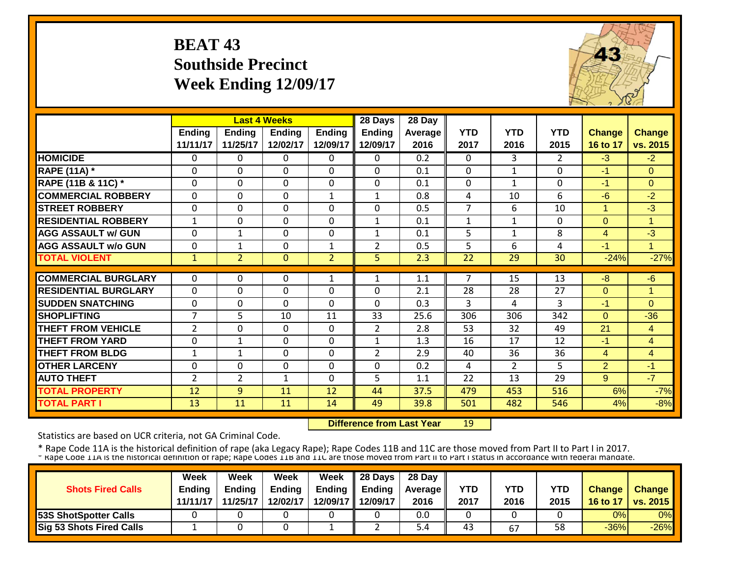#### **BEAT 43 Southside Precinct Week Ending 12/09/17**



|                             |                | <b>Last 4 Weeks</b> |               |                | 28 Days        | 28 Day           |                |                |                |                |                |
|-----------------------------|----------------|---------------------|---------------|----------------|----------------|------------------|----------------|----------------|----------------|----------------|----------------|
|                             | <b>Ending</b>  | <b>Ending</b>       | <b>Ending</b> | <b>Ending</b>  | <b>Ending</b>  | Average          | <b>YTD</b>     | <b>YTD</b>     | <b>YTD</b>     | <b>Change</b>  | <b>Change</b>  |
|                             | 11/11/17       | 11/25/17            | 12/02/17      | 12/09/17       | 12/09/17       | 2016             | 2017           | 2016           | 2015           | 16 to 17       | vs. 2015       |
| <b>HOMICIDE</b>             | $\Omega$       | 0                   | $\Omega$      | $\Omega$       | $\Omega$       | $\overline{0.2}$ | $\Omega$       | 3              | $\overline{2}$ | $-3$           | $-2$           |
| <b>RAPE (11A) *</b>         | $\Omega$       | 0                   | $\Omega$      | $\Omega$       | $\mathbf 0$    | 0.1              | $\Omega$       | $\mathbf{1}$   | $\Omega$       | $-1$           | $\Omega$       |
| RAPE (11B & 11C) *          | $\mathbf{0}$   | 0                   | $\Omega$      | $\Omega$       | $\mathbf 0$    | 0.1              | $\mathbf 0$    | 1              | $\Omega$       | $-1$           | $\Omega$       |
| <b>COMMERCIAL ROBBERY</b>   | $\Omega$       | $\Omega$            | $\Omega$      | $\mathbf{1}$   | $\mathbf{1}$   | 0.8              | $\overline{4}$ | 10             | 6              | $-6$           | $-2$           |
| <b>STREET ROBBERY</b>       | $\mathbf 0$    | 0                   | $\Omega$      | $\Omega$       | 0              | 0.5              | $\overline{7}$ | 6              | 10             | $\mathbf{1}$   | $-3$           |
| <b>RESIDENTIAL ROBBERY</b>  | $\mathbf{1}$   | 0                   | $\Omega$      | $\Omega$       | 1              | 0.1              | $\mathbf{1}$   | $\mathbf{1}$   | 0              | $\Omega$       | $\overline{1}$ |
| <b>AGG ASSAULT w/ GUN</b>   | $\Omega$       | 1                   | $\Omega$      | $\Omega$       | 1              | 0.1              | 5              | $\mathbf{1}$   | 8              | 4              | $-3$           |
| <b>AGG ASSAULT w/o GUN</b>  | $\mathbf{0}$   | 1                   | $\Omega$      | $\mathbf{1}$   | $\overline{2}$ | 0.5              | 5              | 6              | 4              | $-1$           | 1              |
| <b>TOTAL VIOLENT</b>        | $\mathbf{1}$   | $\overline{2}$      | $\mathbf{0}$  | $\overline{2}$ | 5 <sup>1</sup> | 2.3              | 22             | 29             | 30             | $-24%$         | $-27%$         |
|                             |                |                     |               |                |                |                  |                |                |                |                |                |
| <b>COMMERCIAL BURGLARY</b>  | $\Omega$       | 0                   | $\Omega$      | $\mathbf{1}$   | 1              | 1.1              | 7              | 15             | 13             | -8             | $-6$           |
| <b>RESIDENTIAL BURGLARY</b> | $\mathbf 0$    | 0                   | $\Omega$      | 0              | 0              | 2.1              | 28             | 28             | 27             | $\Omega$       | 1              |
| <b>SUDDEN SNATCHING</b>     | $\Omega$       | 0                   | $\Omega$      | $\Omega$       | $\Omega$       | 0.3              | 3              | 4              | 3              | $-1$           | $\Omega$       |
| <b>SHOPLIFTING</b>          | $\overline{7}$ | 5                   | 10            | 11             | 33             | 25.6             | 306            | 306            | 342            | $\Omega$       | $-36$          |
| THEFT FROM VEHICLE          | $\overline{2}$ | 0                   | $\Omega$      | 0              | $\overline{2}$ | 2.8              | 53             | 32             | 49             | 21             | $\overline{4}$ |
| <b>THEFT FROM YARD</b>      | $\mathbf 0$    | 1                   | $\Omega$      | 0              | 1              | 1.3              | 16             | 17             | 12             | $-1$           | $\overline{4}$ |
| <b>THEFT FROM BLDG</b>      | 1              | $\mathbf{1}$        | $\Omega$      | 0              | $\overline{2}$ | 2.9              | 40             | 36             | 36             | $\overline{4}$ | $\overline{4}$ |
| <b>OTHER LARCENY</b>        | $\Omega$       | 0                   | $\Omega$      | $\Omega$       | $\mathbf 0$    | 0.2              | 4              | $\overline{2}$ | 5.             | $\overline{2}$ | $-1$           |
| <b>AUTO THEFT</b>           | $\overline{2}$ | $\overline{2}$      | 1             | $\Omega$       | 5              | 1.1              | 22             | 13             | 29             | 9 <sup>°</sup> | $-7$           |
| <b>TOTAL PROPERTY</b>       | 12             | 9                   | 11            | 12             | 44             | 37.5             | 479            | 453            | 516            | 6%             | $-7%$          |
| <b>TOTAL PART I</b>         | 13             | 11                  | 11            | 14             | 49             | 39.8             | 501            | 482            | 546            | 4%             | $-8%$          |

 **Difference from Last Year**19

Statistics are based on UCR criteria, not GA Criminal Code.

|                                 | Week          | Week          | Week          | <b>Week</b> | $\parallel$ 28 Days       | 28 Day            |      |      |      |               |                 |
|---------------------------------|---------------|---------------|---------------|-------------|---------------------------|-------------------|------|------|------|---------------|-----------------|
| <b>Shots Fired Calls</b>        | <b>Endina</b> | <b>Ending</b> | <b>Ending</b> |             | Ending $\parallel$ Ending | <b>Average</b> II | YTD  | YTD  | YTD  | <b>Change</b> | <b>Change</b>   |
|                                 | 11/11/17      | 11/25/17      | 12/02/17      |             | 12/09/17 12/09/17         | 2016              | 2017 | 2016 | 2015 | 16 to 17      | <b>vs. 2015</b> |
| <b>53S ShotSpotter Calls</b>    |               |               |               |             |                           | 0.0               |      |      |      | 0%            | 0%              |
| <b>Sig 53 Shots Fired Calls</b> |               |               |               |             |                           | . 4د              | 43   | 67   | 58   | $-36%$        | $-26%$          |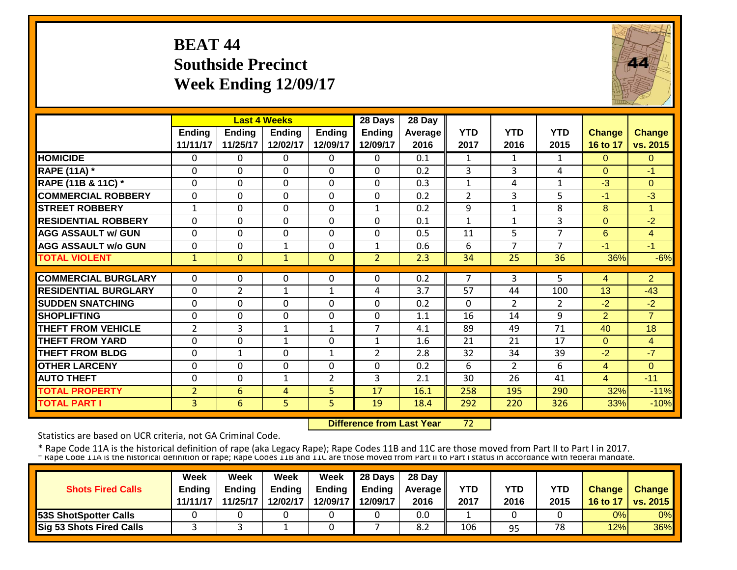## **BEAT 44 Southside Precinct Week Ending 12/09/17**



|                             |                | <b>Last 4 Weeks</b> |              |                | 28 Days        | 28 Day  |                |                |                |                |                |
|-----------------------------|----------------|---------------------|--------------|----------------|----------------|---------|----------------|----------------|----------------|----------------|----------------|
|                             | Ending         | <b>Ending</b>       | Ending       | <b>Ending</b>  | <b>Ending</b>  | Average | <b>YTD</b>     | <b>YTD</b>     | <b>YTD</b>     | <b>Change</b>  | <b>Change</b>  |
|                             | 11/11/17       | 11/25/17            | 12/02/17     | 12/09/17       | 12/09/17       | 2016    | 2017           | 2016           | 2015           | 16 to 17       | vs. 2015       |
| <b>HOMICIDE</b>             | $\Omega$       | 0                   | 0            | $\Omega$       | 0              | 0.1     | 1              | $\mathbf{1}$   | $\mathbf{1}$   | $\Omega$       | $\Omega$       |
| <b>RAPE (11A)</b> *         | $\Omega$       | 0                   | $\Omega$     | $\Omega$       | 0              | 0.2     | 3              | 3              | 4              | $\Omega$       | -1             |
| RAPE (11B & 11C) *          | $\mathbf 0$    | 0                   | $\Omega$     | $\mathbf 0$    | 0              | 0.3     | $\mathbf{1}$   | 4              | 1              | $-3$           | $\Omega$       |
| <b>COMMERCIAL ROBBERY</b>   | $\mathbf{0}$   | 0                   | $\Omega$     | $\Omega$       | 0              | 0.2     | $\overline{2}$ | 3              | 5              | $-1$           | $-3$           |
| <b>STREET ROBBERY</b>       | $\mathbf{1}$   | 0                   | $\Omega$     | $\mathbf 0$    | $\mathbf{1}$   | 0.2     | 9              | 1              | 8              | 8              | $\mathbf{1}$   |
| <b>RESIDENTIAL ROBBERY</b>  | $\Omega$       | 0                   | $\Omega$     | $\Omega$       | 0              | 0.1     | $\mathbf{1}$   | 1              | 3              | $\Omega$       | $-2$           |
| <b>AGG ASSAULT w/ GUN</b>   | $\Omega$       | 0                   | $\Omega$     | $\Omega$       | 0              | 0.5     | 11             | 5              | 7              | 6              | $\overline{4}$ |
| <b>AGG ASSAULT w/o GUN</b>  | $\Omega$       | 0                   | 1            | $\Omega$       | $\mathbf{1}$   | 0.6     | 6              | $\overline{ }$ | 7              | $-1$           | $-1$           |
| <b>TOTAL VIOLENT</b>        | $\mathbf{1}$   | $\overline{0}$      | $\mathbf{1}$ | $\Omega$       | $\overline{2}$ | 2.3     | 34             | 25             | 36             | 36%            | $-6%$          |
|                             |                |                     |              |                |                |         |                |                |                |                |                |
| <b>COMMERCIAL BURGLARY</b>  | $\Omega$       | 0                   | 0            | $\Omega$       | 0              | 0.2     | 7              | 3              | 5              | 4              | $\overline{2}$ |
| <b>RESIDENTIAL BURGLARY</b> | $\mathbf 0$    | 2                   | 1            | 1              | 4              | 3.7     | 57             | 44             | 100            | 13             | $-43$          |
| <b>SUDDEN SNATCHING</b>     | $\mathbf 0$    | 0                   | $\Omega$     | 0              | 0              | 0.2     | $\Omega$       | $\overline{2}$ | $\overline{2}$ | $-2$           | $-2$           |
| <b>SHOPLIFTING</b>          | $\Omega$       | 0                   | 0            | $\Omega$       | 0              | 1.1     | 16             | 14             | 9              | $\overline{2}$ | $\overline{7}$ |
| <b>THEFT FROM VEHICLE</b>   | $\overline{2}$ | 3                   | $\mathbf{1}$ | $\mathbf 1$    | 7              | 4.1     | 89             | 49             | 71             | 40             | 18             |
| <b>THEFT FROM YARD</b>      | $\Omega$       | 0                   | $\mathbf{1}$ | $\Omega$       | $\mathbf{1}$   | 1.6     | 21             | 21             | 17             | $\Omega$       | 4              |
| <b>THEFT FROM BLDG</b>      | $\Omega$       | $\mathbf{1}$        | $\Omega$     | 1              | $\overline{2}$ | 2.8     | 32             | 34             | 39             | $-2$           | $-7$           |
| <b>OTHER LARCENY</b>        | $\mathbf{0}$   | 0                   | $\Omega$     | $\Omega$       | 0              | 0.2     | 6              | $\overline{2}$ | 6              | 4              | $\Omega$       |
| <b>AUTO THEFT</b>           | $\mathbf{0}$   | 0                   | $\mathbf{1}$ | $\overline{2}$ | 3              | 2.1     | 30             | 26             | 41             | $\overline{4}$ | $-11$          |
| <b>TOTAL PROPERTY</b>       | $\overline{2}$ | 6                   | 4            | 5              | 17             | 16.1    | 258            | 195            | 290            | 32%            | $-11%$         |
| <b>TOTAL PART I</b>         | 3 <sup>°</sup> | $6\overline{6}$     | 5            | 5 <sup>1</sup> | 19             | 18.4    | 292            | 220            | 326            | 33%            | $-10%$         |

 **Difference from Last Year**72

Statistics are based on UCR criteria, not GA Criminal Code.

| <b>Shots Fired Calls</b>        | Week<br><b>Endina</b> | Week<br><b>Ending</b> | Week<br><b>Ending</b> | <b>Week</b> | $\parallel$ 28 Days<br>Ending $\parallel$ Ending | 28 Day<br><b>Average</b> II | YTD  | YTD  | YTD  | <b>Change</b> | <b>Change</b>   |
|---------------------------------|-----------------------|-----------------------|-----------------------|-------------|--------------------------------------------------|-----------------------------|------|------|------|---------------|-----------------|
|                                 | 11/11/17              | 11/25/17              | 12/02/17              |             | 12/09/17 12/09/17                                | 2016                        | 2017 | 2016 | 2015 | 16 to 17      | <b>vs. 2015</b> |
| <b>53S ShotSpotter Calls</b>    |                       |                       |                       |             |                                                  | 0.0                         |      |      |      | 0%            | 0%              |
| <b>Sig 53 Shots Fired Calls</b> |                       |                       |                       |             |                                                  | 8.2                         | 106  | 95   | 78   | 12%           | 36%             |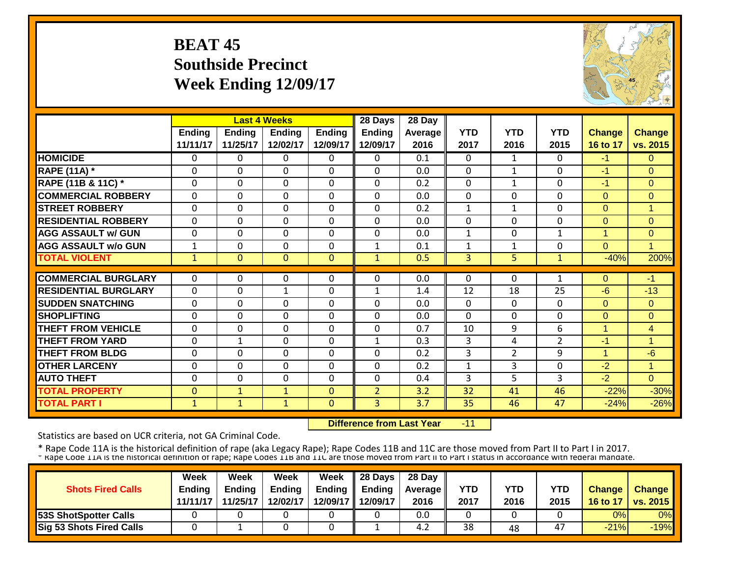## **BEAT 45 Southside Precinct Week Ending 12/09/17**



|                             |              |              | <b>Last 4 Weeks</b> |               | 28 Days        | 28 Day  |              |                |                |               |                |
|-----------------------------|--------------|--------------|---------------------|---------------|----------------|---------|--------------|----------------|----------------|---------------|----------------|
|                             | Endina       | Endina       | <b>Endina</b>       | <b>Ending</b> | <b>Ending</b>  | Average | <b>YTD</b>   | <b>YTD</b>     | <b>YTD</b>     | <b>Change</b> | Change         |
|                             | 11/11/17     | 11/25/17     | 12/02/17            | 12/09/17      | 12/09/17       | 2016    | 2017         | 2016           | 2015           | 16 to 17      | vs. 2015       |
| <b>HOMICIDE</b>             | $\mathbf{0}$ | 0            | $\Omega$            | $\Omega$      | 0              | 0.1     | $\Omega$     | $\mathbf{1}$   | $\Omega$       | $-1$          | $\Omega$       |
| <b>RAPE (11A) *</b>         | $\Omega$     | $\Omega$     | $\Omega$            | $\mathbf 0$   | $\Omega$       | 0.0     | $\Omega$     | $\mathbf{1}$   | $\Omega$       | -1            | $\Omega$       |
| RAPE (11B & 11C) *          | $\mathbf 0$  | 0            | $\mathbf 0$         | $\mathbf 0$   | 0              | 0.2     | $\Omega$     | $\mathbf{1}$   | $\Omega$       | $-1$          | $\Omega$       |
| <b>COMMERCIAL ROBBERY</b>   | $\Omega$     | 0            | $\Omega$            | $\Omega$      | $\Omega$       | 0.0     | $\Omega$     | $\Omega$       | $\Omega$       | $\Omega$      | $\Omega$       |
| <b>STREET ROBBERY</b>       | $\mathbf 0$  | 0            | $\mathbf 0$         | $\mathbf 0$   | 0              | 0.2     | $\mathbf{1}$ | $\mathbf{1}$   | $\mathbf 0$    | $\Omega$      | $\overline{1}$ |
| <b>RESIDENTIAL ROBBERY</b>  | $\Omega$     | 0            | $\Omega$            | $\mathbf 0$   | $\Omega$       | 0.0     | $\Omega$     | 0              | $\Omega$       | $\Omega$      | $\Omega$       |
| <b>AGG ASSAULT w/ GUN</b>   | $\mathbf 0$  | 0            | $\mathbf 0$         | $\mathbf 0$   | $\Omega$       | 0.0     | $\mathbf{1}$ | $\Omega$       | $\mathbf{1}$   | $\mathbf{1}$  | $\overline{0}$ |
| <b>AGG ASSAULT w/o GUN</b>  | 1            | 0            | 0                   | $\mathbf 0$   | 1              | 0.1     | $\mathbf{1}$ | $\mathbf{1}$   | $\mathbf 0$    | $\Omega$      | 1              |
| <b>TOTAL VIOLENT</b>        | $\mathbf{1}$ | $\Omega$     | $\Omega$            | $\mathbf{0}$  | $\mathbf{1}$   | 0.5     | 3            | 5              | $\mathbf{1}$   | $-40%$        | 200%           |
|                             |              |              |                     |               |                |         |              |                |                |               |                |
| <b>COMMERCIAL BURGLARY</b>  | $\mathbf{0}$ | 0            | 0                   | 0             | 0              | 0.0     | 0            | $\Omega$       | 1              | $\Omega$      | $-1$           |
| <b>RESIDENTIAL BURGLARY</b> | $\mathbf{0}$ | 0            | 1                   | $\Omega$      | 1              | 1.4     | 12           | 18             | 25             | $-6$          | $-13$          |
| <b>SUDDEN SNATCHING</b>     | $\Omega$     | 0            | $\Omega$            | $\Omega$      | $\Omega$       | 0.0     | $\Omega$     | 0              | $\Omega$       | $\Omega$      | $\Omega$       |
| <b>SHOPLIFTING</b>          | $\Omega$     | $\Omega$     | $\Omega$            | $\Omega$      | $\Omega$       | 0.0     | $\Omega$     | $\Omega$       | $\Omega$       | $\Omega$      | $\Omega$       |
| <b>THEFT FROM VEHICLE</b>   | $\Omega$     | 0            | $\Omega$            | $\Omega$      | $\Omega$       | 0.7     | 10           | 9              | 6              | 1             | $\overline{4}$ |
| <b>THEFT FROM YARD</b>      | $\Omega$     | 1            | $\Omega$            | $\Omega$      | $\mathbf{1}$   | 0.3     | 3            | 4              | $\overline{2}$ | -1            | 1.             |
| <b>THEFT FROM BLDG</b>      | $\Omega$     | 0            | $\Omega$            | $\Omega$      | $\Omega$       | 0.2     | 3            | $\overline{2}$ | 9              | 1             | $-6$           |
| <b>OTHER LARCENY</b>        | $\Omega$     | 0            | $\Omega$            | $\Omega$      | $\Omega$       | 0.2     | $\mathbf{1}$ | 3              | $\Omega$       | $-2$          | $\mathbf{1}$   |
| <b>AUTO THEFT</b>           | $\mathbf{0}$ | 0            | $\Omega$            | $\Omega$      | $\Omega$       | 0.4     | 3            | 5              | 3              | $-2$          | $\Omega$       |
| <b>TOTAL PROPERTY</b>       | $\mathbf{0}$ | $\mathbf{1}$ | $\mathbf{1}$        | $\Omega$      | $\overline{2}$ | 3.2     | 32           | 41             | 46             | $-22%$        | $-30%$         |
| <b>TOTAL PART I</b>         | $\mathbf{1}$ | $\mathbf{1}$ | $\mathbf{1}$        | $\mathbf{0}$  | $\overline{3}$ | 3.7     | 35           | 46             | 47             | $-24%$        | $-26%$         |

 **Difference from Last Year** $-11$ 

Statistics are based on UCR criteria, not GA Criminal Code.

|                                 | Week          | Week          | Week          | Week     | 28 Days       | 28 Day            |      |            |            |               |                 |
|---------------------------------|---------------|---------------|---------------|----------|---------------|-------------------|------|------------|------------|---------------|-----------------|
| <b>Shots Fired Calls</b>        | <b>Ending</b> | <b>Ending</b> | <b>Ending</b> | Ending   | <b>Ending</b> | <b>Average II</b> | YTD  | <b>YTD</b> | <b>YTD</b> | <b>Change</b> | Change          |
|                                 | 11/11/17      | 11/25/17      | 12/02/17      | 12/09/17 | 12/09/17      | 2016              | 2017 | 2016       | 2015       | 16 to 17      | <b>vs. 2015</b> |
| <b>53S ShotSpotter Calls</b>    |               |               |               |          |               | 0.0               |      |            |            | 0%            | 0%              |
| <b>Sig 53 Shots Fired Calls</b> |               |               |               |          |               | ے.4               | 38   | 48         | 47         | $-21%$        | $-19%$          |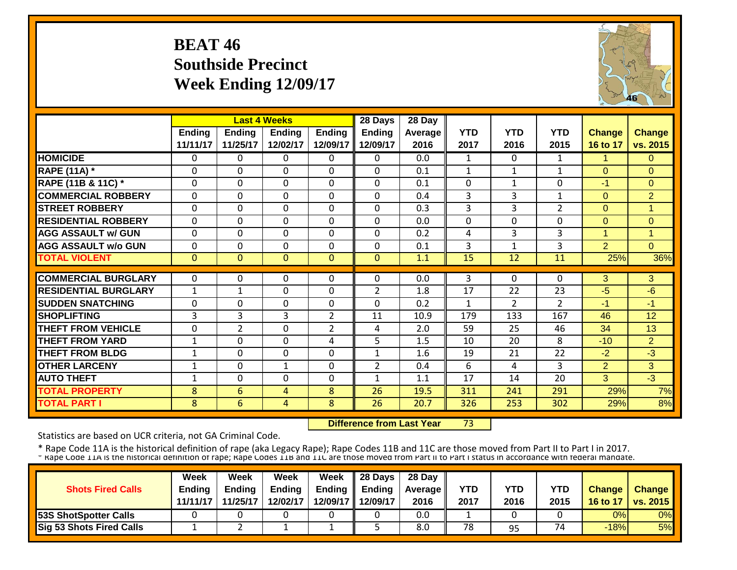#### **BEAT 46 Southside Precinct Week Ending 12/09/17**



|                             |              | <b>Last 4 Weeks</b> |                |                | 28 Days        | 28 Day  |                |                |                |                |                |
|-----------------------------|--------------|---------------------|----------------|----------------|----------------|---------|----------------|----------------|----------------|----------------|----------------|
|                             | Ending       | <b>Ending</b>       | <b>Ending</b>  | <b>Ending</b>  | <b>Ending</b>  | Average | <b>YTD</b>     | <b>YTD</b>     | <b>YTD</b>     | <b>Change</b>  | <b>Change</b>  |
|                             | 11/11/17     | 11/25/17            | 12/02/17       | 12/09/17       | 12/09/17       | 2016    | 2017           | 2016           | 2015           | 16 to 17       | vs. 2015       |
| <b>HOMICIDE</b>             | $\Omega$     | 0                   | $\mathbf{0}$   | 0              | 0              | 0.0     | $\mathbf{1}$   | $\Omega$       | $\mathbf{1}$   | $\mathbf{1}$   | $\Omega$       |
| <b>RAPE (11A) *</b>         | $\Omega$     | 0                   | $\Omega$       | $\Omega$       | $\Omega$       | 0.1     | $\mathbf{1}$   | $\mathbf{1}$   | $\mathbf{1}$   | $\Omega$       | $\Omega$       |
| RAPE (11B & 11C) *          | $\mathbf 0$  | 0                   | $\mathbf 0$    | 0              | $\Omega$       | 0.1     | $\overline{0}$ | $\mathbf{1}$   | 0              | $-1$           | $\Omega$       |
| <b>COMMERCIAL ROBBERY</b>   | $\Omega$     | 0                   | $\Omega$       | 0              | $\Omega$       | 0.4     | 3              | 3              | $\mathbf{1}$   | $\Omega$       | $\overline{2}$ |
| <b>STREET ROBBERY</b>       | $\mathbf 0$  | 0                   | $\overline{0}$ | $\Omega$       | $\Omega$       | 0.3     | 3              | 3              | $\overline{2}$ | $\mathbf{0}$   | -4             |
| <b>RESIDENTIAL ROBBERY</b>  | $\mathbf 0$  | $\Omega$            | $\mathbf 0$    | $\Omega$       | $\Omega$       | 0.0     | $\mathbf 0$    | $\Omega$       | 0              | $\Omega$       | $\Omega$       |
| <b>AGG ASSAULT w/ GUN</b>   | $\mathbf 0$  | $\Omega$            | $\mathbf 0$    | $\Omega$       | $\Omega$       | 0.2     | 4              | 3              | 3              | 1              | 1              |
| <b>AGG ASSAULT w/o GUN</b>  | $\mathbf 0$  | 0                   | $\mathbf 0$    | $\mathbf 0$    | 0              | 0.1     | 3              | $\mathbf{1}$   | 3              | 2              | $\Omega$       |
| <b>TOTAL VIOLENT</b>        | $\Omega$     | $\overline{0}$      | $\Omega$       | $\Omega$       | $\Omega$       | 1.1     | 15             | 12             | 11             | 25%            | 36%            |
|                             |              |                     |                |                |                |         |                |                |                |                |                |
| <b>COMMERCIAL BURGLARY</b>  | $\Omega$     | 0                   | 0              | 0              | 0              | 0.0     | 3              | 0              | 0              | 3              | 3              |
| <b>RESIDENTIAL BURGLARY</b> | $\mathbf{1}$ | 1                   | 0              | $\Omega$       | $\overline{2}$ | 1.8     | 17             | 22             | 23             | $-5$           | $-6$           |
| <b>SUDDEN SNATCHING</b>     | $\mathbf 0$  | 0                   | 0              | $\Omega$       | $\Omega$       | 0.2     | 1              | $\overline{2}$ | $\overline{2}$ | $-1$           | $-1$           |
| <b>SHOPLIFTING</b>          | 3            | 3                   | 3              | $\overline{2}$ | 11             | 10.9    | 179            | 133            | 167            | 46             | 12             |
| <b>THEFT FROM VEHICLE</b>   | $\Omega$     | 2                   | $\mathbf 0$    | $\overline{2}$ | 4              | 2.0     | 59             | 25             | 46             | 34             | 13             |
| <b>THEFT FROM YARD</b>      | $\mathbf{1}$ | $\Omega$            | 0              | 4              | 5              | 1.5     | 10             | 20             | 8              | $-10$          | $\overline{2}$ |
| <b>THEFT FROM BLDG</b>      | $\mathbf{1}$ | 0                   | 0              | $\Omega$       | $\mathbf{1}$   | 1.6     | 19             | 21             | 22             | $-2$           | $-3$           |
| <b>OTHER LARCENY</b>        | 1            | $\Omega$            | $\mathbf{1}$   | 0              | $\overline{2}$ | 0.4     | 6              | 4              | 3              | $\overline{2}$ | 3              |
| <b>AUTO THEFT</b>           | 1            | 0                   | $\mathbf{0}$   | $\Omega$       | 1              | 1.1     | 17             | 14             | 20             | 3              | $-3$           |
| <b>TOTAL PROPERTY</b>       | 8            | 6                   | 4              | 8              | 26             | 19.5    | 311            | 241            | 291            | 29%            | 7%             |
| <b>TOTAL PART I</b>         | 8            | 6                   | 4              | 8              | 26             | 20.7    | 326            | 253            | 302            | 29%            | 8%             |

 **Difference from Last Year**73

Statistics are based on UCR criteria, not GA Criminal Code.

| <b>Shots Fired Calls</b>        | Week<br><b>Endina</b> | Week<br><b>Ending</b> | Week<br><b>Ending</b> | <b>Week</b> | $\parallel$ 28 Days<br>Ending $\parallel$ Ending | 28 Day<br><b>Average</b> II | <b>YTD</b> | YTD  | YTD  | <b>Change</b> | <b>Change</b>   |
|---------------------------------|-----------------------|-----------------------|-----------------------|-------------|--------------------------------------------------|-----------------------------|------------|------|------|---------------|-----------------|
|                                 | 11/11/17              | 11/25/17              | 12/02/17              |             | 12/09/17 12/09/17                                | 2016                        | 2017       | 2016 | 2015 | 16 to 17      | <b>vs. 2015</b> |
| <b>53S ShotSpotter Calls</b>    |                       |                       |                       |             |                                                  | 0.0                         |            |      |      | 0%            | 0%              |
| <b>Sig 53 Shots Fired Calls</b> |                       |                       |                       |             |                                                  | 8.0                         | 78         | 95   | 74   | $-18%$        | 5%              |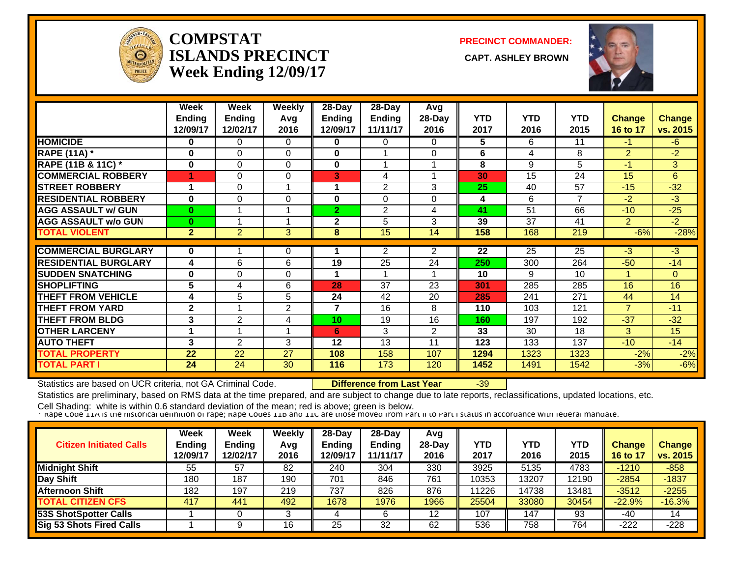

#### **COMPSTATISLANDS PRECINCT Week Ending 12/09/17**

**PRECINCT COMMANDER:**

**CAPT. ASHLEY BROWN** 



|                             | Week<br><b>Ending</b> | Week<br><b>Ending</b> | <b>Weekly</b><br>Avg | $28-Day$<br>Ending | $28$ -Day<br>Ending | Avg<br>28-Day  | <b>YTD</b> | <b>YTD</b> | <b>YTD</b> | <b>Change</b>  | <b>Change</b> |
|-----------------------------|-----------------------|-----------------------|----------------------|--------------------|---------------------|----------------|------------|------------|------------|----------------|---------------|
|                             | 12/09/17              | 12/02/17              | 2016                 | 12/09/17           | 11/11/17            | 2016           | 2017       | 2016       | 2015       | 16 to 17       | vs. 2015      |
| <b>HOMICIDE</b>             | 0                     | 0                     | $\Omega$             | 0                  | 0                   | 0              | 5          | 6          | 11         | $-1$           | -6            |
| <b>RAPE (11A) *</b>         | 0                     | 0                     | $\Omega$             | $\bf{0}$           |                     | $\Omega$       | 6          | 4          | 8          | $\overline{2}$ | $-2$          |
| RAPE (11B & 11C) *          | $\bf{0}$              | 0                     | $\mathbf 0$          | $\mathbf 0$        |                     |                | 8          | 9          | 5          | $-1$           | 3             |
| <b>COMMERCIAL ROBBERY</b>   |                       | 0                     | $\Omega$             | 3                  | 4                   |                | 30         | 15         | 24         | 15             | 6             |
| <b>STREET ROBBERY</b>       | 1                     | 0                     |                      |                    | 2                   | 3              | 25         | 40         | 57         | $-15$          | $-32$         |
| <b>RESIDENTIAL ROBBERY</b>  | $\bf{0}$              | 0                     | $\Omega$             | 0                  | $\Omega$            | $\Omega$       | 4          | 6          | 7          | $-2$           | $-3$          |
| <b>AGG ASSAULT w/ GUN</b>   | $\bf{0}$              |                       |                      | $\overline{2}$     | 2                   | 4              | 41         | 51         | 66         | $-10$          | $-25$         |
| <b>AGG ASSAULT w/o GUN</b>  | $\bf{0}$              |                       |                      | $\mathbf{2}$       | 5                   | 3              | 39         | 37         | 41         | $\overline{2}$ | $-2$          |
| <b>TOTAL VIOLENT</b>        | $\mathbf{2}$          | $\overline{2}$        | 3                    | 8                  | 15                  | 14             | 158        | 168        | 219        | $-6%$          | $-28%$        |
|                             |                       |                       |                      |                    |                     |                |            |            |            |                |               |
| <b>COMMERCIAL BURGLARY</b>  | 0                     |                       | 0                    |                    | $\overline{2}$      | $\overline{2}$ | 22         | 25         | 25         | $-3$           | $-3$          |
| <b>RESIDENTIAL BURGLARY</b> | 4                     | 6                     | 6                    | 19                 | 25                  | 24             | 250        | 300        | 264        | $-50$          | $-14$         |
| <b>SUDDEN SNATCHING</b>     | $\bf{0}$              | 0                     | $\Omega$             |                    |                     |                | 10         | 9          | 10         |                | $\Omega$      |
| <b>SHOPLIFTING</b>          | 5                     | 4                     | 6                    | 28                 | 37                  | 23             | 301        | 285        | 285        | 16             | 16            |
| <b>THEFT FROM VEHICLE</b>   | 4                     | 5                     | 5                    | 24                 | 42                  | 20             | 285        | 241        | 271        | 44             | 14            |
| <b>THEFT FROM YARD</b>      | $\mathbf{2}$          |                       | 2                    | 7                  | 16                  | 8              | 110        | 103        | 121        | ⇁              | $-11$         |
| <b>THEFT FROM BLDG</b>      | 3                     | 2                     | 4                    | 10                 | 19                  | 16             | 160        | 197        | 192        | $-37$          | $-32$         |
| <b>OTHER LARCENY</b>        |                       |                       |                      | 6                  | 3                   | 2              | 33         | 30         | 18         | 3              | 15            |
| <b>AUTO THEFT</b>           | 3                     | $\overline{2}$        | 3                    | 12                 | 13                  | 11             | 123        | 133        | 137        | $-10$          | $-14$         |
| <b>TOTAL PROPERTY</b>       | 22                    | 22                    | 27                   | 108                | 158                 | 107            | 1294       | 1323       | 1323       | $-2%$          | $-2%$         |
| <b>TOTAL PART I</b>         | 24                    | 24                    | 30                   | 116                | 173                 | 120            | 1452       | 1491       | 1542       | $-3%$          | $-6%$         |

Statistics are based on UCR criteria, not GA Criminal Code. **Difference from Last Year** -39

Statistics are preliminary, based on RMS data at the time prepared, and are subject to change due to late reports, reclassifications, updated locations, etc.

| <b>Citizen Initiated Calls</b>  | <b>Week</b><br><b>Ending</b><br>12/09/17 | <b>Week</b><br><b>Ending</b><br>12/02/17 | Weekly<br>Avg<br>2016 | $28-Dav$<br><b>Ending</b><br>12/09/17 | $28$ -Day<br><b>Ending</b><br>11/11/17 | Avg<br>$28$ -Day<br>2016 | <b>YTD</b><br>2017 | YTD<br>2016 | <b>YTD</b><br>2015 | <b>Change</b><br>16 to 17 | <b>Change</b><br>vs. 2015 |
|---------------------------------|------------------------------------------|------------------------------------------|-----------------------|---------------------------------------|----------------------------------------|--------------------------|--------------------|-------------|--------------------|---------------------------|---------------------------|
| <b>Midnight Shift</b>           | 55                                       | 57                                       | 82                    | 240                                   | 304                                    | 330                      | 3925               | 5135        | 4783               | $-1210$                   | $-858$                    |
| Day Shift                       | 180                                      | 187                                      | 190                   | 701                                   | 846                                    | 761                      | 10353              | 13207       | 12190              | $-2854$                   | $-1837$                   |
| <b>Afternoon Shift</b>          | 182                                      | 197                                      | 219                   | 737                                   | 826                                    | 876                      | 11226              | 14738       | 13481              | $-3512$                   | $-2255$                   |
| <b>TOTAL CITIZEN CFS</b>        | 417                                      | 441                                      | 492                   | 1678                                  | 1976                                   | 1966                     | 25504              | 33080       | 30454              | $-22.9%$                  | $-16.3%$                  |
| <b>53S ShotSpotter Calls</b>    |                                          |                                          |                       |                                       |                                        | 12                       | 107                | 147         | 93                 | -40                       | 14                        |
| <b>Sig 53 Shots Fired Calls</b> |                                          |                                          | 16                    | 25                                    | 32                                     | 62                       | 536                | 758         | 764                | $-222$                    | $-228$                    |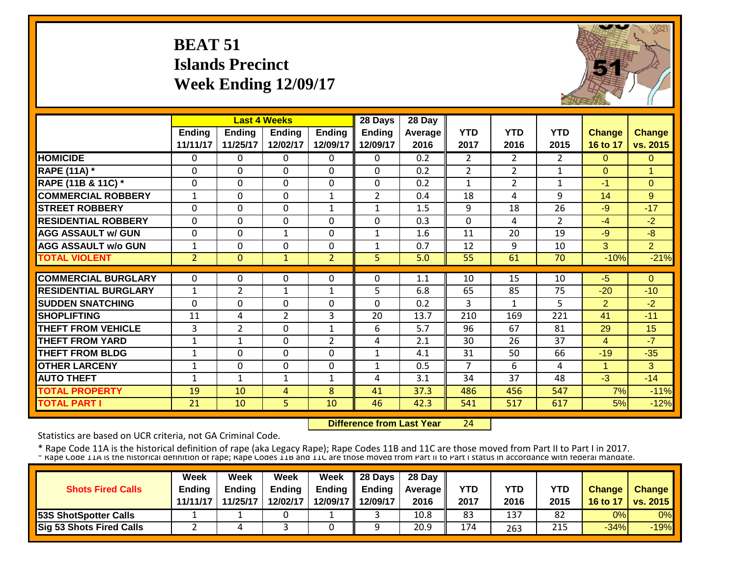# **BEAT 51 Islands Precinct Week Ending 12/09/17**



|                             |                |                | <b>Last 4 Weeks</b> |                | 28 Days        | $28$ Day |                |                       |                |                |                      |
|-----------------------------|----------------|----------------|---------------------|----------------|----------------|----------|----------------|-----------------------|----------------|----------------|----------------------|
|                             | <b>Ending</b>  | Ending         | <b>Ending</b>       | <b>Ending</b>  | <b>Ending</b>  | Average  | <b>YTD</b>     | <b>YTD</b>            | <b>YTD</b>     | <b>Change</b>  | <b>Change</b>        |
|                             | 11/11/17       | 11/25/17       | 12/02/17            | 12/09/17       | 12/09/17       | 2016     | 2017           | 2016                  | 2015           | 16 to 17       | vs. 2015             |
| <b>HOMICIDE</b>             | $\Omega$       | 0              | $\Omega$            | $\Omega$       | 0              | 0.2      | $\overline{2}$ | $\mathbf{2}^{\prime}$ | $\overline{2}$ | $\Omega$       | $\Omega$             |
| <b>RAPE (11A) *</b>         | $\Omega$       | 0              | $\Omega$            | $\Omega$       | $\Omega$       | 0.2      | 2              | $\overline{2}$        | $\mathbf{1}$   | $\Omega$       | $\blacktriangleleft$ |
| RAPE (11B & 11C) *          | $\Omega$       | 0              | $\Omega$            | $\Omega$       | 0              | 0.2      | $\mathbf{1}$   | $\overline{2}$        | $\mathbf{1}$   | $-1$           | $\Omega$             |
| <b>COMMERCIAL ROBBERY</b>   | $\mathbf{1}$   | 0              | $\Omega$            | $\mathbf{1}$   | $\overline{2}$ | 0.4      | 18             | 4                     | 9              | 14             | 9                    |
| <b>STREET ROBBERY</b>       | $\Omega$       | 0              | $\Omega$            | $\mathbf{1}$   | $\mathbf{1}$   | 1.5      | 9              | 18                    | 26             | $-9$           | $-17$                |
| <b>RESIDENTIAL ROBBERY</b>  | $\mathbf{0}$   | 0              | $\Omega$            | $\Omega$       | $\mathbf 0$    | 0.3      | $\mathbf{0}$   | 4                     | $\overline{2}$ | $-4$           | $-2$                 |
| <b>AGG ASSAULT w/ GUN</b>   | $\mathbf{0}$   | $\mathbf 0$    | $\mathbf{1}$        | $\mathbf 0$    | $\mathbf{1}$   | 1.6      | 11             | 20                    | 19             | $-9$           | $-8$                 |
| <b>AGG ASSAULT w/o GUN</b>  | $\mathbf{1}$   | $\mathbf 0$    | $\mathbf 0$         | $\mathbf 0$    | $\mathbf{1}$   | 0.7      | 12             | 9                     | 10             | 3              | $\overline{2}$       |
| <b>TOTAL VIOLENT</b>        | 2 <sup>2</sup> | $\Omega$       | $\mathbf{1}$        | $\overline{2}$ | 5              | 5.0      | 55             | 61                    | 70             | $-10%$         | $-21%$               |
|                             |                |                |                     |                |                |          |                |                       |                |                |                      |
| <b>COMMERCIAL BURGLARY</b>  | $\Omega$       | $\Omega$       | $\Omega$            | $\Omega$       | 0              | 1.1      | 10             | 15                    | 10             | $-5$           | $\Omega$             |
| <b>RESIDENTIAL BURGLARY</b> | $\mathbf{1}$   | 2              | $\mathbf{1}$        | $\mathbf{1}$   | 5              | 6.8      | 65             | 85                    | 75             | $-20$          | $-10$                |
| <b>SUDDEN SNATCHING</b>     | $\Omega$       | 0              | $\mathbf 0$         | $\mathbf 0$    | 0              | 0.2      | 3              | $\mathbf{1}$          | 5              | $\overline{2}$ | $-2$                 |
| <b>SHOPLIFTING</b>          | 11             | 4              | $\overline{2}$      | 3              | 20             | 13.7     | 210            | 169                   | 221            | 41             | $-11$                |
| <b>THEFT FROM VEHICLE</b>   | 3              | $\overline{2}$ | $\Omega$            | $\mathbf{1}$   | 6              | 5.7      | 96             | 67                    | 81             | 29             | 15                   |
| <b>THEFT FROM YARD</b>      | $\mathbf{1}$   | 1              | $\Omega$            | 2              | 4              | 2.1      | 30             | 26                    | 37             | $\overline{4}$ | $-7$                 |
| <b>THEFT FROM BLDG</b>      | $\mathbf{1}$   | 0              | $\mathbf 0$         | $\mathbf 0$    | $\mathbf{1}$   | 4.1      | 31             | 50                    | 66             | $-19$          | $-35$                |
| <b>OTHER LARCENY</b>        | $\mathbf{1}$   | 0              | $\mathbf 0$         | $\mathbf 0$    | $\mathbf{1}$   | 0.5      | $\overline{7}$ | 6                     | 4              | $\mathbf{1}$   | $\mathbf{3}$         |
| <b>AUTO THEFT</b>           | 1              | 1              | 1                   | 1              | 4              | 3.1      | 34             | 37                    | 48             | $-3$           | $-14$                |
| <b>TOTAL PROPERTY</b>       | 19             | 10             | $\overline{4}$      | 8              | 41             | 37.3     | 486            | 456                   | 547            | 7%             | $-11%$               |
| <b>TOTAL PART I</b>         | 21             | 10             | 5.                  | 10             | 46             | 42.3     | 541            | 517                   | 617            | 5%             | $-12%$               |

 **Difference from Last Year**24

Statistics are based on UCR criteria, not GA Criminal Code.

|                          | Week          | Week          | Week          | Week     | 28 Days       | 28 Day            |      |            |            |               |                 |
|--------------------------|---------------|---------------|---------------|----------|---------------|-------------------|------|------------|------------|---------------|-----------------|
| <b>Shots Fired Calls</b> | <b>Ending</b> | <b>Endina</b> | <b>Ending</b> | Ending   | <b>Ending</b> | <b>Average II</b> | YTD  | <b>YTD</b> | <b>YTD</b> | <b>Change</b> | Change          |
|                          | 11/11/17      | 11/25/17      | 12/02/17      | 12/09/17 | 12/09/17      | 2016              | 2017 | 2016       | 2015       | 16 to 17      | <b>vs. 2015</b> |
| 53S ShotSpotter Calls    |               |               |               |          |               | 10.8              | 83   | 137        | 82         | 0%            | 0%              |
| Sig 53 Shots Fired Calls |               |               |               |          |               | 20.9              | 174  | 263        | 215        | $-34%$        | $-19%$          |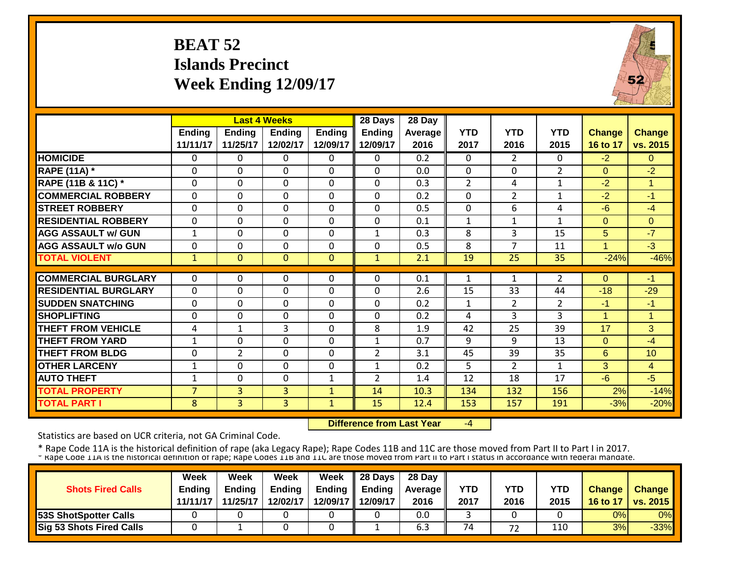# **BEAT 52 Islands Precinct Week Ending 12/09/17**



|                             |                |                | <b>Last 4 Weeks</b> |               | 28 Days        | 28 Day  |                |                |                |                      |                |
|-----------------------------|----------------|----------------|---------------------|---------------|----------------|---------|----------------|----------------|----------------|----------------------|----------------|
|                             | Ending         | <b>Ending</b>  | Endina              | <b>Ending</b> | <b>Ending</b>  | Average | <b>YTD</b>     | <b>YTD</b>     | <b>YTD</b>     | <b>Change</b>        | <b>Change</b>  |
|                             | 11/11/17       | 11/25/17       | 12/02/17            | 12/09/17      | 12/09/17       | 2016    | 2017           | 2016           | 2015           | 16 to 17             | vs. 2015       |
| <b>HOMICIDE</b>             | $\Omega$       | 0              | 0                   | 0             | 0              | 0.2     | $\Omega$       | $\overline{2}$ | 0              | $-2$                 | $\Omega$       |
| <b>RAPE (11A) *</b>         | $\Omega$       | 0              | $\Omega$            | $\Omega$      | $\Omega$       | 0.0     | $\Omega$       | $\Omega$       | $\overline{2}$ | $\Omega$             | $-2$           |
| RAPE (11B & 11C) *          | $\Omega$       | 0              | $\Omega$            | $\Omega$      | $\Omega$       | 0.3     | $\overline{2}$ | 4              | $\mathbf{1}$   | $-2$                 | -1             |
| <b>COMMERCIAL ROBBERY</b>   | $\Omega$       | 0              | 0                   | 0             | $\mathbf 0$    | 0.2     | 0              | $\overline{2}$ | $\mathbf{1}$   | $-2$                 | $-1$           |
| <b>STREET ROBBERY</b>       | $\Omega$       | 0              | $\Omega$            | $\Omega$      | $\mathbf 0$    | 0.5     | $\Omega$       | 6              | 4              | $-6$                 | $-4$           |
| <b>RESIDENTIAL ROBBERY</b>  | $\Omega$       | 0              | $\Omega$            | $\Omega$      | $\Omega$       | 0.1     | 1              | $\mathbf{1}$   | $\mathbf{1}$   | $\Omega$             | $\Omega$       |
| <b>AGG ASSAULT w/ GUN</b>   | $\mathbf{1}$   | 0              | $\Omega$            | $\Omega$      | $\mathbf{1}$   | 0.3     | 8              | 3              | 15             | 5                    | $-7$           |
| <b>AGG ASSAULT w/o GUN</b>  | $\Omega$       | 0              | $\Omega$            | $\Omega$      | $\Omega$       | 0.5     | 8              | 7              | 11             | 1                    | $-3$           |
| <b>TOTAL VIOLENT</b>        | $\mathbf{1}$   | $\Omega$       | $\Omega$            | $\mathbf{0}$  | $\mathbf{1}$   | 2.1     | 19             | 25             | 35             | $-24%$               | $-46%$         |
|                             |                |                |                     |               |                |         |                |                |                |                      |                |
| <b>COMMERCIAL BURGLARY</b>  | $\Omega$       | 0              | 0                   | $\Omega$      | 0              | 0.1     | $\mathbf{1}$   | 1              | 2              | $\Omega$             | -1             |
| <b>RESIDENTIAL BURGLARY</b> | $\Omega$       | 0              | 0                   | 0             | $\Omega$       | 2.6     | 15             | 33             | 44             | $-18$                | $-29$          |
| <b>SUDDEN SNATCHING</b>     | $\Omega$       | 0              | $\Omega$            | 0             | $\Omega$       | 0.2     | $\mathbf{1}$   | $\overline{2}$ | $\overline{2}$ | -1                   | -1             |
| <b>SHOPLIFTING</b>          | $\Omega$       | 0              | $\Omega$            | $\Omega$      | $\Omega$       | 0.2     | 4              | 3              | 3              | $\blacktriangleleft$ | -1             |
| <b>THEFT FROM VEHICLE</b>   | 4              | 1              | 3                   | $\Omega$      | 8              | 1.9     | 42             | 25             | 39             | 17                   | 3              |
| <b>THEFT FROM YARD</b>      | 1              | 0              | $\Omega$            | 0             | $\mathbf{1}$   | 0.7     | 9              | q              | 13             | $\Omega$             | $-4$           |
| <b>THEFT FROM BLDG</b>      | $\Omega$       | $\overline{2}$ | $\Omega$            | $\Omega$      | $\overline{2}$ | 3.1     | 45             | 39             | 35             | 6                    | 10             |
| <b>OTHER LARCENY</b>        | $\mathbf{1}$   | 0              | $\Omega$            | $\Omega$      | $\mathbf{1}$   | 0.2     | 5              | $\overline{2}$ | $\mathbf{1}$   | 3                    | $\overline{4}$ |
| <b>AUTO THEFT</b>           | $\mathbf{1}$   | 0              | $\Omega$            | $\mathbf{1}$  | $\overline{2}$ | 1.4     | 12             | 18             | 17             | $-6$                 | $-5$           |
| <b>TOTAL PROPERTY</b>       | $\overline{7}$ | $\overline{3}$ | 3                   | $\mathbf{1}$  | 14             | 10.3    | 134            | 132            | 156            | 2%                   | $-14%$         |
| <b>TOTAL PART I</b>         | 8              | $\overline{3}$ | $\overline{3}$      | $\mathbf{1}$  | 15             | 12.4    | 153            | 157            | 191            | $-3%$                | $-20%$         |

 **Difference from Last Year**‐4

Statistics are based on UCR criteria, not GA Criminal Code.

| <b>Shots Fired Calls</b>        | Week<br><b>Endina</b><br>11/11/17 | Week<br><b>Ending</b><br>11/25/17 | Week<br><b>Ending</b><br>12/02/17 | <b>Week</b> | $\parallel$ 28 Days<br>Ending $\parallel$ Ending<br>12/09/17 12/09/17 | 28 Day<br><b>Average</b> II<br>2016 | YTD<br>2017 | YTD<br>2016 | YTD<br>2015 | <b>Change</b><br>16 to 17 | <b>Change</b><br><b>vs. 2015</b> |
|---------------------------------|-----------------------------------|-----------------------------------|-----------------------------------|-------------|-----------------------------------------------------------------------|-------------------------------------|-------------|-------------|-------------|---------------------------|----------------------------------|
| <b>53S ShotSpotter Calls</b>    |                                   |                                   |                                   |             |                                                                       | 0.0                                 |             |             |             | 0%                        | 0%                               |
| <b>Sig 53 Shots Fired Calls</b> |                                   |                                   |                                   |             |                                                                       | 6.3                                 | 74          | 72          | 110         | 3%                        | $-33%$                           |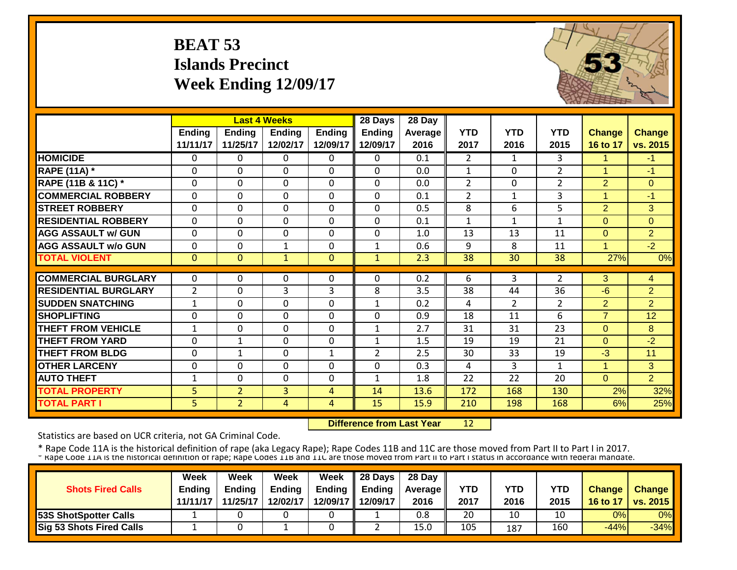# **BEAT 53 Islands Precinct Week Ending 12/09/17**



|                             |                           | <b>Last 4 Weeks</b>       |                           |                           | 28 Days                   | 28 Day          |                    |                    |                    |                           |                           |
|-----------------------------|---------------------------|---------------------------|---------------------------|---------------------------|---------------------------|-----------------|--------------------|--------------------|--------------------|---------------------------|---------------------------|
|                             | <b>Ending</b><br>11/11/17 | <b>Ending</b><br>11/25/17 | <b>Endina</b><br>12/02/17 | <b>Ending</b><br>12/09/17 | <b>Ending</b><br>12/09/17 | Average<br>2016 | <b>YTD</b><br>2017 | <b>YTD</b><br>2016 | <b>YTD</b><br>2015 | <b>Change</b><br>16 to 17 | <b>Change</b><br>vs. 2015 |
| <b>HOMICIDE</b>             | $\Omega$                  | 0                         | $\Omega$                  | $\Omega$                  | 0                         | 0.1             | $\overline{2}$     | $\mathbf{1}$       | 3                  | 1                         | $-1$                      |
| <b>RAPE (11A) *</b>         | $\Omega$                  | 0                         | $\Omega$                  | $\Omega$                  | 0                         | 0.0             | $\mathbf{1}$       | $\Omega$           | $\overline{2}$     | $\overline{ }$            | $-1$                      |
| RAPE (11B & 11C) *          | $\mathbf{0}$              | 0                         | $\mathbf 0$               | $\mathbf 0$               | 0                         | 0.0             | $\overline{2}$     | $\Omega$           | $\overline{2}$     | $\overline{2}$            | $\overline{0}$            |
| <b>COMMERCIAL ROBBERY</b>   | $\Omega$                  | $\Omega$                  | $\Omega$                  | $\mathbf 0$               | 0                         | 0.1             | $\overline{2}$     | $\mathbf{1}$       | 3                  | $\blacktriangleleft$      | $-1$                      |
| <b>STREET ROBBERY</b>       | $\Omega$                  | $\Omega$                  | $\mathbf 0$               | $\Omega$                  | 0                         | 0.5             | 8                  | 6                  | 5                  | $\overline{2}$            | 3                         |
| <b>RESIDENTIAL ROBBERY</b>  | $\Omega$                  | $\Omega$                  | $\Omega$                  | $\Omega$                  | 0                         | 0.1             | $\mathbf{1}$       | 1                  | 1                  | $\Omega$                  | $\Omega$                  |
| <b>AGG ASSAULT w/ GUN</b>   | $\Omega$                  | 0                         | $\Omega$                  | $\mathbf 0$               | 0                         | 1.0             | 13                 | 13                 | 11                 | $\Omega$                  | $\overline{2}$            |
| <b>AGG ASSAULT w/o GUN</b>  | $\mathbf{0}$              | 0                         | 1                         | $\mathbf 0$               | $\mathbf{1}$              | 0.6             | 9                  | 8                  | 11                 | $\blacktriangleleft$      | $-2$                      |
| <b>TOTAL VIOLENT</b>        | $\mathbf{0}$              | $\overline{0}$            | $\mathbf{1}$              | $\mathbf{0}$              | $\mathbf{1}$              | 2.3             | 38                 | 30                 | 38                 | 27%                       | 0%                        |
|                             |                           |                           |                           |                           |                           |                 |                    |                    |                    |                           |                           |
| <b>COMMERCIAL BURGLARY</b>  | $\Omega$                  | 0                         | $\Omega$                  | $\Omega$                  | 0                         | 0.2             | 6                  | 3                  | $\overline{2}$     | 3                         | 4                         |
| <b>RESIDENTIAL BURGLARY</b> | $\overline{2}$            | 0                         | 3                         | 3                         | 8                         | 3.5             | 38                 | 44                 | 36                 | $-6$                      | $\overline{2}$            |
| <b>SUDDEN SNATCHING</b>     | $\mathbf{1}$              | 0                         | $\Omega$                  | $\Omega$                  | $\mathbf{1}$              | 0.2             | 4                  | $\overline{2}$     | $\overline{2}$     | $\overline{2}$            | $\overline{2}$            |
| <b>SHOPLIFTING</b>          | $\Omega$                  | 0                         | $\Omega$                  | $\Omega$                  | 0                         | 0.9             | 18                 | 11                 | 6                  | $\overline{7}$            | 12                        |
| <b>THEFT FROM VEHICLE</b>   | 1                         | 0                         | $\Omega$                  | $\Omega$                  | $\mathbf{1}$              | 2.7             | 31                 | 31                 | 23                 | $\Omega$                  | 8                         |
| <b>THEFT FROM YARD</b>      | $\mathbf{0}$              | $\mathbf{1}$              | $\Omega$                  | $\Omega$                  | $\mathbf{1}$              | 1.5             | 19                 | 19                 | 21                 | $\Omega$                  | $-2$                      |
| <b>THEFT FROM BLDG</b>      | $\Omega$                  | $\mathbf{1}$              | $\Omega$                  | $\mathbf{1}$              | $\overline{2}$            | 2.5             | 30                 | 33                 | 19                 | $-3$                      | 11                        |
| <b>OTHER LARCENY</b>        | $\Omega$                  | 0                         | 0                         | $\Omega$                  | 0                         | 0.3             | 4                  | 3                  | $\mathbf{1}$       | 1                         | 3                         |
| <b>AUTO THEFT</b>           | 1                         | 0                         | $\Omega$                  | $\Omega$                  | 1                         | 1.8             | 22                 | 22                 | 20                 | $\Omega$                  | $\overline{2}$            |
| <b>TOTAL PROPERTY</b>       | 5 <sup>1</sup>            | $\overline{2}$            | 3                         | 4                         | 14                        | 13.6            | 172                | 168                | 130                | 2%                        | 32%                       |
| <b>TOTAL PART I</b>         | 5                         | $\overline{2}$            | 4                         | 4                         | 15                        | 15.9            | 210                | 198                | 168                | 6%                        | 25%                       |

 **Difference from Last Year**12

Statistics are based on UCR criteria, not GA Criminal Code.

| <b>Shots Fired Calls</b>        | Week<br><b>Endina</b><br>11/11/17 | Week<br><b>Ending</b><br>11/25/17 | Week<br><b>Ending</b><br>12/02/17 | Week | $\parallel$ 28 Days<br>Ending $\parallel$ Ending<br>12/09/17 12/09/17 | 28 Day<br><b>Average</b> II<br>2016 | YTD<br>2017 | YTD<br>2016 | YTD<br>2015 | <b>Change</b><br>16 to 17 | <b>Change</b><br><b>vs. 2015</b> |
|---------------------------------|-----------------------------------|-----------------------------------|-----------------------------------|------|-----------------------------------------------------------------------|-------------------------------------|-------------|-------------|-------------|---------------------------|----------------------------------|
| <b>53S ShotSpotter Calls</b>    |                                   |                                   |                                   |      |                                                                       | 0.8                                 | 20          | 10          | 10          | 0%                        | 0%                               |
| <b>Sig 53 Shots Fired Calls</b> |                                   |                                   |                                   |      |                                                                       | 15.0                                | 105         | 187         | 160         | $-44%$                    | $-34%$                           |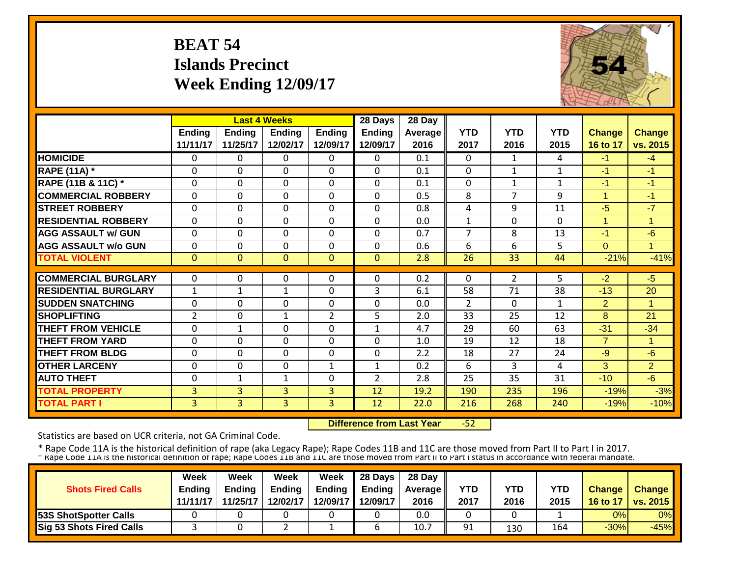# **BEAT 54 Islands Precinct Week Ending 12/09/17**



|                             |                |                | <b>Last 4 Weeks</b> |                | 28 Days        | 28 Day  |                |                |              |                      |                |
|-----------------------------|----------------|----------------|---------------------|----------------|----------------|---------|----------------|----------------|--------------|----------------------|----------------|
|                             | <b>Ending</b>  | <b>Ending</b>  | <b>Ending</b>       | <b>Ending</b>  | <b>Ending</b>  | Average | <b>YTD</b>     | <b>YTD</b>     | <b>YTD</b>   | <b>Change</b>        | <b>Change</b>  |
|                             | 11/11/17       | 11/25/17       | 12/02/17            | 12/09/17       | 12/09/17       | 2016    | 2017           | 2016           | 2015         | 16 to 17             | vs. 2015       |
| <b>HOMICIDE</b>             | $\mathbf{0}$   | 0              | $\mathbf{0}$        | $\Omega$       | $\Omega$       | 0.1     | $\Omega$       | $\mathbf{1}$   | 4            | $-1$                 | $-4$           |
| <b>RAPE (11A)</b> *         | $\Omega$       | $\Omega$       | $\mathbf 0$         | $\Omega$       | $\Omega$       | 0.1     | $\Omega$       | 1              | $\mathbf{1}$ | $-1$                 | $-1$           |
| RAPE (11B & 11C) *          | $\mathbf 0$    | 0              | $\mathbf 0$         | $\Omega$       | 0              | 0.1     | $\mathbf{0}$   | 1              | $\mathbf{1}$ | $\blacksquare$       | $-1$           |
| <b>COMMERCIAL ROBBERY</b>   | $\Omega$       | 0              | $\Omega$            | $\Omega$       | $\Omega$       | 0.5     | 8              | 7              | 9            | $\blacktriangleleft$ | $-1$           |
| <b>STREET ROBBERY</b>       | $\mathbf 0$    | 0              | $\mathbf 0$         | 0              | $\Omega$       | 0.8     | 4              | 9              | 11           | $-5$                 | $-7$           |
| <b>RESIDENTIAL ROBBERY</b>  | $\Omega$       | 0              | 0                   | $\Omega$       | $\Omega$       | 0.0     | $\mathbf{1}$   | $\Omega$       | $\Omega$     | $\mathbf{1}$         | $\overline{1}$ |
| <b>AGG ASSAULT w/ GUN</b>   | $\Omega$       | 0              | 0                   | $\Omega$       | $\Omega$       | 0.7     | $\overline{7}$ | 8              | 13           | $-1$                 | $-6$           |
| <b>AGG ASSAULT w/o GUN</b>  | $\Omega$       | 0              | $\Omega$            | $\Omega$       | $\Omega$       | 0.6     | 6              | 6              | 5            | $\mathbf{0}$         | $\overline{1}$ |
| <b>TOTAL VIOLENT</b>        | $\mathbf{0}$   | $\overline{0}$ | $\mathbf{0}$        | $\mathbf{0}$   | $\mathbf{0}$   | 2.8     | 26             | 33             | 44           | $-21%$               | $-41%$         |
|                             |                |                |                     |                |                |         |                |                |              |                      |                |
| <b>COMMERCIAL BURGLARY</b>  | $\Omega$       | 0              | $\Omega$            | $\Omega$       | $\Omega$       | 0.2     | $\Omega$       | $\overline{2}$ | 5            | $-2$                 | $-5$           |
| <b>RESIDENTIAL BURGLARY</b> | $\mathbf{1}$   | 1              | $\mathbf{1}$        | 0              | 3              | 6.1     | 58             | 71             | 38           | $-13$                | 20             |
| <b>SUDDEN SNATCHING</b>     | $\Omega$       | 0              | $\mathbf 0$         | $\Omega$       | $\Omega$       | 0.0     | 2              | $\Omega$       | $\mathbf{1}$ | $\overline{2}$       | 1              |
| <b>SHOPLIFTING</b>          | $\overline{2}$ | 0              | $\mathbf{1}$        | $\overline{2}$ | 5              | 2.0     | 33             | 25             | 12           | 8                    | 21             |
| <b>THEFT FROM VEHICLE</b>   | $\mathbf 0$    | $\mathbf{1}$   | $\mathbf 0$         | 0              | $\mathbf{1}$   | 4.7     | 29             | 60             | 63           | $-31$                | $-34$          |
| <b>THEFT FROM YARD</b>      | $\mathbf 0$    | 0              | $\mathbf 0$         | 0              | 0              | 1.0     | 19             | 12             | 18           | $\overline{7}$       | 1              |
| <b>THEFT FROM BLDG</b>      | $\mathbf 0$    | 0              | 0                   | $\Omega$       | 0              | 2.2     | 18             | 27             | 24           | $-9$                 | $-6$           |
| <b>OTHER LARCENY</b>        | $\Omega$       | $\Omega$       | 0                   | 1              | 1              | 0.2     | 6              | 3              | 4            | 3                    | $\overline{2}$ |
| <b>AUTO THEFT</b>           | $\Omega$       | 1              | 1                   | $\Omega$       | $\overline{2}$ | 2.8     | 25             | 35             | 31           | $-10$                | $-6$           |
| <b>TOTAL PROPERTY</b>       | 3              | 3              | 3                   | 3              | 12             | 19.2    | 190            | 235            | 196          | $-19%$               | $-3%$          |
| <b>TOTAL PART I</b>         | 3              | $\overline{3}$ | $\overline{3}$      | 3              | 12             | 22.0    | 216            | 268            | 240          | $-19%$               | $-10%$         |

 **Difference from Last Year**‐52

Statistics are based on UCR criteria, not GA Criminal Code.

|                                 | Week          | Week          | Week          | <b>Week</b> | $\parallel$ 28 Days       | 28 Day            |      |      |      |               |                 |
|---------------------------------|---------------|---------------|---------------|-------------|---------------------------|-------------------|------|------|------|---------------|-----------------|
| <b>Shots Fired Calls</b>        | <b>Endina</b> | <b>Ending</b> | <b>Ending</b> |             | Ending $\parallel$ Ending | <b>Average</b> II | YTD  | YTD  | YTD  | <b>Change</b> | <b>Change</b>   |
|                                 | 11/11/17      | 11/25/17      | 12/02/17      |             | 12/09/17 12/09/17         | 2016              | 2017 | 2016 | 2015 | 16 to 17      | <b>vs. 2015</b> |
| <b>53S ShotSpotter Calls</b>    |               |               |               |             |                           | 0.0               |      |      |      | 0%            | 0%              |
| <b>Sig 53 Shots Fired Calls</b> |               |               |               |             |                           | 10.7              | 91   | 130  | 164  | $-30%$        | $-45%$          |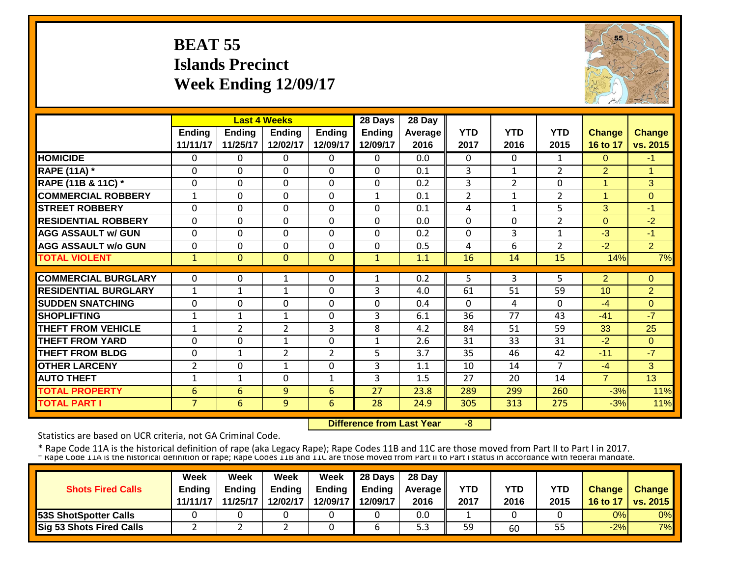# **BEAT 55 Islands Precinct Week Ending 12/09/17**



|                             |                |                | <b>Last 4 Weeks</b> |                | 28 Days       | 28 Day         |                |                |                |                      |                |
|-----------------------------|----------------|----------------|---------------------|----------------|---------------|----------------|----------------|----------------|----------------|----------------------|----------------|
|                             | <b>Ending</b>  | <b>Ending</b>  | <b>Ending</b>       | <b>Ending</b>  | <b>Ending</b> | <b>Average</b> | <b>YTD</b>     | <b>YTD</b>     | <b>YTD</b>     | <b>Change</b>        | <b>Change</b>  |
|                             | 11/11/17       | 11/25/17       | 12/02/17            | 12/09/17       | 12/09/17      | 2016           | 2017           | 2016           | 2015           | 16 to 17             | vs. 2015       |
| <b>HOMICIDE</b>             | $\mathbf{0}$   | 0              | $\Omega$            | $\Omega$       | $\Omega$      | 0.0            | $\mathbf{0}$   | $\Omega$       | $\mathbf{1}$   | $\Omega$             | $-1$           |
| <b>RAPE (11A) *</b>         | $\Omega$       | $\Omega$       | $\Omega$            | $\Omega$       | $\Omega$      | 0.1            | 3              | $\mathbf{1}$   | $\overline{2}$ | $\overline{2}$       | 1              |
| RAPE (11B & 11C) *          | $\mathbf 0$    | 0              | $\mathbf 0$         | $\Omega$       | $\mathbf 0$   | 0.2            | 3              | $\overline{2}$ | 0              | 1                    | 3              |
| <b>COMMERCIAL ROBBERY</b>   | 1              | 0              | $\Omega$            | $\Omega$       | 1             | 0.1            | $\overline{2}$ | 1              | $\overline{2}$ | $\blacktriangleleft$ | $\Omega$       |
| <b>STREET ROBBERY</b>       | $\mathbf 0$    | 0              | $\mathbf 0$         | $\mathbf 0$    | $\mathbf 0$   | 0.1            | 4              | 1              | 5              | 3                    | $-1$           |
| <b>RESIDENTIAL ROBBERY</b>  | $\mathbf 0$    | 0              | $\mathbf 0$         | $\Omega$       | $\mathbf{0}$  | 0.0            | $\mathbf{0}$   | $\Omega$       | $\overline{2}$ | $\Omega$             | $-2$           |
| <b>AGG ASSAULT w/ GUN</b>   | $\mathbf 0$    | 0              | $\mathbf 0$         | $\mathbf 0$    | $\mathbf 0$   | 0.2            | $\mathbf{0}$   | 3              | $\mathbf{1}$   | $-3$                 | $-1$           |
| <b>AGG ASSAULT w/o GUN</b>  | 0              | 0              | 0                   | 0              | $\mathbf 0$   | 0.5            | 4              | 6              | $\overline{2}$ | $-2$                 | $\overline{2}$ |
| <b>TOTAL VIOLENT</b>        | $\mathbf{1}$   | $\Omega$       | $\Omega$            | $\Omega$       | $\mathbf{1}$  | 1.1            | 16             | 14             | 15             | 14%                  | 7%             |
|                             |                |                |                     |                |               |                |                |                |                |                      |                |
| <b>COMMERCIAL BURGLARY</b>  | $\mathbf{0}$   | 0              | 1                   | 0              | 1             | 0.2            | 5              | 3              | 5              | $\overline{2}$       | $\Omega$       |
| <b>RESIDENTIAL BURGLARY</b> | 1              | 1              | 1                   | 0              | 3             | 4.0            | 61             | 51             | 59             | 10                   | $\overline{2}$ |
| <b>SUDDEN SNATCHING</b>     | $\Omega$       | 0              | 0                   | 0              | $\mathbf 0$   | 0.4            | $\Omega$       | 4              | $\Omega$       | $-4$                 | $\Omega$       |
| <b>SHOPLIFTING</b>          | $\mathbf{1}$   | 1              | 1                   | 0              | 3             | 6.1            | 36             | 77             | 43             | $-41$                | $-7$           |
| <b>THEFT FROM VEHICLE</b>   | 1              | $\overline{2}$ | $\overline{2}$      | 3              | 8             | 4.2            | 84             | 51             | 59             | 33                   | 25             |
| <b>THEFT FROM YARD</b>      | $\Omega$       | 0              | $\mathbf{1}$        | $\Omega$       | $\mathbf{1}$  | 2.6            | 31             | 33             | 31             | $-2$                 | $\Omega$       |
| <b>THEFT FROM BLDG</b>      | $\Omega$       | 1              | $\overline{2}$      | $\overline{2}$ | 5             | 3.7            | 35             | 46             | 42             | $-11$                | $-7$           |
| <b>OTHER LARCENY</b>        | 2              | 0              | $\mathbf{1}$        | 0              | 3             | 1.1            | 10             | 14             | $\overline{7}$ | $-4$                 | 3              |
| <b>AUTO THEFT</b>           | $\mathbf{1}$   | $\mathbf{1}$   | 0                   | $\mathbf{1}$   | 3             | 1.5            | 27             | 20             | 14             | $\overline{7}$       | 13             |
| <b>TOTAL PROPERTY</b>       | 6              | 6              | 9                   | 6              | 27            | 23.8           | 289            | 299            | 260            | $-3%$                | 11%            |
| <b>TOTAL PART I</b>         | $\overline{7}$ | 6              | 9                   | 6              | 28            | 24.9           | 305            | 313            | 275            | $-3%$                | 11%            |

 **Difference from Last Year** $-8$ 

Statistics are based on UCR criteria, not GA Criminal Code.

| <b>Shots Fired Calls</b>        | Week<br><b>Endina</b><br>11/11/17 | Week<br><b>Ending</b><br>11/25/17 | Week<br><b>Ending</b><br>12/02/17 | <b>Week</b> | $\parallel$ 28 Days<br>Ending $\parallel$ Ending<br>12/09/17 12/09/17 | 28 Day<br><b>Average</b> II<br>2016 | <b>YTD</b><br>2017 | YTD<br>2016 | YTD<br>2015 | <b>Change</b><br>16 to 17 | <b>Change</b><br><b>vs. 2015</b> |
|---------------------------------|-----------------------------------|-----------------------------------|-----------------------------------|-------------|-----------------------------------------------------------------------|-------------------------------------|--------------------|-------------|-------------|---------------------------|----------------------------------|
| <b>53S ShotSpotter Calls</b>    |                                   |                                   |                                   |             |                                                                       | 0.0                                 |                    |             |             | 0%                        | 0%                               |
| <b>Sig 53 Shots Fired Calls</b> |                                   |                                   |                                   |             |                                                                       | ں ب                                 | 59                 | 60          | 55          | $-2%$                     | 7%                               |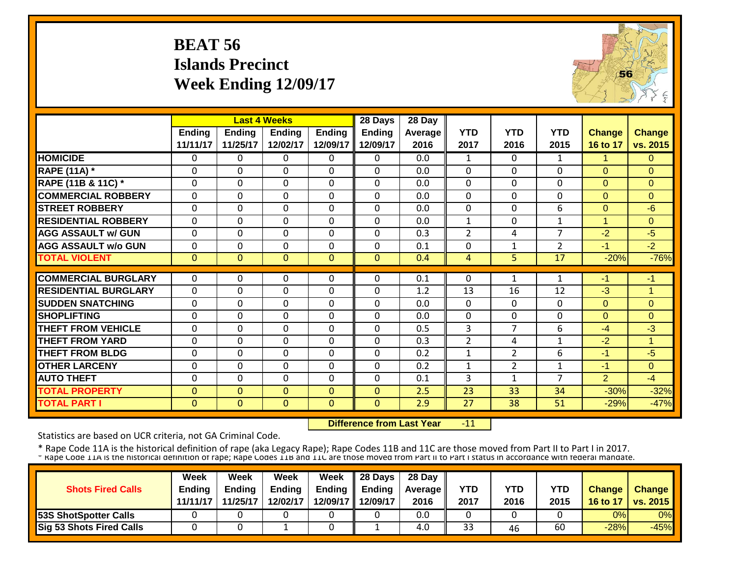# **BEAT 56 Islands Precinct Week Ending 12/09/17**



|                             |              |               | <b>Last 4 Weeks</b> |               | 28 Days       | 28 Day         |                |                |                |                |               |
|-----------------------------|--------------|---------------|---------------------|---------------|---------------|----------------|----------------|----------------|----------------|----------------|---------------|
|                             | Ending       | <b>Ending</b> | <b>Ending</b>       | <b>Ending</b> | <b>Ending</b> | <b>Average</b> | <b>YTD</b>     | <b>YTD</b>     | <b>YTD</b>     | <b>Change</b>  | <b>Change</b> |
|                             | 11/11/17     | 11/25/17      | 12/02/17            | 12/09/17      | 12/09/17      | 2016           | 2017           | 2016           | 2015           | 16 to 17       | vs. 2015      |
| <b>HOMICIDE</b>             | $\Omega$     | 0             | $\Omega$            | $\Omega$      | $\Omega$      | 0.0            | $\mathbf{1}$   | $\Omega$       | $\mathbf{1}$   | 1              | $\Omega$      |
| <b>RAPE (11A) *</b>         | $\Omega$     | 0             | $\Omega$            | $\Omega$      | $\Omega$      | 0.0            | $\mathbf 0$    | $\Omega$       | 0              | $\Omega$       | $\Omega$      |
| RAPE (11B & 11C) *          | $\Omega$     | 0             | $\Omega$            | $\Omega$      | $\mathbf 0$   | 0.0            | $\mathbf 0$    | $\Omega$       | 0              | $\Omega$       | $\Omega$      |
| <b>COMMERCIAL ROBBERY</b>   | $\Omega$     | 0             | $\Omega$            | $\Omega$      | $\mathbf 0$   | 0.0            | $\mathbf 0$    | $\Omega$       | 0              | $\Omega$       | $\Omega$      |
| <b>STREET ROBBERY</b>       | $\mathbf 0$  | 0             | $\mathbf 0$         | $\mathbf 0$   | $\mathbf{0}$  | 0.0            | $\mathbf{0}$   | $\Omega$       | 6              | $\Omega$       | $-6$          |
| <b>RESIDENTIAL ROBBERY</b>  | $\Omega$     | 0             | $\Omega$            | $\Omega$      | $\mathbf{0}$  | 0.0            | 1              | $\Omega$       | $\mathbf{1}$   | $\overline{ }$ | $\Omega$      |
| <b>AGG ASSAULT w/ GUN</b>   | $\mathbf 0$  | 0             | $\Omega$            | 0             | $\mathbf{0}$  | 0.3            | $\overline{2}$ | 4              | 7              | $-2$           | $-5$          |
| <b>AGG ASSAULT w/o GUN</b>  | $\Omega$     | 0             | 0                   | $\Omega$      | $\mathbf{0}$  | 0.1            | $\Omega$       | 1              | $\overline{2}$ | -1             | $-2$          |
| <b>TOTAL VIOLENT</b>        | $\mathbf{0}$ | $\Omega$      | $\Omega$            | $\Omega$      | $\Omega$      | 0.4            | 4              | 5.             | 17             | $-20%$         | $-76%$        |
|                             |              |               |                     |               |               |                |                |                |                |                |               |
| <b>COMMERCIAL BURGLARY</b>  | $\mathbf{0}$ | 0             | $\Omega$            | $\Omega$      | $\Omega$      | 0.1            | 0              | 1              | 1              | -1             | $-1$          |
| <b>RESIDENTIAL BURGLARY</b> | $\mathbf 0$  | 0             | $\mathbf 0$         | 0             | $\mathbf{0}$  | 1.2            | 13             | 16             | 12             | $-3$           | 1             |
| <b>SUDDEN SNATCHING</b>     | $\mathbf 0$  | 0             | 0                   | 0             | $\mathbf{0}$  | 0.0            | $\mathbf{0}$   | $\Omega$       | 0              | $\Omega$       | $\Omega$      |
| <b>SHOPLIFTING</b>          | $\Omega$     | 0             | $\mathbf 0$         | 0             | $\mathbf{0}$  | 0.0            | $\Omega$       | $\Omega$       | 0              | $\Omega$       | $\Omega$      |
| <b>THEFT FROM VEHICLE</b>   | $\Omega$     | 0             | 0                   | 0             | $\Omega$      | 0.5            | 3              | 7              | 6              | $-4$           | $-3$          |
| <b>THEFT FROM YARD</b>      | $\Omega$     | 0             | $\Omega$            | $\Omega$      | $\Omega$      | 0.3            | $\overline{2}$ | 4              | $\mathbf{1}$   | $-2$           | 1             |
| <b>THEFT FROM BLDG</b>      | $\Omega$     | 0             | $\Omega$            | $\Omega$      | $\Omega$      | 0.2            | $\mathbf{1}$   | $\overline{2}$ | 6              | -1             | $-5$          |
| <b>OTHER LARCENY</b>        | $\Omega$     | 0             | $\Omega$            | $\Omega$      | $\Omega$      | 0.2            | 1              | $\overline{2}$ | $\mathbf{1}$   | $-1$           | $\Omega$      |
| <b>AUTO THEFT</b>           | $\Omega$     | 0             | $\Omega$            | $\Omega$      | $\Omega$      | 0.1            | 3              | $\mathbf{1}$   | $\overline{7}$ | 2              | $-4$          |
| <b>TOTAL PROPERTY</b>       | $\mathbf{0}$ | $\Omega$      | $\Omega$            | $\Omega$      | $\Omega$      | 2.5            | 23             | 33             | 34             | $-30%$         | $-32%$        |
| <b>TOTAL PART I</b>         | $\mathbf{0}$ | $\mathbf{0}$  | $\mathbf{0}$        | $\mathbf{0}$  | $\mathbf{0}$  | 2.9            | 27             | 38             | 51             | $-29%$         | $-47%$        |

 **Difference from Last Year** $-11$ 

Statistics are based on UCR criteria, not GA Criminal Code.

| <b>Shots Fired Calls</b>        | Week<br><b>Endina</b><br>11/11/17 | Week<br><b>Ending</b><br>11/25/17 | Week<br><b>Ending</b><br>12/02/17 | <b>Week</b> | $\parallel$ 28 Days<br>Ending $\parallel$ Ending<br>12/09/17 12/09/17 | 28 Day<br><b>Average</b> II<br>2016 | YTD<br>2017 | YTD<br>2016 | YTD<br>2015 | <b>Change</b><br>16 to 17 | <b>Change</b><br><b>vs. 2015</b> |
|---------------------------------|-----------------------------------|-----------------------------------|-----------------------------------|-------------|-----------------------------------------------------------------------|-------------------------------------|-------------|-------------|-------------|---------------------------|----------------------------------|
| <b>53S ShotSpotter Calls</b>    |                                   |                                   |                                   |             |                                                                       | 0.0                                 |             |             |             | 0%                        | 0%                               |
| <b>Sig 53 Shots Fired Calls</b> |                                   |                                   |                                   |             |                                                                       | 4.0                                 | 33          | 46          | 60          | $-28%$                    | $-45%$                           |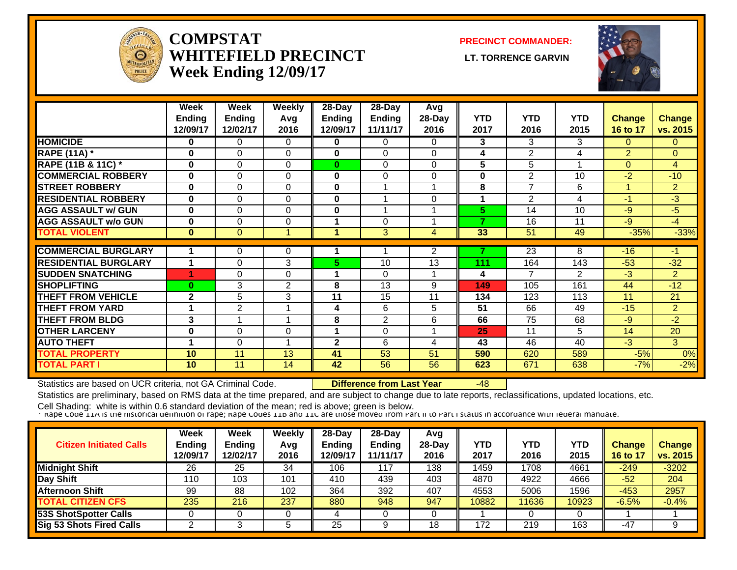

#### **COMPSTATWHITEFIELD PRECINCT Week Ending 12/09/17**

**PRECINCT COMMANDER:**

**LT. TORRENCE GARVIN** 



|                             | Week                      | Week                      | <b>Weekly</b> | $28 - Day$                | $28$ -Day                 | Avg             | <b>YTD</b> | <b>YTD</b>      |                    |                           |                           |
|-----------------------------|---------------------------|---------------------------|---------------|---------------------------|---------------------------|-----------------|------------|-----------------|--------------------|---------------------------|---------------------------|
|                             | <b>Ending</b><br>12/09/17 | <b>Ending</b><br>12/02/17 | Avq<br>2016   | <b>Ending</b><br>12/09/17 | <b>Ending</b><br>11/11/17 | 28-Day<br>2016  | 2017       | 2016            | <b>YTD</b><br>2015 | <b>Change</b><br>16 to 17 | <b>Change</b><br>vs. 2015 |
|                             |                           |                           |               |                           |                           |                 |            |                 |                    |                           |                           |
| <b>HOMICIDE</b>             | 0                         | 0                         | 0             | $\bf{0}$                  | $\mathbf 0$               | $\Omega$        | 3          | 3               | 3                  | $\mathbf{0}$              | $\overline{0}$            |
| <b>RAPE (11A) *</b>         | $\bf{0}$                  | $\Omega$                  | 0             | 0                         | 0                         | $\Omega$        | 4          | 2               | 4                  | $\overline{2}$            | $\overline{0}$            |
| RAPE (11B & 11C) *          | $\bf{0}$                  | $\Omega$                  | $\Omega$      | $\bf{0}$                  | $\Omega$                  | $\Omega$        | 5          | 5               | 1                  | $\mathbf{0}$              | $\overline{4}$            |
| <b>COMMERCIAL ROBBERY</b>   | $\bf{0}$                  | $\Omega$                  | $\Omega$      | $\bf{0}$                  | $\Omega$                  | $\Omega$        | $\bf{0}$   | $\overline{2}$  | 10                 | $-2$                      | $-10$                     |
| <b>STREET ROBBERY</b>       | $\bf{0}$                  | $\Omega$                  | $\Omega$      | $\bf{0}$                  |                           |                 | 8          | 7               | 6                  | и                         | $\overline{2}$            |
| <b>RESIDENTIAL ROBBERY</b>  | $\bf{0}$                  | $\Omega$                  | $\Omega$      | $\bf{0}$                  |                           | $\Omega$        | 1          | $\overline{2}$  | 4                  | -1                        | $-3$                      |
| <b>AGG ASSAULT w/ GUN</b>   | $\bf{0}$                  | 0                         | $\Omega$      | $\bf{0}$                  |                           |                 | 5          | 14              | 10                 | $-9$                      | $-5$                      |
| <b>AGG ASSAULT w/o GUN</b>  | $\bf{0}$                  | 0                         | $\Omega$      |                           | 0                         |                 | 7          | 16              | 11                 | $-9$                      | $-4$                      |
| <b>TOTAL VIOLENT</b>        | $\bf{0}$                  | $\overline{0}$            | -1            |                           | $\overline{3}$            | $\overline{4}$  | 33         | $\overline{51}$ | 49                 | $-35%$                    | $-33%$                    |
|                             |                           |                           |               |                           |                           |                 |            |                 |                    |                           |                           |
| <b>COMMERCIAL BURGLARY</b>  | 1                         | 0                         | 0             |                           |                           | $\overline{2}$  |            | $\overline{23}$ | 8                  | $-16$                     | $-1$                      |
| <b>RESIDENTIAL BURGLARY</b> | 1                         | $\Omega$                  | 3             | 5.                        | 10                        | $\overline{13}$ | 111        | 164             | 143                | $-53$                     | $-32$                     |
| <b>SUDDEN SNATCHING</b>     | 4                         | $\Omega$                  | $\Omega$      |                           | $\Omega$                  |                 | 4          | 7               | 2                  | $-3$                      | $\overline{2}$            |
| <b>SHOPLIFTING</b>          | $\bf{0}$                  | 3                         | 2             | 8                         | 13                        | 9               | 149        | 105             | 161                | 44                        | $-12$                     |
| <b>THEFT FROM VEHICLE</b>   | $\mathbf{2}$              | 5                         | 3             | 11                        | 15                        | 11              | 134        | 123             | 113                | 11                        | 21                        |
| <b>THEFT FROM YARD</b>      | 1                         | $\overline{2}$            |               | 4                         | 6                         | 5               | 51         | 66              | 49                 | $-15$                     | $\overline{2}$            |
| <b>THEFT FROM BLDG</b>      | 3                         |                           | 4             | 8                         | 2                         | 6               | 66         | 75              | 68                 | $-9$                      | $-2$                      |
| <b>OTHER LARCENY</b>        | 0                         | 0                         | 0             |                           | 0                         |                 | 25         | 11              | 5                  | 14                        | 20                        |
| <b>AUTO THEFT</b>           | 1                         | $\Omega$                  | ۸             | $\mathbf{2}$              | 6                         | 4               | 43         | 46              | 40                 | $-3$                      | 3                         |
| <b>TOTAL PROPERTY</b>       | 10                        | 11                        | 13            | 41                        | 53                        | 51              | 590        | 620             | 589                | $-5%$                     | 0%                        |
| <b>TOTAL PART I</b>         | 10                        | 11                        | 14            | 42                        | 56                        | 56              | 623        | 671             | 638                | $-7%$                     | $-2%$                     |

Statistics are based on UCR criteria, not GA Criminal Code. **Difference from Last Year** -48

Statistics are preliminary, based on RMS data at the time prepared, and are subject to change due to late reports, reclassifications, updated locations, etc.

| <b>Citizen Initiated Calls</b> | Week<br><b>Ending</b><br>12/09/17 | <b>Week</b><br><b>Ending</b><br>12/02/17 | Weekly<br>Avg<br>2016 | $28-Dav$<br><b>Endina</b><br>12/09/17 | $28-Dav$<br><b>Ending</b><br>11/11/17 | Avg<br>$28$ -Day<br>2016 | YTD<br>2017 | YTD<br>2016 | <b>YTD</b><br>2015 | Change<br>16 to 17 | <b>Change</b><br>vs. 2015 |
|--------------------------------|-----------------------------------|------------------------------------------|-----------------------|---------------------------------------|---------------------------------------|--------------------------|-------------|-------------|--------------------|--------------------|---------------------------|
| <b>Midnight Shift</b>          | 26                                | 25                                       | 34                    | 106                                   | 117                                   | 138                      | 1459        | 1708        | 4661               | $-249$             | $-3202$                   |
| Day Shift                      | 110                               | 103                                      | 101                   | 410                                   | 439                                   | 403                      | 4870        | 4922        | 4666               | $-52$              | 204                       |
| <b>Afternoon Shift</b>         | 99                                | 88                                       | 102                   | 364                                   | 392                                   | 407                      | 4553        | 5006        | 1596               | $-453$             | 2957                      |
| <b>TOTAL CITIZEN CFS</b>       | 235                               | 216                                      | 237                   | 880                                   | 948                                   | 947                      | 10882       | 1636        | 10923              | $-6.5%$            | $-0.4%$                   |
| <b>53S ShotSpotter Calls</b>   |                                   |                                          |                       |                                       |                                       |                          |             |             |                    |                    |                           |
| Sig 53 Shots Fired Calls       |                                   |                                          |                       | 25                                    |                                       | 18                       | 172         | 219         | 163                | $-47$              | 9                         |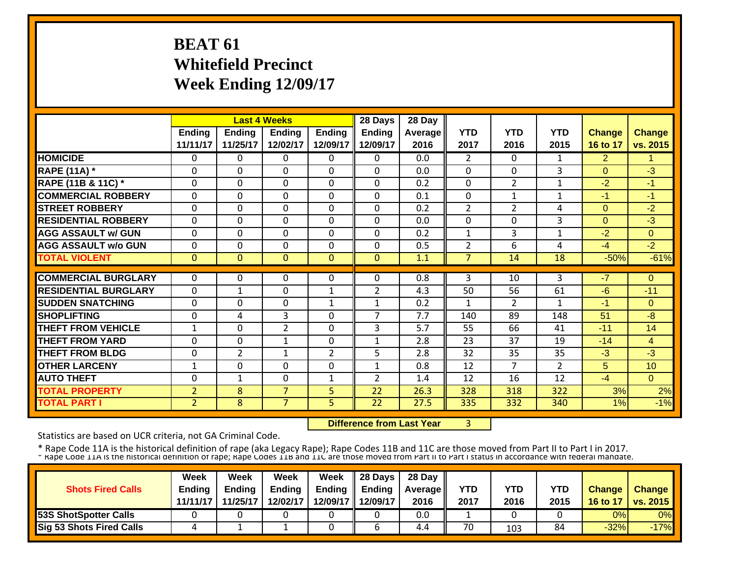# **BEAT 61 Whitefield Precinct Week Ending 12/09/17**

|                             |                |                | <b>Last 4 Weeks</b> |                | 28 Days        | 28 Day  |                |                |                |                |                |
|-----------------------------|----------------|----------------|---------------------|----------------|----------------|---------|----------------|----------------|----------------|----------------|----------------|
|                             | <b>Ending</b>  | <b>Ending</b>  | Endina              | <b>Ending</b>  | <b>Ending</b>  | Average | <b>YTD</b>     | <b>YTD</b>     | <b>YTD</b>     | <b>Change</b>  | <b>Change</b>  |
|                             | 11/11/17       | 11/25/17       | 12/02/17            | 12/09/17       | 12/09/17       | 2016    | 2017           | 2016           | 2015           | 16 to 17       | vs. 2015       |
| <b>HOMICIDE</b>             | $\Omega$       | $\Omega$       | $\Omega$            | $\Omega$       | $\mathbf{0}$   | 0.0     | $\overline{2}$ | $\Omega$       | 1              | $\overline{2}$ | 1              |
| <b>RAPE (11A) *</b>         | 0              | $\Omega$       | $\Omega$            | $\Omega$       | $\Omega$       | 0.0     | $\Omega$       | $\Omega$       | 3              | $\Omega$       | $-3$           |
| RAPE (11B & 11C) *          | $\Omega$       | $\Omega$       | $\mathbf 0$         | $\Omega$       | $\Omega$       | 0.2     | $\Omega$       | $\overline{2}$ | 1              | $-2$           | $-1$           |
| <b>COMMERCIAL ROBBERY</b>   | $\Omega$       | $\Omega$       | $\Omega$            | $\Omega$       | $\Omega$       | 0.1     | $\Omega$       | $\mathbf{1}$   | 1              | $-1$           | $-1$           |
| <b>STREET ROBBERY</b>       | $\Omega$       | $\Omega$       | $\Omega$            | $\Omega$       | $\Omega$       | 0.2     | 2              | 2              | 4              | $\Omega$       | $-2$           |
| <b>RESIDENTIAL ROBBERY</b>  | $\Omega$       | $\Omega$       | $\Omega$            | $\Omega$       | $\Omega$       | 0.0     | 0              | $\Omega$       | 3              | $\Omega$       | $-3$           |
| <b>AGG ASSAULT w/ GUN</b>   | 0              | $\Omega$       | $\Omega$            | $\Omega$       | $\Omega$       | 0.2     | $\mathbf{1}$   | 3              | $\mathbf{1}$   | $-2$           | $\Omega$       |
| <b>AGG ASSAULT w/o GUN</b>  | $\Omega$       | $\Omega$       | $\Omega$            | $\Omega$       | 0              | 0.5     | 2              | 6              | 4              | $-4$           | $-2$           |
| <b>TOTAL VIOLENT</b>        | $\mathbf{0}$   | $\overline{0}$ | $\mathbf{0}$        | $\mathbf{0}$   | $\Omega$       | 1.1     | $\overline{7}$ | 14             | 18             | $-50%$         | $-61%$         |
|                             |                |                |                     |                |                |         |                |                |                |                |                |
| <b>COMMERCIAL BURGLARY</b>  | $\Omega$       | $\Omega$       | $\Omega$            | $\Omega$       | 0              | 0.8     | 3              | 10             | 3              | $-7$           | $\Omega$       |
| <b>RESIDENTIAL BURGLARY</b> | $\Omega$       | $\mathbf{1}$   | $\Omega$            | $\mathbf{1}$   | $\overline{2}$ | 4.3     | 50             | 56             | 61             | $-6$           | $-11$          |
| <b>SUDDEN SNATCHING</b>     | $\Omega$       | $\mathbf 0$    | $\Omega$            | $\mathbf{1}$   | 1              | 0.2     | $\mathbf{1}$   | $\overline{2}$ | $\mathbf{1}$   | -1             | $\Omega$       |
| <b>SHOPLIFTING</b>          | 0              | 4              | $\overline{3}$      | $\Omega$       | $\overline{7}$ | 7.7     | 140            | 89             | 148            | 51             | $-8$           |
| <b>THEFT FROM VEHICLE</b>   | $\mathbf{1}$   | $\Omega$       | $\overline{2}$      | $\Omega$       | 3              | 5.7     | 55             | 66             | 41             | $-11$          | 14             |
| <b>THEFT FROM YARD</b>      | $\Omega$       | $\mathbf 0$    | $\mathbf{1}$        | $\Omega$       | $\mathbf{1}$   | 2.8     | 23             | 37             | 19             | $-14$          | $\overline{4}$ |
| <b>THEFT FROM BLDG</b>      | $\mathbf 0$    | $\overline{2}$ | $\mathbf{1}$        | $\overline{2}$ | 5              | 2.8     | 32             | 35             | 35             | $-3$           | $-3$           |
| <b>OTHER LARCENY</b>        | $\mathbf{1}$   | $\mathbf 0$    | $\mathbf 0$         | $\mathbf 0$    | $\mathbf{1}$   | 0.8     | 12             | $\overline{7}$ | $\overline{2}$ | 5              | 10             |
| <b>AUTO THEFT</b>           | $\Omega$       | $\mathbf{1}$   | $\mathbf 0$         | $\mathbf{1}$   | $\overline{2}$ | 1.4     | 12             | 16             | 12             | $-4$           | $\Omega$       |
| <b>TOTAL PROPERTY</b>       | 2              | 8              | $\overline{7}$      | 5              | 22             | 26.3    | 328            | 318            | 322            | 3%             | 2%             |
| <b>TOTAL PART I</b>         | $\overline{2}$ | 8              | $\overline{7}$      | 5              | 22             | 27.5    | 335            | 332            | 340            | 1%             | $-1%$          |

 **Difference from Last Year**3

Statistics are based on UCR criteria, not GA Criminal Code.

\* Rape Code 11A is the historical definition of rape (aka Legacy Rape); Rape Codes 11B and 11C are those moved from Part II to Part I in 2017.<br>\* Rape Code 11A is the historical definition of rape; Rape Codes 11B and 11C ar

|                                 | Week          | Week          | Week          | Week          | 28 Days       | 28 Day            |            |      |      |               |                     |
|---------------------------------|---------------|---------------|---------------|---------------|---------------|-------------------|------------|------|------|---------------|---------------------|
| <b>Shots Fired Calls</b>        | <b>Ending</b> | <b>Ending</b> | <b>Ending</b> | <b>Ending</b> | <b>Ending</b> | <b>Average II</b> | <b>YTD</b> | YTD  | YTD  | <b>Change</b> | <b>Change</b>       |
|                                 | 11/11/17      | 11/25/17      | 12/02/17      | 12/09/17      | 12/09/17      | 2016              | 2017       | 2016 | 2015 |               | 16 to 17   vs. 2015 |
| <b>53S ShotSpotter Calls</b>    |               |               |               |               |               | 0.0               |            |      |      | 0%            | 0%                  |
| <b>Sig 53 Shots Fired Calls</b> |               |               |               |               |               | 4.4               | 70         | 103  | 84   | $-32%$        | $-17%$              |